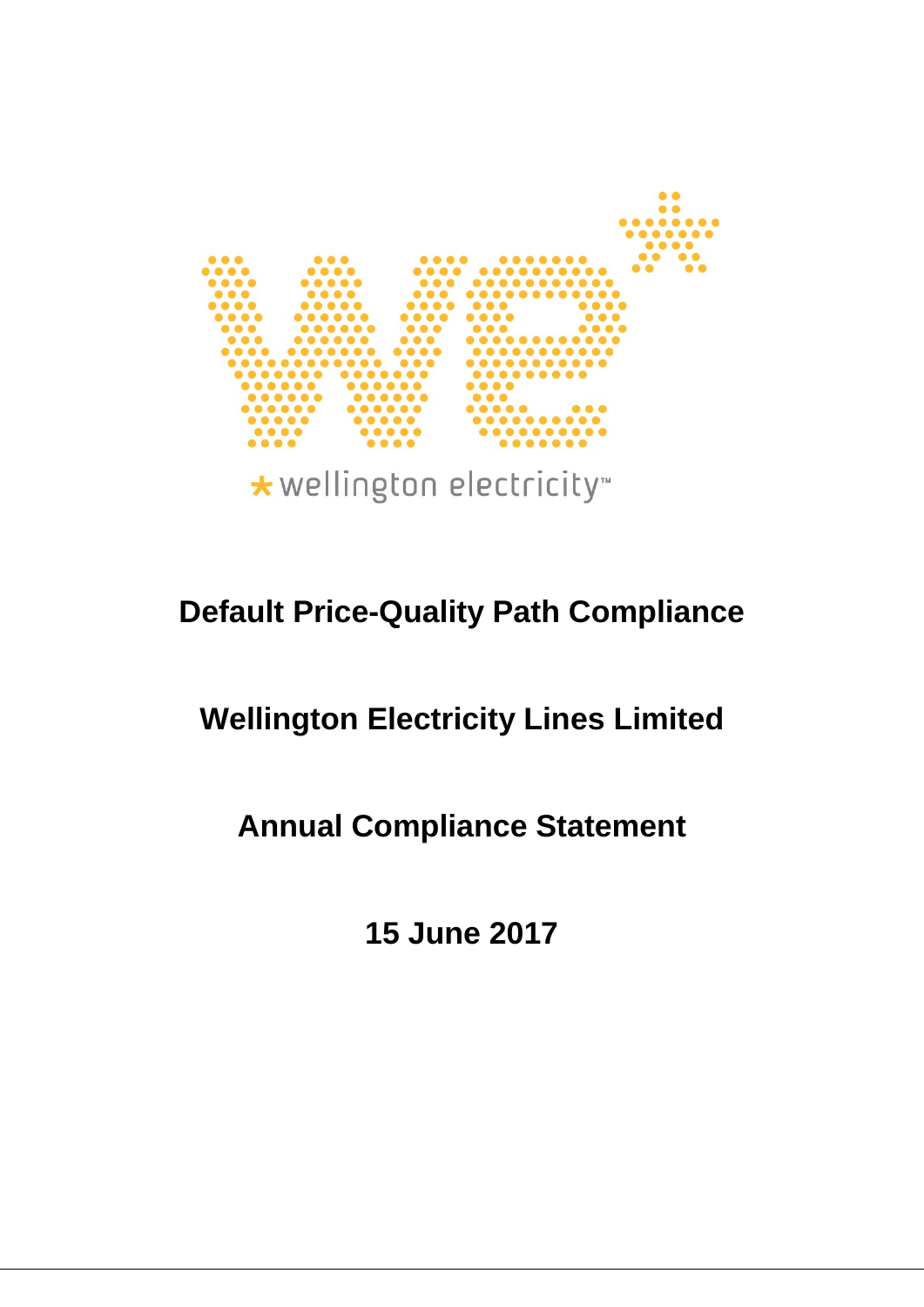

\* wellington electricity

## **Default Price-Quality Path Compliance**

# **Wellington Electricity Lines Limited**

## **Annual Compliance Statement**

**15 June 2017**

1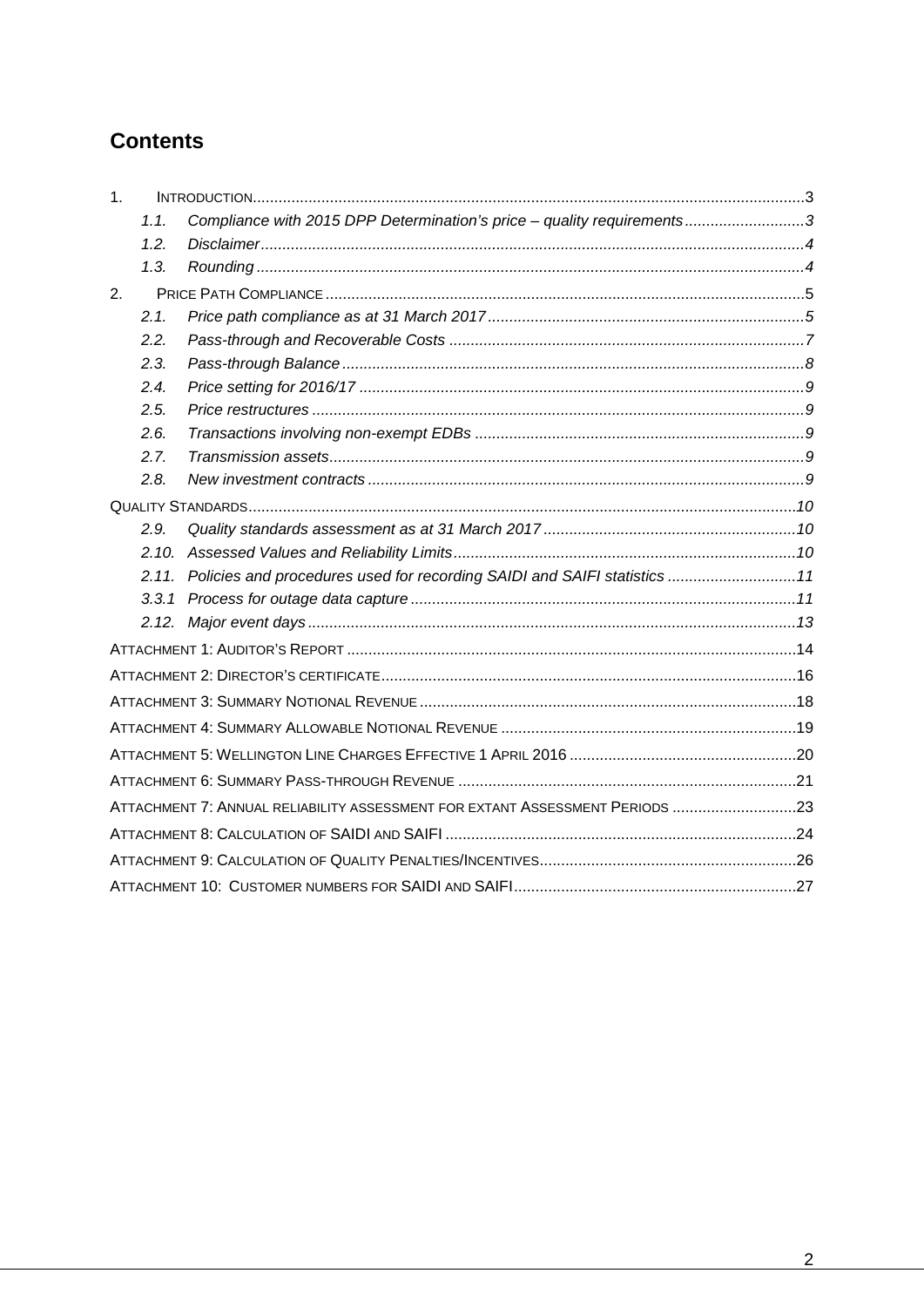## **Contents**

| 1 <sub>1</sub> |       |                                                                                |  |
|----------------|-------|--------------------------------------------------------------------------------|--|
|                | 1.1.  | Compliance with 2015 DPP Determination's price - quality requirements3         |  |
|                | 1.2.  |                                                                                |  |
|                | 1.3.  |                                                                                |  |
| 2.             |       |                                                                                |  |
|                | 2.1.  |                                                                                |  |
|                | 2.2.  |                                                                                |  |
|                | 2.3.  |                                                                                |  |
|                | 2.4.  |                                                                                |  |
|                | 2.5.  |                                                                                |  |
|                | 2.6.  |                                                                                |  |
|                | 2.7.  |                                                                                |  |
|                | 2.8.  |                                                                                |  |
|                |       |                                                                                |  |
|                | 2.9.  |                                                                                |  |
|                | 2.10. |                                                                                |  |
|                |       | 2.11. Policies and procedures used for recording SAIDI and SAIFI statistics 11 |  |
|                |       |                                                                                |  |
|                |       |                                                                                |  |
|                |       |                                                                                |  |
|                |       |                                                                                |  |
|                |       |                                                                                |  |
|                |       |                                                                                |  |
|                |       |                                                                                |  |
|                |       |                                                                                |  |
|                |       | ATTACHMENT 7: ANNUAL RELIABILITY ASSESSMENT FOR EXTANT ASSESSMENT PERIODS 23   |  |
|                |       |                                                                                |  |
|                |       |                                                                                |  |
|                |       |                                                                                |  |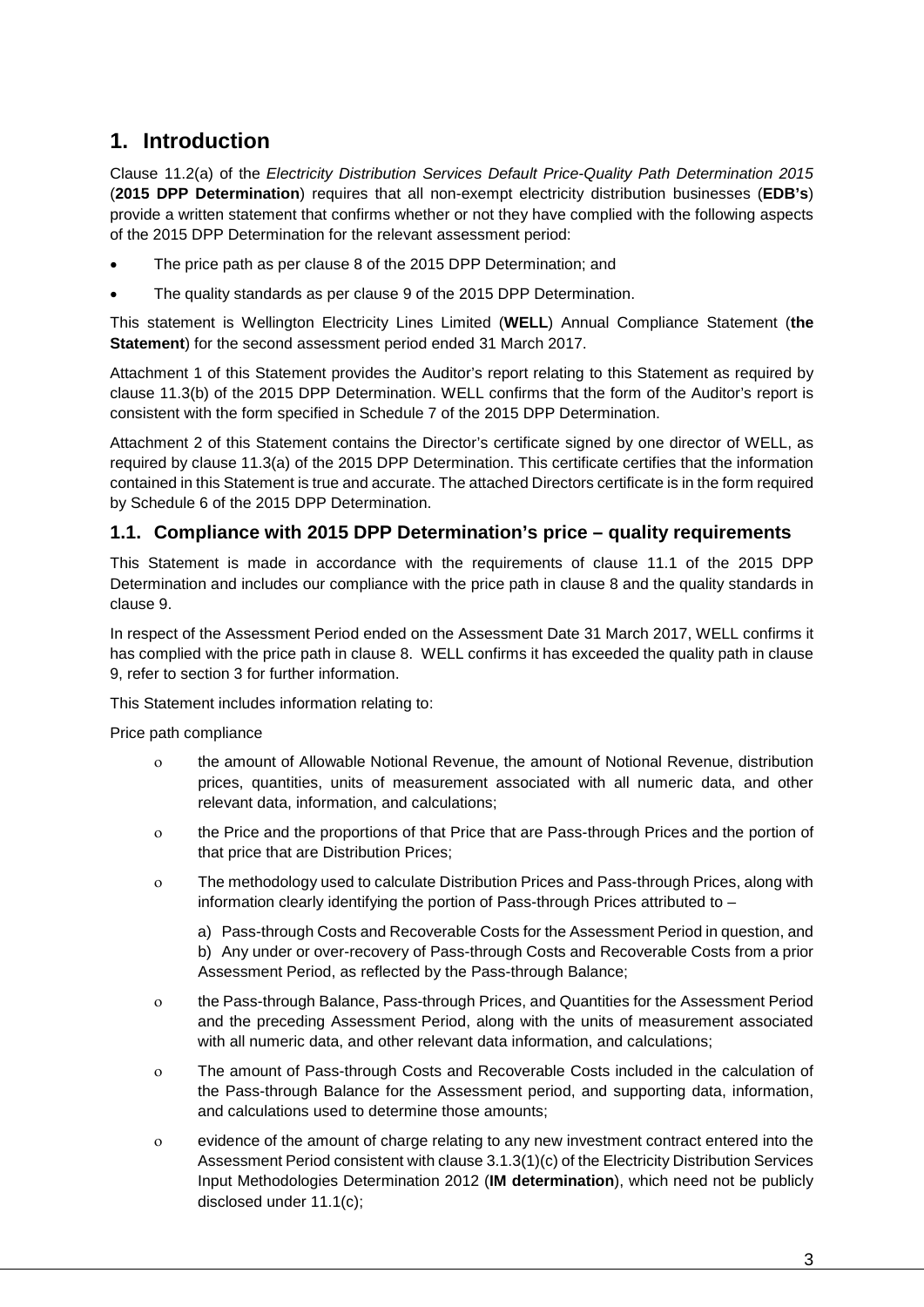## <span id="page-2-0"></span>**1. Introduction**

Clause 11.2(a) of the *Electricity Distribution Services Default Price-Quality Path Determination 2015*  (**2015 DPP Determination**) requires that all non-exempt electricity distribution businesses (**EDB's**) provide a written statement that confirms whether or not they have complied with the following aspects of the 2015 DPP Determination for the relevant assessment period:

- The price path as per clause 8 of the 2015 DPP Determination; and
- The quality standards as per clause 9 of the 2015 DPP Determination.

This statement is Wellington Electricity Lines Limited (**WELL**) Annual Compliance Statement (**the Statement**) for the second assessment period ended 31 March 2017.

Attachment 1 of this Statement provides the Auditor's report relating to this Statement as required by clause 11.3(b) of the 2015 DPP Determination. WELL confirms that the form of the Auditor's report is consistent with the form specified in Schedule 7 of the 2015 DPP Determination.

Attachment 2 of this Statement contains the Director's certificate signed by one director of WELL, as required by clause 11.3(a) of the 2015 DPP Determination. This certificate certifies that the information contained in this Statement is true and accurate. The attached Directors certificate is in the form required by Schedule 6 of the 2015 DPP Determination.

#### <span id="page-2-1"></span>**1.1. Compliance with 2015 DPP Determination's price – quality requirements**

This Statement is made in accordance with the requirements of clause 11.1 of the 2015 DPP Determination and includes our compliance with the price path in clause 8 and the quality standards in clause 9.

In respect of the Assessment Period ended on the Assessment Date 31 March 2017, WELL confirms it has complied with the price path in clause 8. WELL confirms it has exceeded the quality path in clause 9, refer to section 3 for further information.

This Statement includes information relating to:

Price path compliance

- ο the amount of Allowable Notional Revenue, the amount of Notional Revenue, distribution prices, quantities, units of measurement associated with all numeric data, and other relevant data, information, and calculations;
- ο the Price and the proportions of that Price that are Pass-through Prices and the portion of that price that are Distribution Prices;
- ο The methodology used to calculate Distribution Prices and Pass-through Prices, along with information clearly identifying the portion of Pass-through Prices attributed to –

a) Pass-through Costs and Recoverable Costs for the Assessment Period in question, and b) Any under or over-recovery of Pass-through Costs and Recoverable Costs from a prior Assessment Period, as reflected by the Pass-through Balance;

- ο the Pass-through Balance, Pass-through Prices, and Quantities for the Assessment Period and the preceding Assessment Period, along with the units of measurement associated with all numeric data, and other relevant data information, and calculations;
- ο The amount of Pass-through Costs and Recoverable Costs included in the calculation of the Pass-through Balance for the Assessment period, and supporting data, information, and calculations used to determine those amounts;
- ο evidence of the amount of charge relating to any new investment contract entered into the Assessment Period consistent with clause 3.1.3(1)(c) of the Electricity Distribution Services Input Methodologies Determination 2012 (**IM determination**), which need not be publicly disclosed under 11.1(c);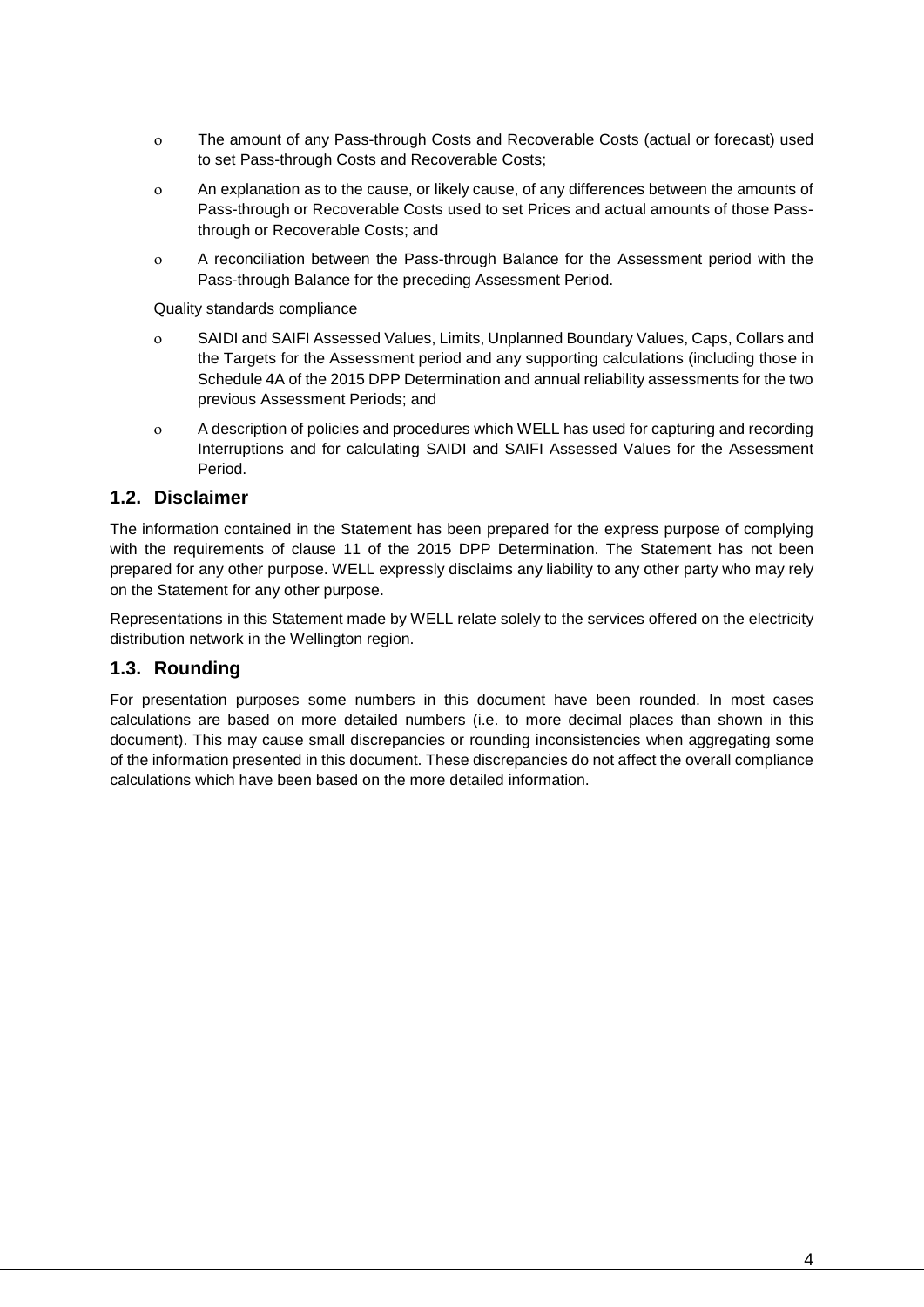- ο The amount of any Pass-through Costs and Recoverable Costs (actual or forecast) used to set Pass-through Costs and Recoverable Costs;
- ο An explanation as to the cause, or likely cause, of any differences between the amounts of Pass-through or Recoverable Costs used to set Prices and actual amounts of those Passthrough or Recoverable Costs; and
- ο A reconciliation between the Pass-through Balance for the Assessment period with the Pass-through Balance for the preceding Assessment Period.

Quality standards compliance

- ο SAIDI and SAIFI Assessed Values, Limits, Unplanned Boundary Values, Caps, Collars and the Targets for the Assessment period and any supporting calculations (including those in Schedule 4A of the 2015 DPP Determination and annual reliability assessments for the two previous Assessment Periods; and
- ο A description of policies and procedures which WELL has used for capturing and recording Interruptions and for calculating SAIDI and SAIFI Assessed Values for the Assessment Period.

#### <span id="page-3-0"></span>**1.2. Disclaimer**

The information contained in the Statement has been prepared for the express purpose of complying with the requirements of clause 11 of the 2015 DPP Determination. The Statement has not been prepared for any other purpose. WELL expressly disclaims any liability to any other party who may rely on the Statement for any other purpose.

Representations in this Statement made by WELL relate solely to the services offered on the electricity distribution network in the Wellington region.

#### <span id="page-3-1"></span>**1.3. Rounding**

For presentation purposes some numbers in this document have been rounded. In most cases calculations are based on more detailed numbers (i.e. to more decimal places than shown in this document). This may cause small discrepancies or rounding inconsistencies when aggregating some of the information presented in this document. These discrepancies do not affect the overall compliance calculations which have been based on the more detailed information.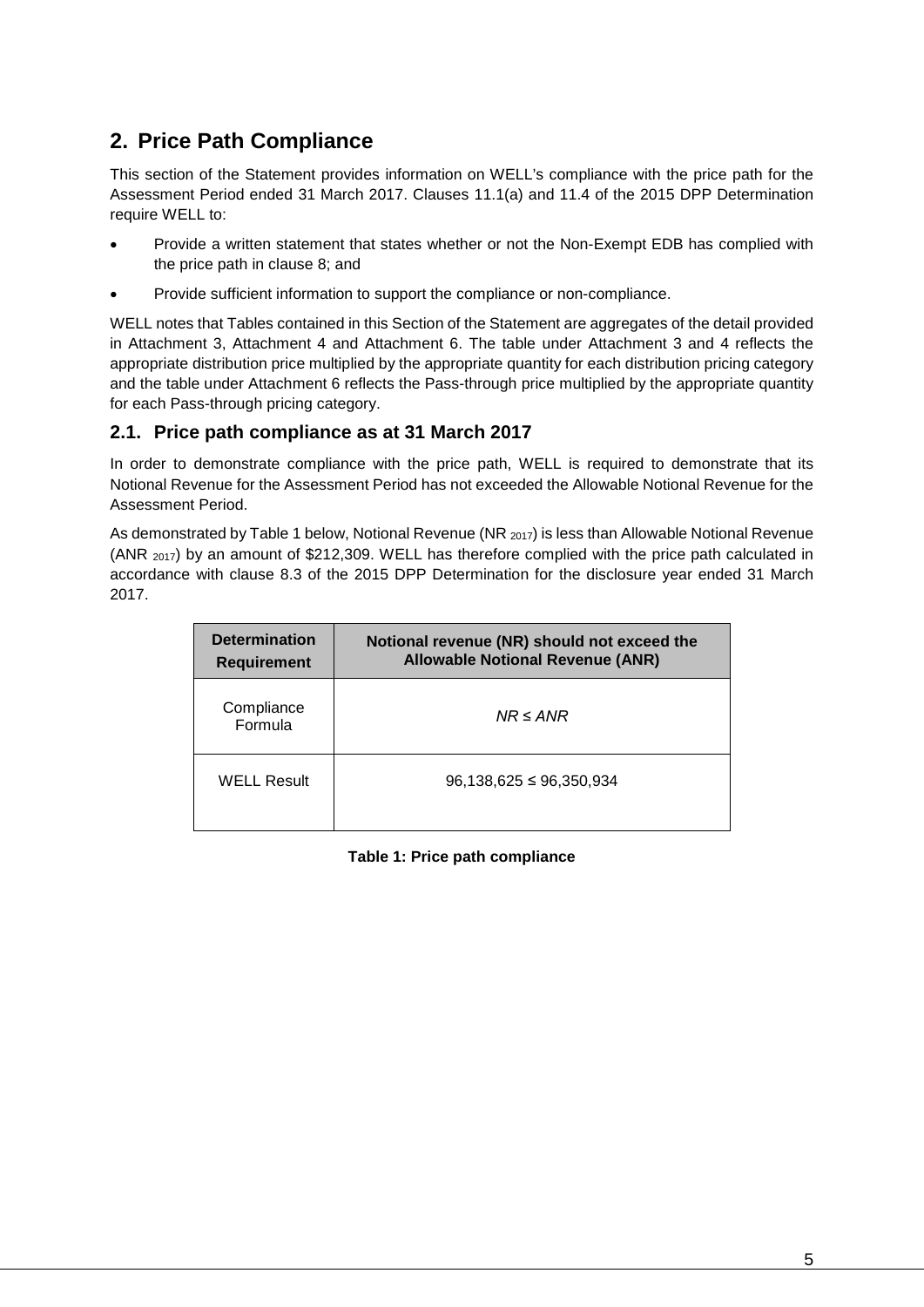## <span id="page-4-0"></span>**2. Price Path Compliance**

This section of the Statement provides information on WELL's compliance with the price path for the Assessment Period ended 31 March 2017. Clauses 11.1(a) and 11.4 of the 2015 DPP Determination require WELL to:

- Provide a written statement that states whether or not the Non-Exempt EDB has complied with the price path in clause 8; and
- Provide sufficient information to support the compliance or non-compliance.

WELL notes that Tables contained in this Section of the Statement are aggregates of the detail provided in Attachment 3, Attachment 4 and Attachment 6. The table under Attachment 3 and 4 reflects the appropriate distribution price multiplied by the appropriate quantity for each distribution pricing category and the table under Attachment 6 reflects the Pass-through price multiplied by the appropriate quantity for each Pass-through pricing category.

#### <span id="page-4-1"></span>**2.1. Price path compliance as at 31 March 2017**

In order to demonstrate compliance with the price path, WELL is required to demonstrate that its Notional Revenue for the Assessment Period has not exceeded the Allowable Notional Revenue for the Assessment Period.

As demonstrated by [Table 1](#page-4-2) below, Notional Revenue (NR 2017) is less than Allowable Notional Revenue (ANR 2017) by an amount of \$212,309. WELL has therefore complied with the price path calculated in accordance with clause 8.3 of the 2015 DPP Determination for the disclosure year ended 31 March 2017.

<span id="page-4-2"></span>

| <b>Determination</b><br><b>Requirement</b> | Notional revenue (NR) should not exceed the<br><b>Allowable Notional Revenue (ANR)</b> |
|--------------------------------------------|----------------------------------------------------------------------------------------|
| Compliance<br>Formula                      | $NR \leq ANR$                                                                          |
| <b>WELL Result</b>                         | $96,138,625 \le 96,350,934$                                                            |

**Table 1: Price path compliance**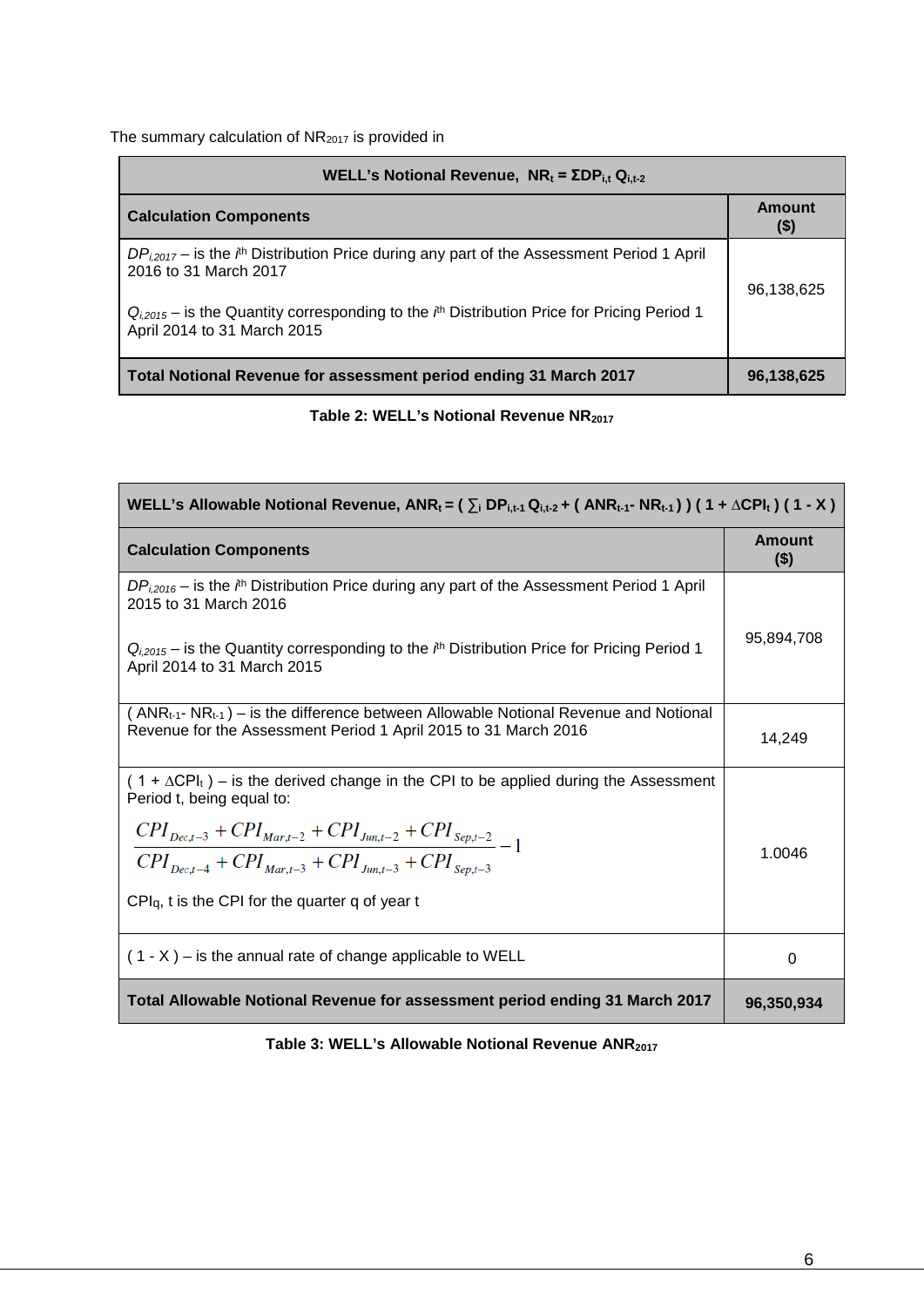The summary calculation of NR2017 is provided in

| <b>WELL's Notional Revenue, NR</b> <sub>t</sub> = $\Sigma DP_{i,t} Q_{i,t-2}$                                                                                                                                                                                   |                   |  |  |  |  |
|-----------------------------------------------------------------------------------------------------------------------------------------------------------------------------------------------------------------------------------------------------------------|-------------------|--|--|--|--|
| <b>Calculation Components</b>                                                                                                                                                                                                                                   | Amount<br>$($ \$) |  |  |  |  |
| $DP_{i,2017}$ – is the $i^{th}$ Distribution Price during any part of the Assessment Period 1 April<br>2016 to 31 March 2017<br>$Q_{i2015}$ – is the Quantity corresponding to the $l^h$ Distribution Price for Pricing Period 1<br>April 2014 to 31 March 2015 | 96,138,625        |  |  |  |  |
| Total Notional Revenue for assessment period ending 31 March 2017                                                                                                                                                                                               | 96,138,625        |  |  |  |  |

**Table 2: WELL's Notional Revenue NR2017** 

| WELL's Allowable Notional Revenue, $ANR_t = (\sum_i DP_{i,t-1}Q_{i,t-2} + (ANR_{t-1}-NR_{t-1}))$ (1+ $\triangle CPl_t$ ) (1 - X)                        |                          |  |  |  |
|---------------------------------------------------------------------------------------------------------------------------------------------------------|--------------------------|--|--|--|
| <b>Calculation Components</b>                                                                                                                           | <b>Amount</b><br>$($ \$) |  |  |  |
| $DP_{i,2016}$ – is the $ith$ Distribution Price during any part of the Assessment Period 1 April<br>2015 to 31 March 2016                               |                          |  |  |  |
| $Q_{i,2015}$ – is the Quantity corresponding to the $i^h$ Distribution Price for Pricing Period 1<br>April 2014 to 31 March 2015                        | 95,894,708               |  |  |  |
| $(ANRt-1-NRt-1)$ – is the difference between Allowable Notional Revenue and Notional<br>Revenue for the Assessment Period 1 April 2015 to 31 March 2016 | 14,249                   |  |  |  |
| $(1 + \Delta CPI_t)$ – is the derived change in the CPI to be applied during the Assessment<br>Period t, being equal to:                                |                          |  |  |  |
| $\frac{CPI_{Dec,t-3}+CPI_{Mar,t-2}+CPI_{Jun,t-2}+CPI_{sep,t-2}}{CPI_{Dec,t-4}+CPI_{Mar,t-3}+CPI_{Jun,t-3}+CPI_{sep,t-3}}-1$                             | 1.0046                   |  |  |  |
| $CPIq$ , t is the CPI for the quarter q of year t                                                                                                       |                          |  |  |  |
| $(1 - X)$ – is the annual rate of change applicable to WELL                                                                                             | 0                        |  |  |  |
| Total Allowable Notional Revenue for assessment period ending 31 March 2017                                                                             | 96,350,934               |  |  |  |

**Table 3: WELL's Allowable Notional Revenue ANR2017**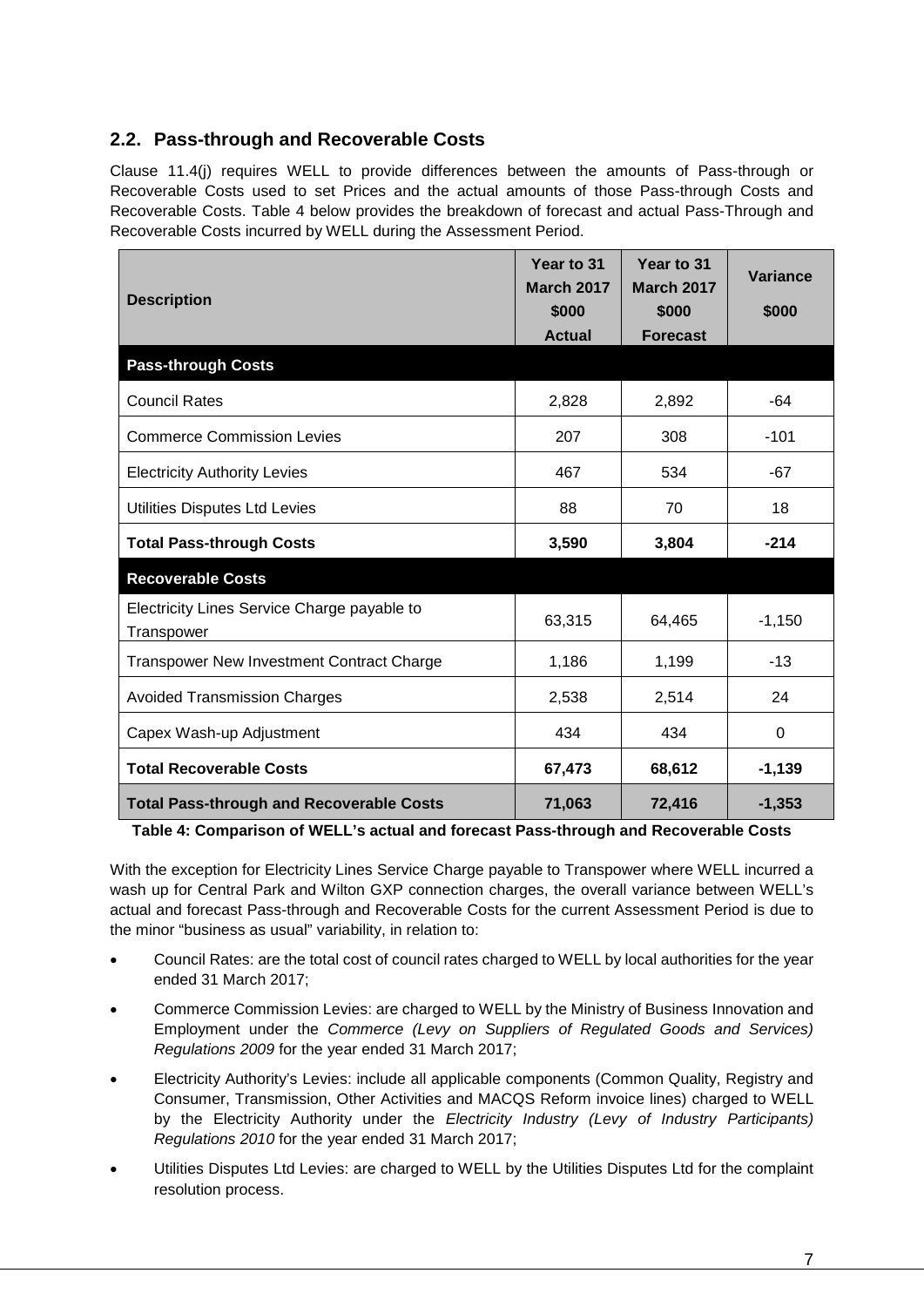### <span id="page-6-0"></span>**2.2. Pass-through and Recoverable Costs**

Clause 11.4(j) requires WELL to provide differences between the amounts of Pass-through or Recoverable Costs used to set Prices and the actual amounts of those Pass-through Costs and Recoverable Costs. [Table 4](#page-6-1) below provides the breakdown of forecast and actual Pass-Through and Recoverable Costs incurred by WELL during the Assessment Period.

| <b>Description</b>                                        | Year to 31<br><b>March 2017</b><br>\$000<br><b>Actual</b> | Year to 31<br><b>March 2017</b><br>\$000<br><b>Forecast</b> | <b>Variance</b><br>\$000 |
|-----------------------------------------------------------|-----------------------------------------------------------|-------------------------------------------------------------|--------------------------|
| <b>Pass-through Costs</b>                                 |                                                           |                                                             |                          |
| <b>Council Rates</b>                                      | 2,828                                                     | 2,892                                                       | -64                      |
| <b>Commerce Commission Levies</b>                         | 207                                                       | 308                                                         | $-101$                   |
| <b>Electricity Authority Levies</b>                       | 467                                                       | 534                                                         | $-67$                    |
| Utilities Disputes Ltd Levies                             | 88                                                        | 70                                                          | 18                       |
| <b>Total Pass-through Costs</b>                           | 3,590                                                     | 3,804                                                       | $-214$                   |
| <b>Recoverable Costs</b>                                  |                                                           |                                                             |                          |
| Electricity Lines Service Charge payable to<br>Transpower | 63,315                                                    | 64,465                                                      | $-1,150$                 |
| Transpower New Investment Contract Charge                 | 1,186                                                     | 1,199                                                       | $-13$                    |
| <b>Avoided Transmission Charges</b>                       | 2,538                                                     | 2,514                                                       | 24                       |
| Capex Wash-up Adjustment                                  | 434                                                       | 434                                                         | $\Omega$                 |
| <b>Total Recoverable Costs</b>                            | 67,473                                                    | 68,612                                                      | $-1,139$                 |
| <b>Total Pass-through and Recoverable Costs</b>           | 71,063                                                    | 72,416                                                      | $-1,353$                 |

<span id="page-6-1"></span>**Table 4: Comparison of WELL's actual and forecast Pass-through and Recoverable Costs** 

With the exception for Electricity Lines Service Charge payable to Transpower where WELL incurred a wash up for Central Park and Wilton GXP connection charges, the overall variance between WELL's actual and forecast Pass-through and Recoverable Costs for the current Assessment Period is due to the minor "business as usual" variability, in relation to:

- Council Rates: are the total cost of council rates charged to WELL by local authorities for the year ended 31 March 2017;
- Commerce Commission Levies: are charged to WELL by the Ministry of Business Innovation and Employment under the *Commerce (Levy on Suppliers of Regulated Goods and Services) Regulations 2009* for the year ended 31 March 2017;
- Electricity Authority's Levies: include all applicable components (Common Quality, Registry and Consumer, Transmission, Other Activities and MACQS Reform invoice lines) charged to WELL by the Electricity Authority under the *Electricity Industry (Levy of Industry Participants) Regulations 2010* for the year ended 31 March 2017;
- Utilities Disputes Ltd Levies: are charged to WELL by the Utilities Disputes Ltd for the complaint resolution process.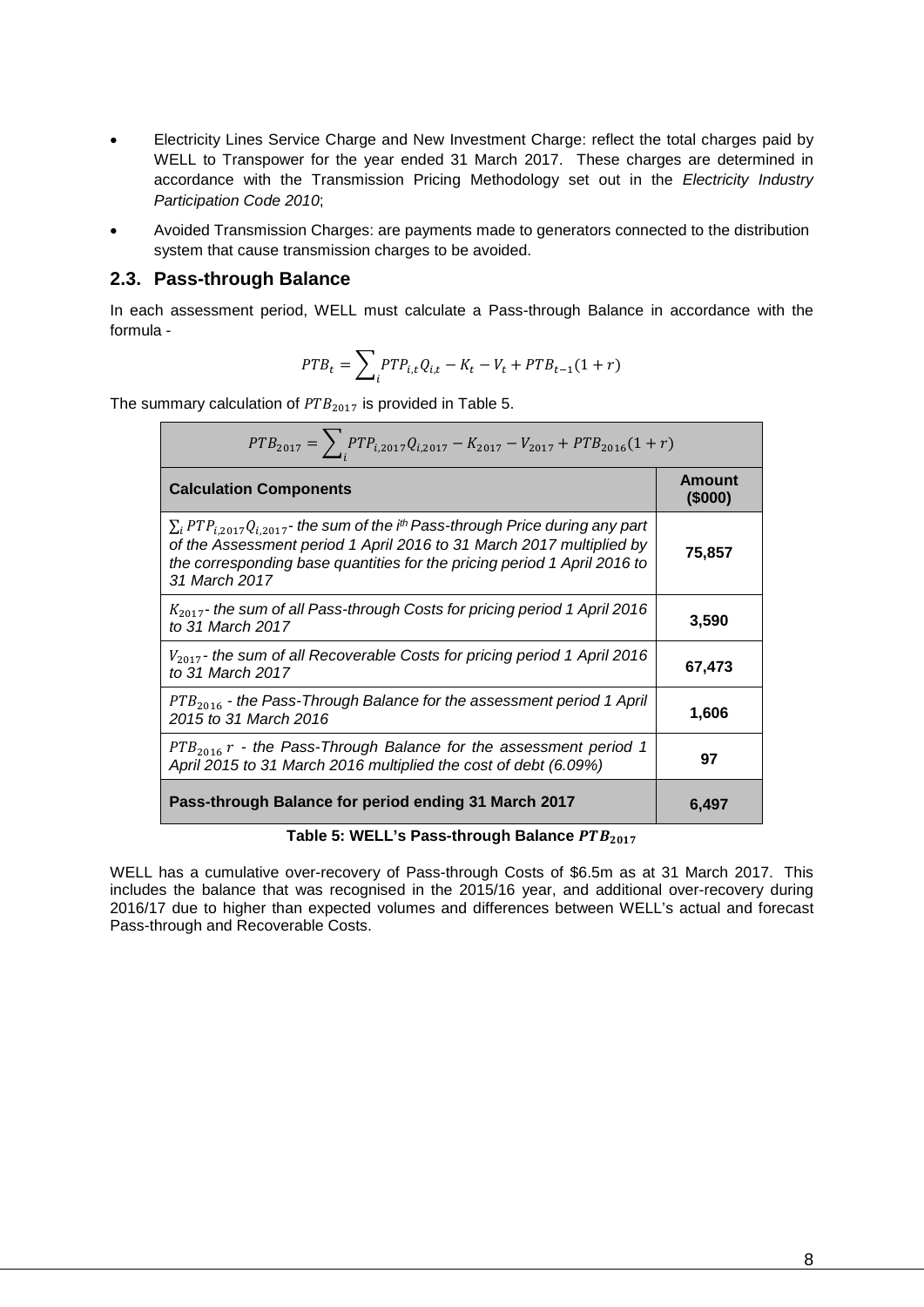- Electricity Lines Service Charge and New Investment Charge: reflect the total charges paid by WELL to Transpower for the year ended 31 March 2017. These charges are determined in accordance with the Transmission Pricing Methodology set out in the *Electricity Industry Participation Code 2010*;
- Avoided Transmission Charges: are payments made to generators connected to the distribution system that cause transmission charges to be avoided.

#### <span id="page-7-0"></span>**2.3. Pass-through Balance**

In each assessment period, WELL must calculate a Pass-through Balance in accordance with the formula -

$$
PTB_t = \sum_i PTP_{i,t}Q_{i,t} - K_t - V_t + PTB_{t-1}(1+r)
$$

The summary calculation of  $PTB<sub>2017</sub>$  is provided in [Table 5.](#page-7-1)

| $PTB_{2017} = \sum_i PTP_{i,2017}Q_{i,2017} - K_{2017} - V_{2017} + PTB_{2016}(1+r)$                                                                                                                                                                                     |                         |
|--------------------------------------------------------------------------------------------------------------------------------------------------------------------------------------------------------------------------------------------------------------------------|-------------------------|
| <b>Calculation Components</b>                                                                                                                                                                                                                                            | <b>Amount</b><br>(5000) |
| $\sum_i PTP_{i,2017}Q_{i,2017}$ - the sum of the i <sup>th</sup> Pass-through Price during any part<br>of the Assessment period 1 April 2016 to 31 March 2017 multiplied by<br>the corresponding base quantities for the pricing period 1 April 2016 to<br>31 March 2017 | 75,857                  |
| $K_{2017}$ - the sum of all Pass-through Costs for pricing period 1 April 2016<br>to 31 March 2017                                                                                                                                                                       | 3,590                   |
| $V_{2017}$ - the sum of all Recoverable Costs for pricing period 1 April 2016<br>to 31 March 2017                                                                                                                                                                        | 67,473                  |
| $PTB2016$ - the Pass-Through Balance for the assessment period 1 April<br>2015 to 31 March 2016                                                                                                                                                                          | 1,606                   |
| $PTB2016 r$ - the Pass-Through Balance for the assessment period 1<br>April 2015 to 31 March 2016 multiplied the cost of debt (6.09%)                                                                                                                                    | 97                      |
| Pass-through Balance for period ending 31 March 2017                                                                                                                                                                                                                     | 6,497                   |

Table 5: WELL's Pass-through Balance  $PTB_{2017}$ 

<span id="page-7-1"></span>WELL has a cumulative over-recovery of Pass-through Costs of \$6.5m as at 31 March 2017. This includes the balance that was recognised in the 2015/16 year, and additional over-recovery during 2016/17 due to higher than expected volumes and differences between WELL's actual and forecast Pass-through and Recoverable Costs.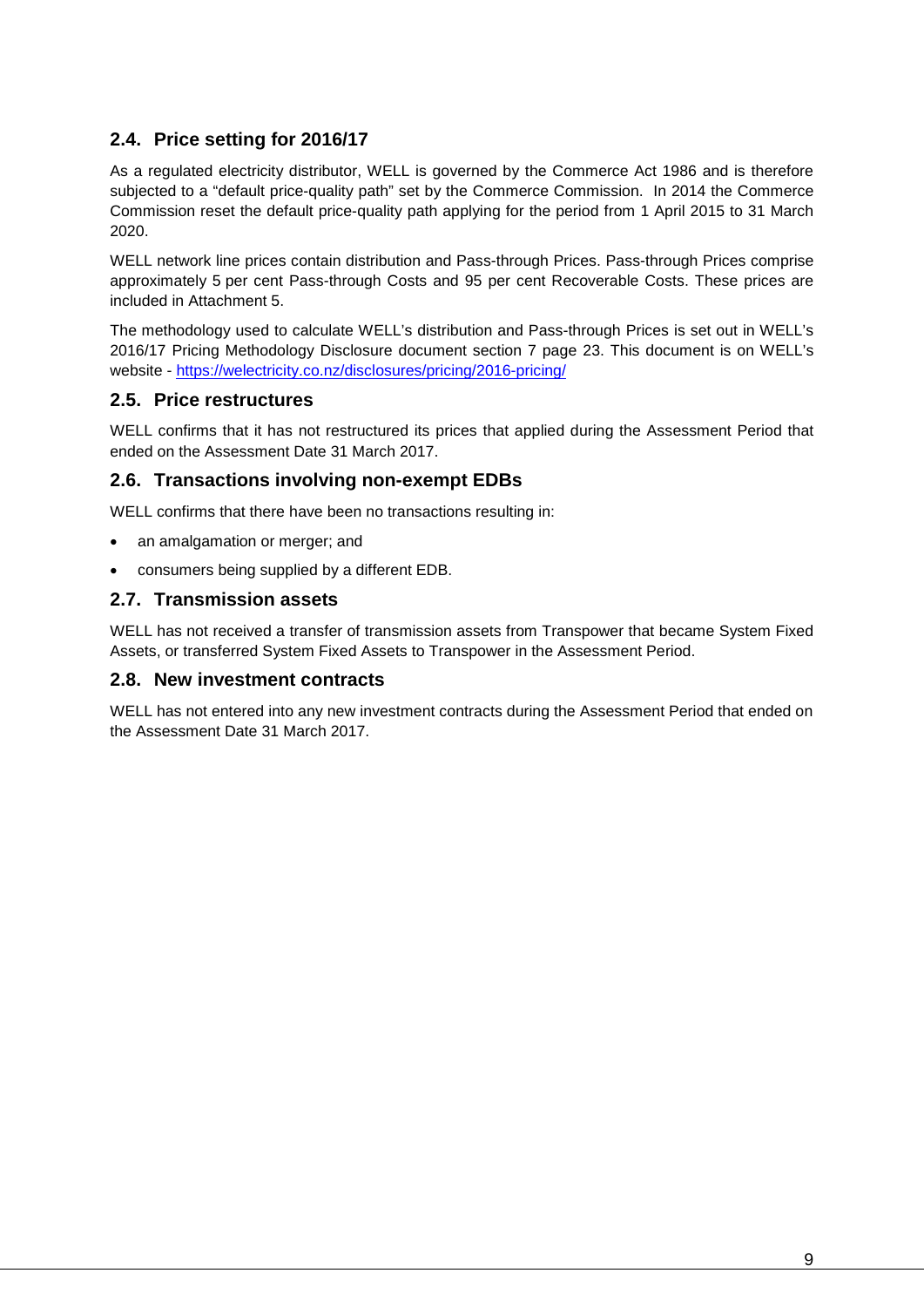## <span id="page-8-0"></span>**2.4. Price setting for 2016/17**

As a regulated electricity distributor, WELL is governed by the Commerce Act 1986 and is therefore subjected to a "default price-quality path" set by the Commerce Commission. In 2014 the Commerce Commission reset the default price-quality path applying for the period from 1 April 2015 to 31 March 2020.

WELL network line prices contain distribution and Pass-through Prices. Pass-through Prices comprise approximately 5 per cent Pass-through Costs and 95 per cent Recoverable Costs. These prices are included in Attachment 5.

The methodology used to calculate WELL's distribution and Pass-through Prices is set out in WELL's 2016/17 Pricing Methodology Disclosure document section 7 page 23. This document is on WELL's website - <https://welectricity.co.nz/disclosures/pricing/2016-pricing/>

#### <span id="page-8-1"></span>**2.5. Price restructures**

WELL confirms that it has not restructured its prices that applied during the Assessment Period that ended on the Assessment Date 31 March 2017.

#### <span id="page-8-2"></span>**2.6. Transactions involving non-exempt EDBs**

WELL confirms that there have been no transactions resulting in:

- an amalgamation or merger; and
- consumers being supplied by a different EDB.

#### <span id="page-8-3"></span>**2.7. Transmission assets**

WELL has not received a transfer of transmission assets from Transpower that became System Fixed Assets, or transferred System Fixed Assets to Transpower in the Assessment Period.

#### <span id="page-8-4"></span>**2.8. New investment contracts**

<span id="page-8-5"></span>WELL has not entered into any new investment contracts during the Assessment Period that ended on the Assessment Date 31 March 2017.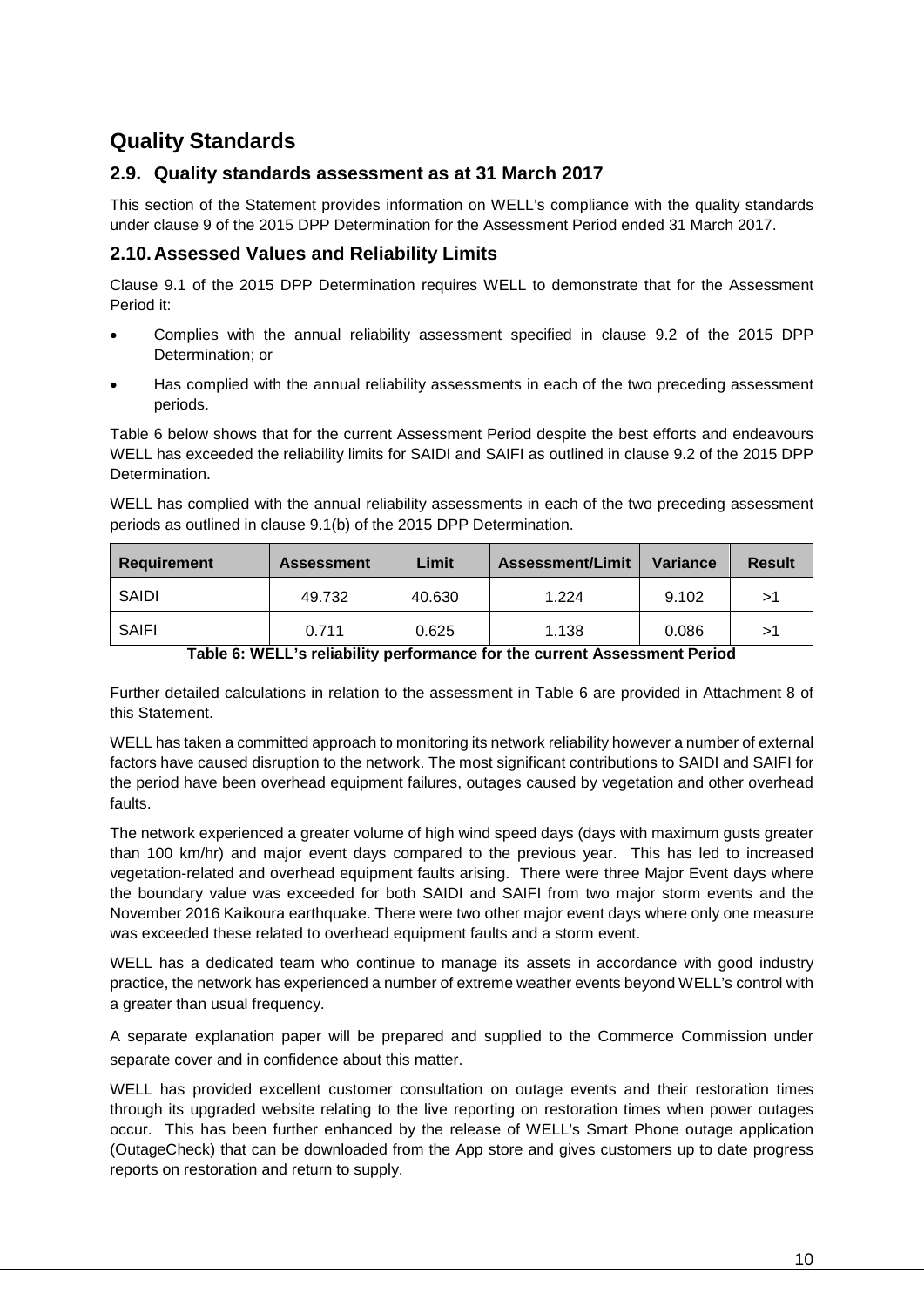## **Quality Standards**

#### <span id="page-9-0"></span>**2.9. Quality standards assessment as at 31 March 2017**

This section of the Statement provides information on WELL's compliance with the quality standards under clause 9 of the 2015 DPP Determination for the Assessment Period ended 31 March 2017.

#### <span id="page-9-1"></span>**2.10.Assessed Values and Reliability Limits**

Clause 9.1 of the 2015 DPP Determination requires WELL to demonstrate that for the Assessment Period it:

- Complies with the annual reliability assessment specified in clause 9.2 of the 2015 DPP Determination; or
- Has complied with the annual reliability assessments in each of the two preceding assessment periods.

Table 6 below shows that for the current Assessment Period despite the best efforts and endeavours WELL has exceeded the reliability limits for SAIDI and SAIFI as outlined in clause 9.2 of the 2015 DPP Determination.

WELL has complied with the annual reliability assessments in each of the two preceding assessment periods as outlined in clause 9.1(b) of the 2015 DPP Determination.

| <b>Requirement</b> | <b>Assessment</b> | Limit  | <b>Assessment/Limit</b> | Variance | <b>Result</b> |
|--------------------|-------------------|--------|-------------------------|----------|---------------|
| SAIDI              | 49.732            | 40.630 | 1.224                   | 9.102    | >1            |
| SAIFI              | 0.711             | 0.625  | 1.138                   | 0.086    | >1            |
|                    |                   |        |                         |          |               |

**Table 6: WELL's reliability performance for the current Assessment Period**

Further detailed calculations in relation to the assessment in Table 6 are provided in Attachment 8 of this Statement.

WELL has taken a committed approach to monitoring its network reliability however a number of external factors have caused disruption to the network. The most significant contributions to SAIDI and SAIFI for the period have been overhead equipment failures, outages caused by vegetation and other overhead faults.

The network experienced a greater volume of high wind speed days (days with maximum gusts greater than 100 km/hr) and major event days compared to the previous year. This has led to increased vegetation-related and overhead equipment faults arising. There were three Major Event days where the boundary value was exceeded for both SAIDI and SAIFI from two major storm events and the November 2016 Kaikoura earthquake. There were two other major event days where only one measure was exceeded these related to overhead equipment faults and a storm event.

WELL has a dedicated team who continue to manage its assets in accordance with good industry practice, the network has experienced a number of extreme weather events beyond WELL's control with a greater than usual frequency.

A separate explanation paper will be prepared and supplied to the Commerce Commission under separate cover and in confidence about this matter.

WELL has provided excellent customer consultation on outage events and their restoration times through its upgraded website relating to the live reporting on restoration times when power outages occur. This has been further enhanced by the release of WELL's Smart Phone outage application (OutageCheck) that can be downloaded from the App store and gives customers up to date progress reports on restoration and return to supply.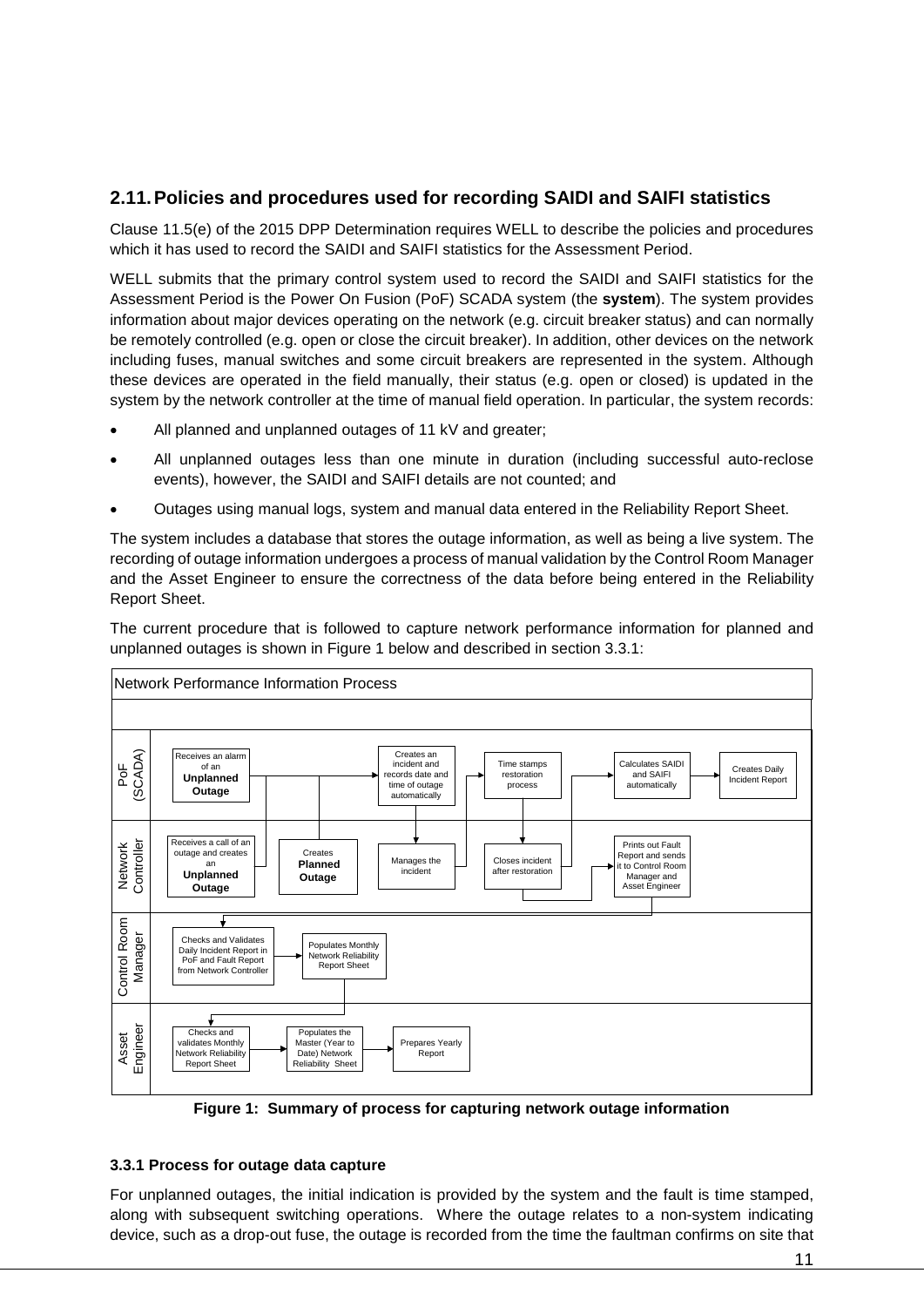#### <span id="page-10-0"></span>**2.11.Policies and procedures used for recording SAIDI and SAIFI statistics**

Clause 11.5(e) of the 2015 DPP Determination requires WELL to describe the policies and procedures which it has used to record the SAIDI and SAIFI statistics for the Assessment Period.

WELL submits that the primary control system used to record the SAIDI and SAIFI statistics for the Assessment Period is the Power On Fusion (PoF) SCADA system (the **system**). The system provides information about major devices operating on the network (e.g. circuit breaker status) and can normally be remotely controlled (e.g. open or close the circuit breaker). In addition, other devices on the network including fuses, manual switches and some circuit breakers are represented in the system. Although these devices are operated in the field manually, their status (e.g. open or closed) is updated in the system by the network controller at the time of manual field operation. In particular, the system records:

- All planned and unplanned outages of 11 kV and greater;
- All unplanned outages less than one minute in duration (including successful auto-reclose events), however, the SAIDI and SAIFI details are not counted; and
- Outages using manual logs, system and manual data entered in the Reliability Report Sheet.

The system includes a database that stores the outage information, as well as being a live system. The recording of outage information undergoes a process of manual validation by the Control Room Manager and the Asset Engineer to ensure the correctness of the data before being entered in the Reliability Report Sheet.

The current procedure that is followed to capture network performance information for planned and unplanned outages is shown in Figure 1 below and described in section 3.3.1:



**Figure 1: Summary of process for capturing network outage information**

#### <span id="page-10-1"></span>**3.3.1 Process for outage data capture**

For unplanned outages, the initial indication is provided by the system and the fault is time stamped, along with subsequent switching operations. Where the outage relates to a non-system indicating device, such as a drop-out fuse, the outage is recorded from the time the faultman confirms on site that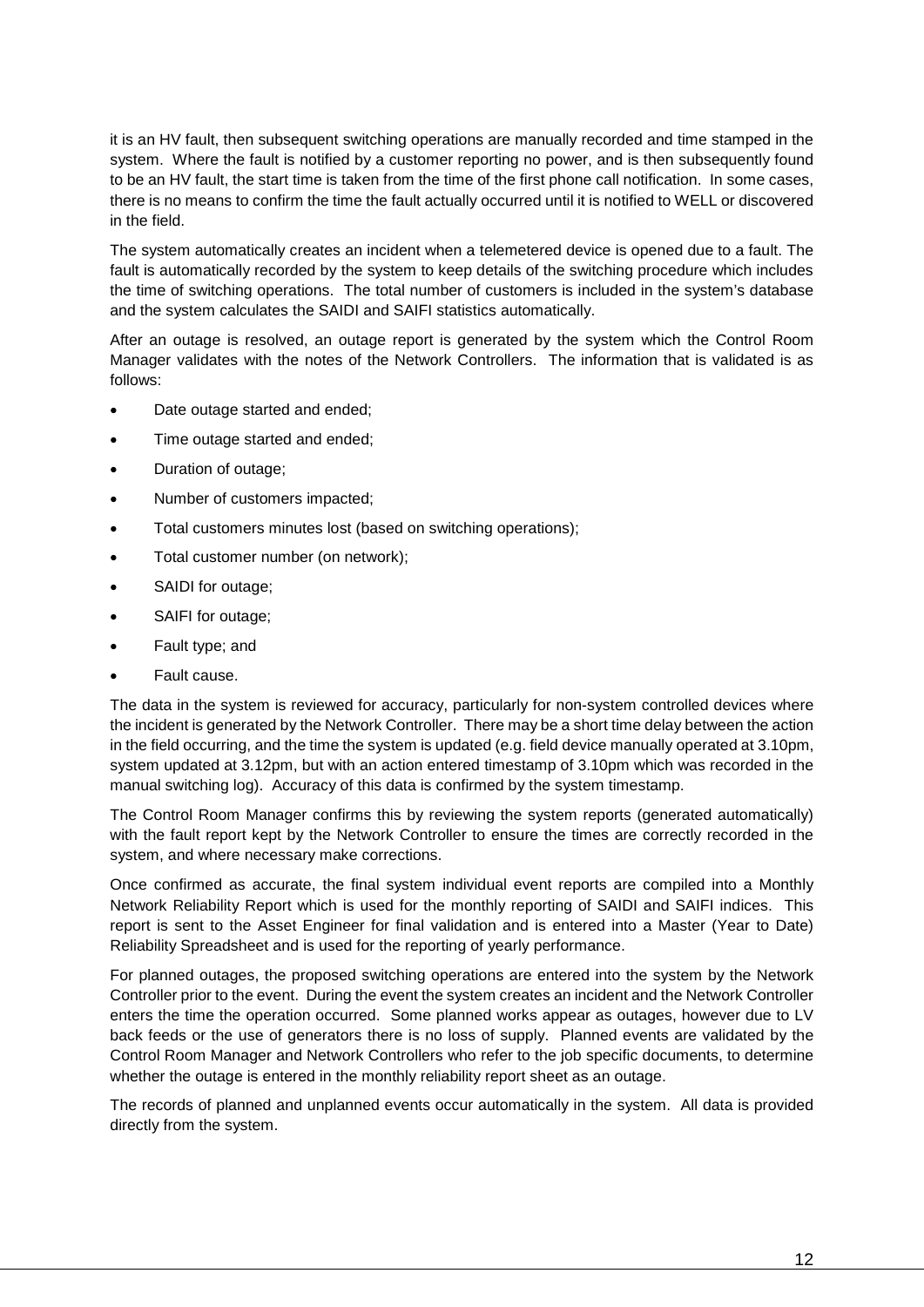it is an HV fault, then subsequent switching operations are manually recorded and time stamped in the system. Where the fault is notified by a customer reporting no power, and is then subsequently found to be an HV fault, the start time is taken from the time of the first phone call notification. In some cases, there is no means to confirm the time the fault actually occurred until it is notified to WELL or discovered in the field.

The system automatically creates an incident when a telemetered device is opened due to a fault. The fault is automatically recorded by the system to keep details of the switching procedure which includes the time of switching operations. The total number of customers is included in the system's database and the system calculates the SAIDI and SAIFI statistics automatically.

After an outage is resolved, an outage report is generated by the system which the Control Room Manager validates with the notes of the Network Controllers. The information that is validated is as follows:

- Date outage started and ended;
- Time outage started and ended;
- Duration of outage;
- Number of customers impacted;
- Total customers minutes lost (based on switching operations);
- Total customer number (on network);
- SAIDI for outage;
- SAIFI for outage;
- Fault type; and
- Fault cause.

The data in the system is reviewed for accuracy, particularly for non-system controlled devices where the incident is generated by the Network Controller. There may be a short time delay between the action in the field occurring, and the time the system is updated (e.g. field device manually operated at 3.10pm, system updated at 3.12pm, but with an action entered timestamp of 3.10pm which was recorded in the manual switching log). Accuracy of this data is confirmed by the system timestamp.

The Control Room Manager confirms this by reviewing the system reports (generated automatically) with the fault report kept by the Network Controller to ensure the times are correctly recorded in the system, and where necessary make corrections.

Once confirmed as accurate, the final system individual event reports are compiled into a Monthly Network Reliability Report which is used for the monthly reporting of SAIDI and SAIFI indices. This report is sent to the Asset Engineer for final validation and is entered into a Master (Year to Date) Reliability Spreadsheet and is used for the reporting of yearly performance.

For planned outages, the proposed switching operations are entered into the system by the Network Controller prior to the event. During the event the system creates an incident and the Network Controller enters the time the operation occurred. Some planned works appear as outages, however due to LV back feeds or the use of generators there is no loss of supply. Planned events are validated by the Control Room Manager and Network Controllers who refer to the job specific documents, to determine whether the outage is entered in the monthly reliability report sheet as an outage.

The records of planned and unplanned events occur automatically in the system. All data is provided directly from the system.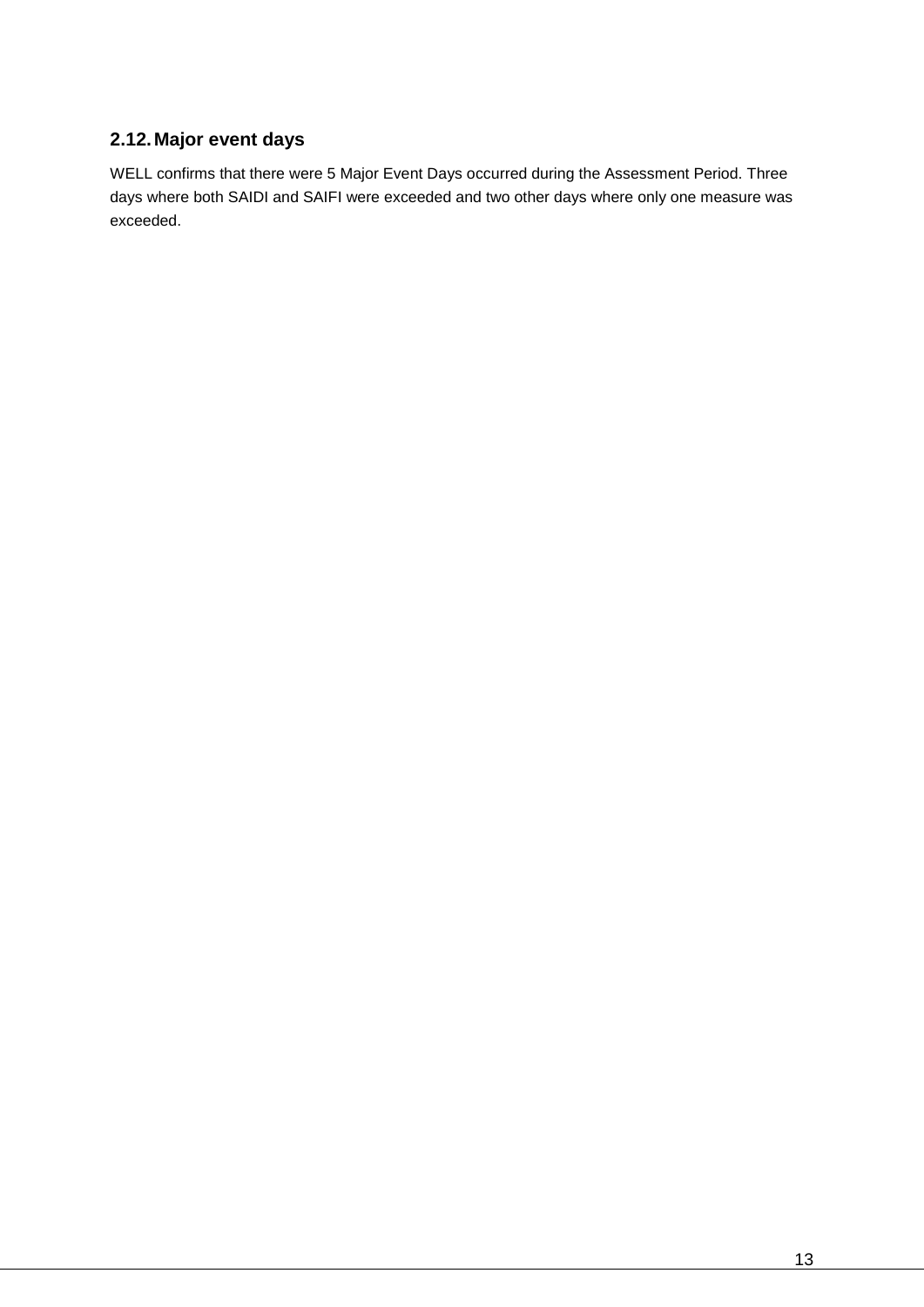## <span id="page-12-0"></span>**2.12.Major event days**

WELL confirms that there were 5 Major Event Days occurred during the Assessment Period. Three days where both SAIDI and SAIFI were exceeded and two other days where only one measure was exceeded.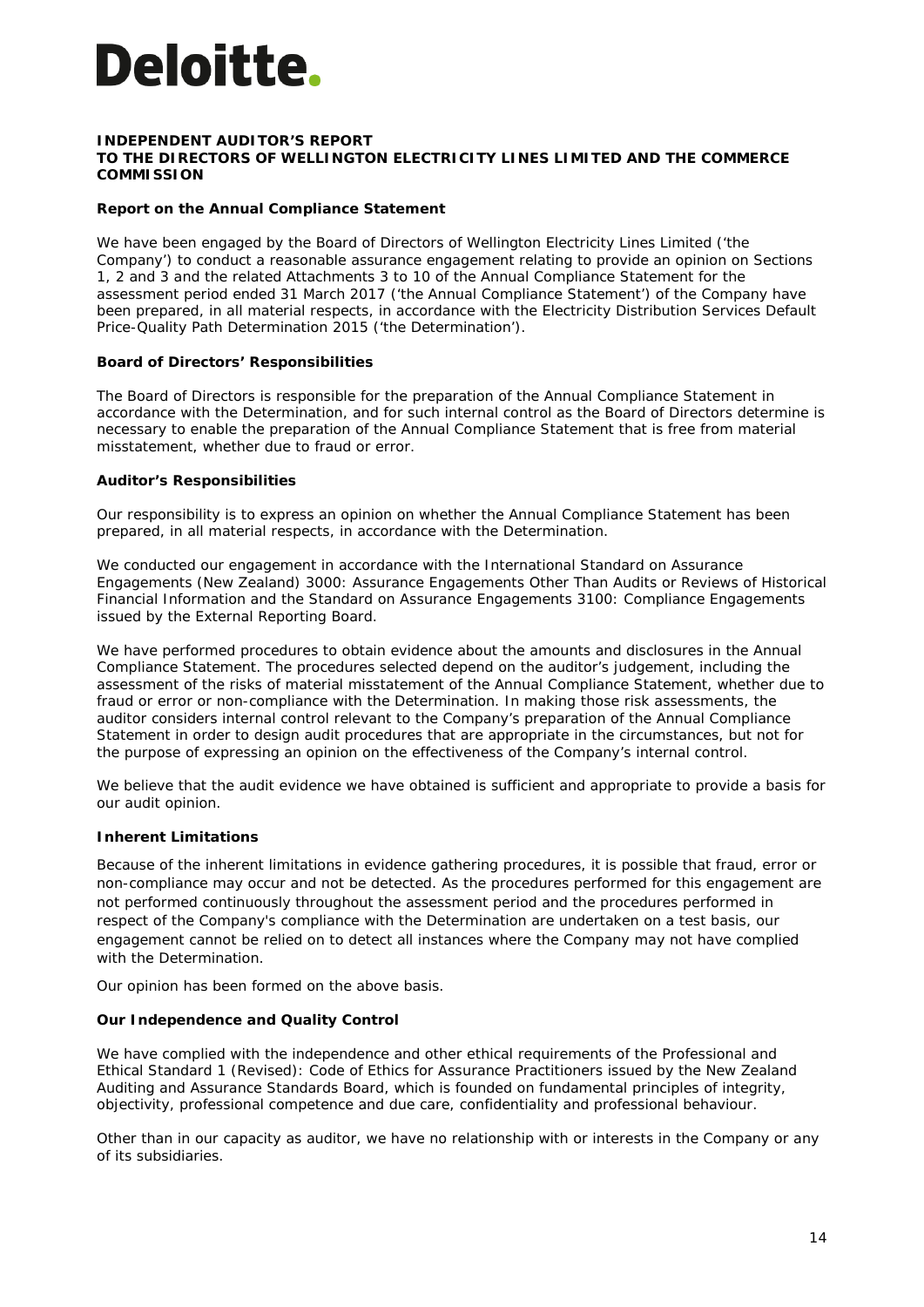# Deloitte.

#### **INDEPENDENT AUDITOR'S REPORT TO THE DIRECTORS OF WELLINGTON ELECTRICITY LINES LIMITED AND THE COMMERCE COMMISSION**

#### **Report on the Annual Compliance Statement**

We have been engaged by the Board of Directors of Wellington Electricity Lines Limited ('the Company') to conduct a reasonable assurance engagement relating to provide an opinion on Sections 1, 2 and 3 and the related Attachments 3 to 10 of the Annual Compliance Statement for the assessment period ended 31 March 2017 ('the Annual Compliance Statement') of the Company have been prepared, in all material respects, in accordance with the Electricity Distribution Services Default Price-Quality Path Determination 2015 ('the Determination').

#### **Board of Directors' Responsibilities**

The Board of Directors is responsible for the preparation of the Annual Compliance Statement in accordance with the Determination, and for such internal control as the Board of Directors determine is necessary to enable the preparation of the Annual Compliance Statement that is free from material misstatement, whether due to fraud or error.

#### **Auditor's Responsibilities**

Our responsibility is to express an opinion on whether the Annual Compliance Statement has been prepared, in all material respects, in accordance with the Determination.

We conducted our engagement in accordance with the International Standard on Assurance Engagements (New Zealand) 3000: *Assurance Engagements Other Than Audits or Reviews of Historical Financial Information* and the Standard on Assurance Engagements 3100: *Compliance Engagements* issued by the External Reporting Board.

We have performed procedures to obtain evidence about the amounts and disclosures in the Annual Compliance Statement. The procedures selected depend on the auditor's judgement, including the assessment of the risks of material misstatement of the Annual Compliance Statement, whether due to fraud or error or non-compliance with the Determination. In making those risk assessments, the auditor considers internal control relevant to the Company's preparation of the Annual Compliance Statement in order to design audit procedures that are appropriate in the circumstances, but not for the purpose of expressing an opinion on the effectiveness of the Company's internal control.

We believe that the audit evidence we have obtained is sufficient and appropriate to provide a basis for our audit opinion.

#### **Inherent Limitations**

Because of the inherent limitations in evidence gathering procedures, it is possible that fraud, error or non-compliance may occur and not be detected. As the procedures performed for this engagement are not performed continuously throughout the assessment period and the procedures performed in respect of the Company's compliance with the Determination are undertaken on a test basis, our engagement cannot be relied on to detect all instances where the Company may not have complied with the Determination.

Our opinion has been formed on the above basis.

#### **Our Independence and Quality Control**

We have complied with the independence and other ethical requirements of the Professional and Ethical Standard 1 (Revised): *Code of Ethics for Assurance Practitioners* issued by the New Zealand Auditing and Assurance Standards Board, which is founded on fundamental principles of integrity, objectivity, professional competence and due care, confidentiality and professional behaviour.

Other than in our capacity as auditor, we have no relationship with or interests in the Company or any of its subsidiaries.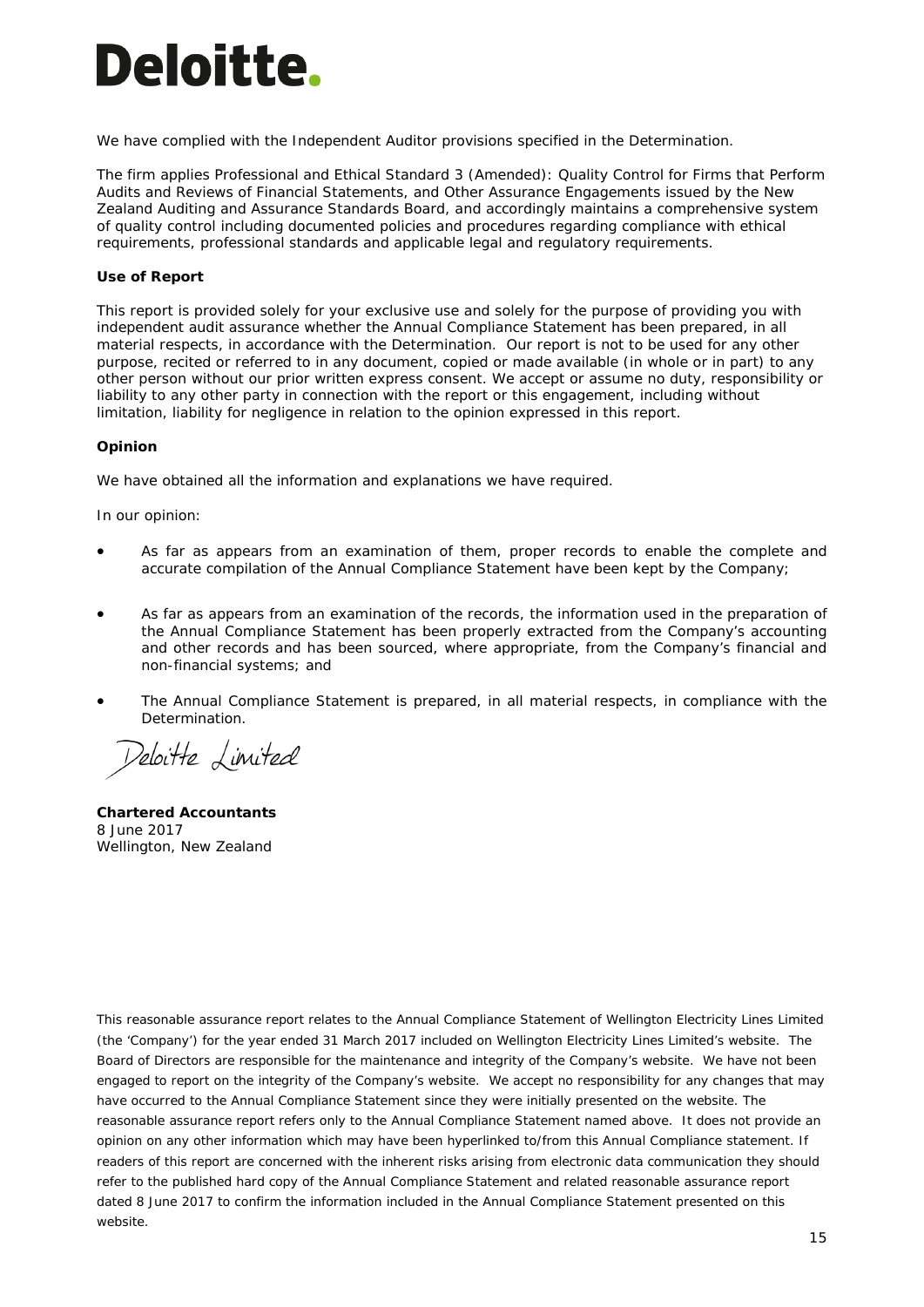# **Deloitte.**

We have complied with the Independent Auditor provisions specified in the Determination.

The firm applies Professional and Ethical Standard 3 (Amended): *Quality Control for Firms that Perform*  Audits and Reviews of Financial Statements, and Other Assurance Engagements issued by the New Zealand Auditing and Assurance Standards Board*,* and accordingly maintains a comprehensive system of quality control including documented policies and procedures regarding compliance with ethical requirements, professional standards and applicable legal and regulatory requirements.

#### **Use of Report**

This report is provided solely for your exclusive use and solely for the purpose of providing you with independent audit assurance whether the Annual Compliance Statement has been prepared, in all material respects, in accordance with the Determination. Our report is not to be used for any other purpose, recited or referred to in any document, copied or made available (in whole or in part) to any other person without our prior written express consent. We accept or assume no duty, responsibility or liability to any other party in connection with the report or this engagement, including without limitation, liability for negligence in relation to the opinion expressed in this report.

#### **Opinion**

We have obtained all the information and explanations we have required.

In our opinion:

- As far as appears from an examination of them, proper records to enable the complete and accurate compilation of the Annual Compliance Statement have been kept by the Company;
- As far as appears from an examination of the records, the information used in the preparation of the Annual Compliance Statement has been properly extracted from the Company's accounting and other records and has been sourced, where appropriate, from the Company's financial and non-financial systems; and
- The Annual Compliance Statement is prepared, in all material respects, in compliance with the Determination.

Deloitte Limited

**Chartered Accountants** 8 June 2017 Wellington, New Zealand

*This reasonable assurance report relates to the Annual Compliance Statement of Wellington Electricity Lines Limited (the 'Company') for the year ended 31 March 2017 included on Wellington Electricity Lines Limited's website. The Board of Directors are responsible for the maintenance and integrity of the Company's website. We have not been*  engaged to report on the integrity of the Company's website. We accept no responsibility for any changes that may *have occurred to the Annual Compliance Statement since they were initially presented on the website. The reasonable assurance report refers only to the Annual Compliance Statement named above. It does not provide an opinion on any other information which may have been hyperlinked to/from this Annual Compliance statement. If readers of this report are concerned with the inherent risks arising from electronic data communication they should refer to the published hard copy of the Annual Compliance Statement and related reasonable assurance report dated 8 June 2017 to confirm the information included in the Annual Compliance Statement presented on this website.*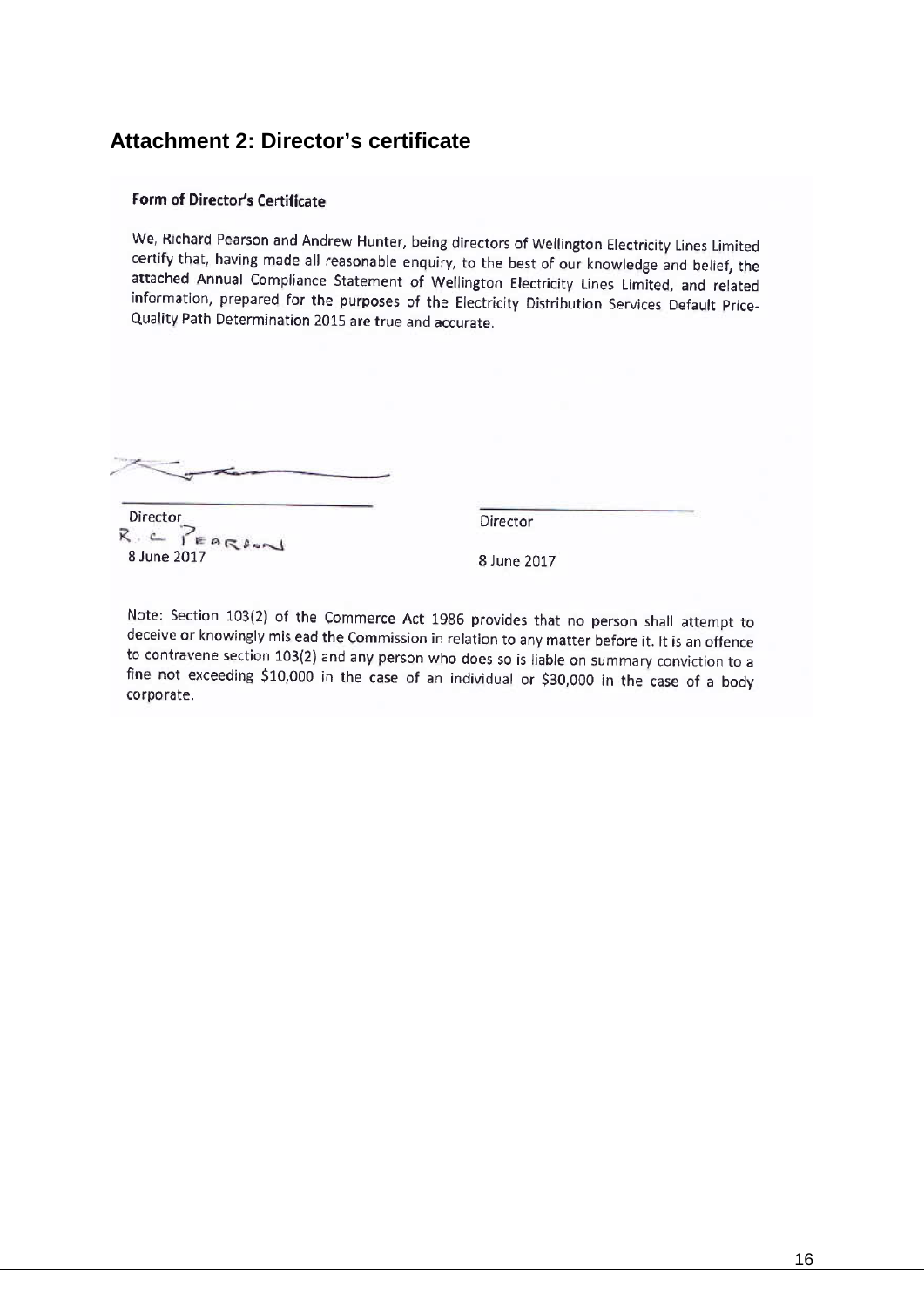## <span id="page-15-0"></span>**Attachment 2: Director's certificate**

#### Form of Director's Certificate

We, Richard Pearson and Andrew Hunter, being directors of Wellington Electricity Lines Limited certify that, having made all reasonable enquiry, to the best of our knowledge and belief, the attached Annual Compliance Statement of Wellington Electricity Lines Limited, and related information, prepared for the purposes of the Electricity Distribution Services Default Price-Quality Path Determination 2015 are true and accurate.

Director  $R_{\cdot} \leftarrow \sum_{k} P_{k} \left( R_{k} \right)$ 8 June 2017

Director

8 June 2017

Note: Section 103(2) of the Commerce Act 1986 provides that no person shall attempt to deceive or knowingly mislead the Commission in relation to any matter before it. It is an offence to contravene section 103(2) and any person who does so is liable on summary conviction to a fine not exceeding \$10,000 in the case of an individual or \$30,000 in the case of a body corporate.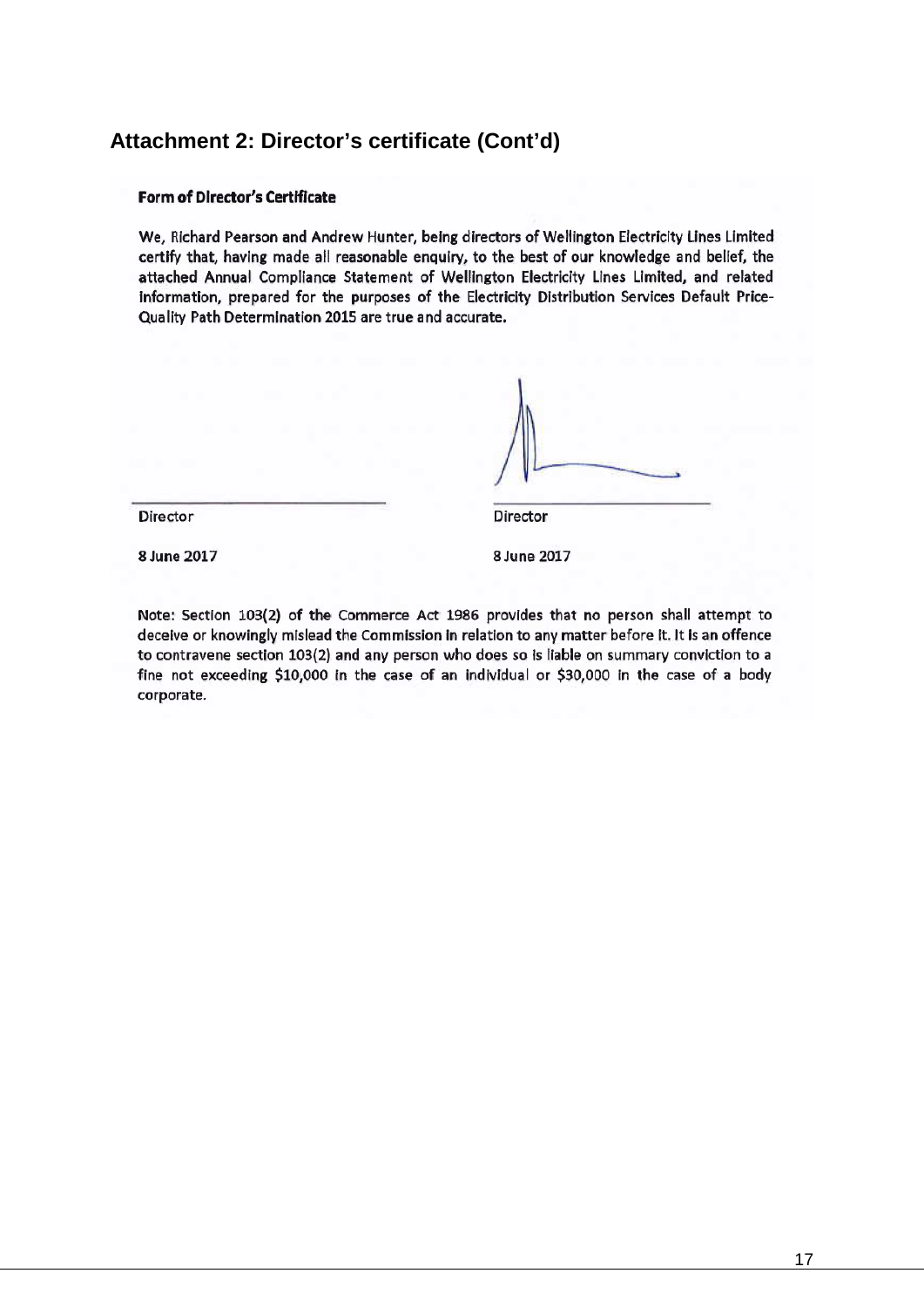## **Attachment 2: Director's certificate (Cont'd)**

#### **Form of Director's Certificate**

We, Richard Pearson and Andrew Hunter, being directors of Wellington Electricity Lines Limited certify that, having made all reasonable enguiry, to the best of our knowledge and belief, the attached Annual Compliance Statement of Wellington Electricity Lines Limited, and related information, prepared for the purposes of the Electricity Distribution Services Default Price-Quality Path Determination 2015 are true and accurate.

Director

8 June 2017

8 June 2017

Director

Note: Section 103(2) of the Commerce Act 1986 provides that no person shall attempt to deceive or knowingly mislead the Commission in relation to any matter before it. It is an offence to contravene section 103(2) and any person who does so is liable on summary conviction to a fine not exceeding \$10,000 in the case of an individual or \$30,000 in the case of a body corporate.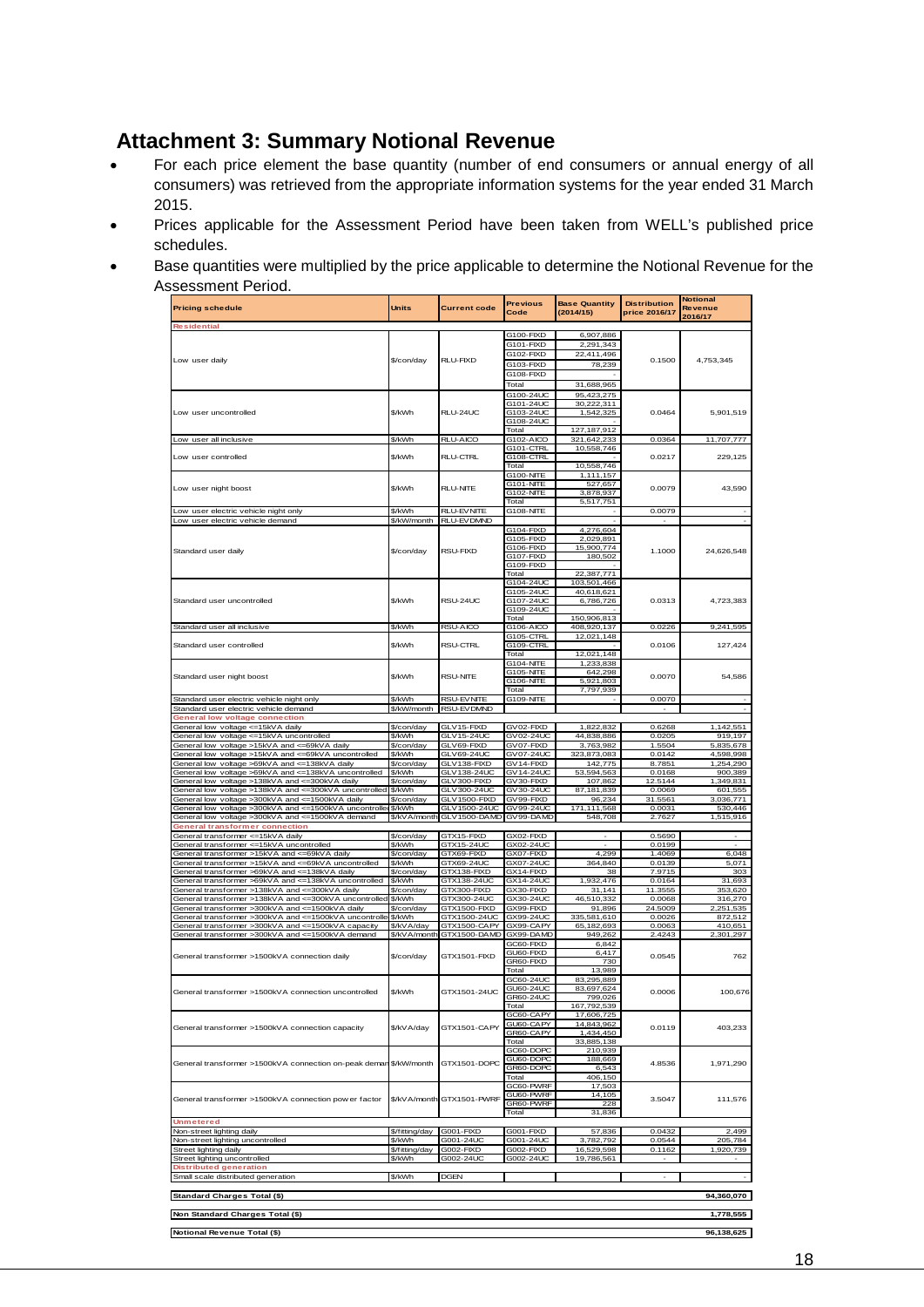## <span id="page-17-0"></span>**Attachment 3: Summary Notional Revenue**

- For each price element the base quantity (number of end consumers or annual energy of all consumers) was retrieved from the appropriate information systems for the year ended 31 March 2015.
- Prices applicable for the Assessment Period have been taken from WELL's published price schedules.
- Base quantities were multiplied by the price applicable to determine the Notional Revenue for the Assessment Period.

| <b>Pricing schedule</b>                                                                                       | <b>Units</b>             | <b>Current code</b>                 | <b>Previous</b><br>Code | <b>Base Quantity</b><br>(2014/15) | <b>Distribution</b><br>price 2016/17 | Notional<br><b>Revenue</b><br>2016/17 |
|---------------------------------------------------------------------------------------------------------------|--------------------------|-------------------------------------|-------------------------|-----------------------------------|--------------------------------------|---------------------------------------|
| <b>Residential</b>                                                                                            |                          |                                     |                         |                                   |                                      |                                       |
|                                                                                                               |                          |                                     | G100-FIXD               | 6,907,886                         |                                      |                                       |
|                                                                                                               |                          |                                     | G101-FIXD               | 2,291,343                         |                                      |                                       |
| Low user daily                                                                                                | \$/con/day               | RLU-FIXD                            | G102-FIXD               | 22,411,496                        | 0.1500                               | 4,753,345                             |
|                                                                                                               |                          |                                     | G103-FIXD               | 78,239                            |                                      |                                       |
|                                                                                                               |                          |                                     | G108-FIXD               |                                   |                                      |                                       |
|                                                                                                               |                          |                                     | Total                   | 31,688,965                        |                                      |                                       |
|                                                                                                               |                          |                                     | G100-24UC               | 95,423,275                        |                                      |                                       |
| Low user uncontrolled                                                                                         | \$/kWh                   | RLU-24UC                            | G101-24UC<br>G103-24UC  | 30,222,311                        | 0.0464                               | 5.901.519                             |
|                                                                                                               |                          |                                     | G108-24UC               | 1,542,325                         |                                      |                                       |
|                                                                                                               |                          |                                     | Total                   | 127,187,912                       |                                      |                                       |
| Low user all inclusive                                                                                        | \$/kWh                   | RLU-AICO                            | G102-AICO               | 321,642,233                       | 0.0364                               | 11,707,777                            |
|                                                                                                               |                          |                                     | G101-CTRL               | 10,558,746                        |                                      |                                       |
| Low user controlled                                                                                           | \$/kWh                   | RLU-CTRL                            | G108-CTRL               |                                   | 0.0217                               | 229,125                               |
|                                                                                                               |                          |                                     | Total                   | 10.558.746                        |                                      |                                       |
|                                                                                                               |                          |                                     | G100-NITE<br>G101-NITE  | 1,111,157<br>527.657              |                                      |                                       |
| Low user night boost                                                                                          | \$/kWh                   | <b>RLU-NITE</b>                     | G102-NITE               | 3,878,937                         | 0.0079                               | 43,590                                |
|                                                                                                               |                          |                                     | Total                   | 5,517,751                         |                                      |                                       |
| Low user electric vehicle night only                                                                          | \$/kWh                   | <b>RLU-EVNITE</b>                   | G108-NITE               |                                   | 0.0079                               |                                       |
| Low user electric vehicle demand                                                                              |                          | \$/kW/month RLU-EVDMND              |                         |                                   |                                      |                                       |
|                                                                                                               |                          |                                     | G104-FIXD               | 4,276,604                         |                                      |                                       |
|                                                                                                               |                          |                                     | G105-FIXD<br>G106-FIXD  | 2,029,891<br>15,900,774           |                                      |                                       |
| Standard user daily                                                                                           | \$/con/day               | <b>RSU-FIXD</b>                     | G107-FIXD               | 180,502                           | 1.1000                               | 24,626,548                            |
|                                                                                                               |                          |                                     | G109-FIXD               |                                   |                                      |                                       |
|                                                                                                               |                          |                                     | Total                   | 22,387,771                        |                                      |                                       |
|                                                                                                               |                          |                                     | G104-24UC               | 103,501,466                       |                                      |                                       |
|                                                                                                               |                          |                                     | G105-24UC               | 40.618.621                        |                                      |                                       |
| Standard user uncontrolled                                                                                    | \$/kWh                   | RSU-24UC                            | G107-24UC               | 6,786,726                         | 0.0313                               | 4,723,383                             |
|                                                                                                               |                          |                                     | G109-24UC<br>Total      | 150,906,813                       |                                      |                                       |
| Standard user all inclusive                                                                                   | \$/kWh                   | RSU-AICO                            | G106-AICO               | 408,920,137                       | 0.0226                               | 9,241,595                             |
|                                                                                                               |                          |                                     | G105-CTRL               | 12,021,148                        |                                      |                                       |
| Standard user controlled                                                                                      | \$/kWh                   | <b>RSU-CTRL</b>                     | G109-CTRL               |                                   | 0.0106                               | 127,424                               |
|                                                                                                               |                          |                                     | Total                   | 12,021,148                        |                                      |                                       |
|                                                                                                               |                          |                                     | G104-NITE               | 1,233,838                         |                                      |                                       |
| Standard user night boost                                                                                     | \$/kWh                   | <b>RSU-NITE</b>                     | G105-NITE               | 642,298                           | 0.0070                               | 54,586                                |
|                                                                                                               |                          |                                     | G106-NITE<br>Total      | 5,921,803                         |                                      |                                       |
| Standard user electric vehicle night only                                                                     | \$/kWh                   | <b>RSU-EVNITE</b>                   | G109-NITE               | 7,797,939                         | 0.0070                               |                                       |
| Standard user electric vehicle demand                                                                         | \$/kW/month              | RSU-EVDMND                          |                         |                                   |                                      |                                       |
| neral low voltage connection                                                                                  |                          |                                     |                         |                                   |                                      |                                       |
| General low voltage <= 15kVA daily                                                                            | \$/con/day               | GLV15-FIXD                          | GV02-FIXD               | 1,822,832                         | 0.6268                               | 1,142,551                             |
| General low voltage <= 15kVA uncontrolled                                                                     | \$/kWh                   | GI V <sub>15-24</sub> UC            | GV02-24UC               | 44,838,886                        | 0.0205                               | 919.197                               |
| General low voltage >15kVA and <= 69kVA daily                                                                 | \$/con/day               | GLV69-FIXD<br>GLV69-24UC            | GV07-FIXD               | 3,763,982                         | 1.5504                               | 5,835,678                             |
| General low voltage >15kVA and <= 69kVA uncontrolled<br>General low voltage >69kVA and <= 138kVA daily        | \$/kWh<br>\$/con/day     | GLV 138-FIXD                        | GV07-24UC<br>GV14-FIXD  | 323,873,083<br>142,775            | 0.0142<br>8.7851                     | 4,598,998<br>1,254,290                |
| General low voltage >69kVA and <= 138kVA uncontrolled                                                         | \$/kWh                   | GLV 138-24UC                        | GV14-24UC               | 53,594,563                        | 0.0168                               | 900,389                               |
| General low voltage >138kVA and <= 300kVA daily                                                               | \$/con/day               | GLV300-FIXD                         | GV30-FIXD               | 107,862                           | 12.5144                              | 1,349,831                             |
| General low voltage >138kVA and <= 300kVA uncontrolled \$/kWh                                                 |                          | GLV300-24UC                         | GV30-24UC               | 87,181,839                        | 0.0069                               | 601,555                               |
| General low voltage >300kVA and <= 1500kVA daily                                                              | \$/con/day               | GLV1500-FIXD                        | GV99-FIXD               | 96,234                            | 31.5561                              | 3,036,771                             |
| General low voltage >300kVA and <= 1500kVA uncontrolled                                                       | \$/kWh                   | GLV1500-24UC                        | GV99-24UC               | 171,111,568                       | 0.0031                               | 530,446                               |
| General low voltage >300kVA and <= 1500kVA demand                                                             |                          | \$/kVA/month GLV1500-DAMD GV99-DAMD |                         | 548,708                           | 2.7627                               | 1,515,916                             |
| General transformer connection<br>General transformer <= 15kVA daily                                          | \$/con/day               | GTX15-FIXD                          | GX02-FIXD               |                                   | 0.5690                               |                                       |
| General transformer <= 15kVA uncontrolled                                                                     | \$/kWh                   | GTX15-24UC                          | GX02-24UC               |                                   | 0.0199                               |                                       |
| General transformer >15kVA and <= 69kVA daily                                                                 | \$/con/day               | GTX69-FIXD                          | GX07-FIXD               | 4.299                             | 1.4069                               | 6,048                                 |
| General transformer >15kVA and <= 69kVA uncontrolled                                                          | \$/kWh                   | GTX69-24UC                          | GX07-24UC               | 364,840                           | 0.0139                               | 5,071                                 |
| General transformer >69kVA and <=138kVA daily                                                                 | \$/con/day               | GTX138-FIXD                         | GX14-FIXD               | 38                                | 7.9715                               | 303                                   |
| General transformer >69kVA and <=138kVA uncontrolled                                                          | \$/kWh                   | GTX138-24UC                         | GX14-24UC               | 1,932,476                         | 0.0164                               | 31.693                                |
| General transformer >138kVA and <= 300kVA<br>daily                                                            | \$/con/day               | GTX300-FIXD                         | GX30-FIXD               | 31,141                            | 11.3555                              | 353,620                               |
| General transformer >138kVA and <= 300kVA uncontrolled                                                        | \$/kWh                   | GTX300-24UC                         | GX30-24UC               | 46,510,332                        | 0.0068                               | 316,270                               |
| General transformer >300kVA and <= 1500kVA daily                                                              | \$/con/day<br>\$/kWh     | GTX1500-FIXD<br>GTX1500-24UC        | GX99-FIXD<br>GX99-24UC  | 91.896                            | 24.5009                              | 2.251.535                             |
| General transformer >300kVA and <= 1500kVA uncontrolle<br>General transformer >300kVA and <= 1500kVA capacity | \$/kVA/day               | GTX1500-CAPY                        | GX99-CAPY               | 335,581,610<br>65,182,693         | 0.0026<br>0.0063                     | 872,512<br>410,651                    |
| General transformer >300kVA and <= 1500kVA demand                                                             |                          | \$/kVA/month GTX1500-DAMD           | GX99-DAMD               | 949,262                           | 2.4243                               | 2,301,297                             |
|                                                                                                               |                          |                                     | GC60-FIXD               | 6,842                             |                                      |                                       |
| General transformer >1500kVA connection daily                                                                 | \$/con/day               | GTX1501-FIXD                        | GU60-FIXD               | 6.417                             | 0.0545                               | 762                                   |
|                                                                                                               |                          |                                     | GR60-FIXD               | 730                               |                                      |                                       |
|                                                                                                               |                          |                                     | Total                   | 13,989                            |                                      |                                       |
|                                                                                                               |                          |                                     | GC60-24UC               | 83,295,889                        |                                      |                                       |
| introlled                                                                                                     | \$/kWh                   | TX1501                              | GU60-24UC               | 83,697,624                        | 0.0006                               | 100,67                                |
|                                                                                                               |                          |                                     | GR60-24UC<br>Total      | 799,026<br>167,792,539            |                                      |                                       |
|                                                                                                               |                          |                                     | GC60-CAPY               | 17,606,725                        |                                      |                                       |
|                                                                                                               |                          | GTX1501-CAPY                        | GU60-CAPY               | 14,843,962                        | 0.0119                               | 403,233                               |
| General transformer >1500kVA connection capacity                                                              | \$/kVA/day               |                                     | GR60-CAPY               | 1,434,450                         |                                      |                                       |
|                                                                                                               |                          |                                     | Total                   | 33,885,138                        |                                      |                                       |
|                                                                                                               |                          |                                     | GC60-DOPC               | 210,939                           |                                      |                                       |
| General transformer >1500kVA connection on-peak deman                                                         | \$/kW/month              | GTX1501-DOPC                        | GU60-DOPC<br>GR60-DOPC  | 188,669<br>6,543                  | 4.8536                               | 1,971,290                             |
|                                                                                                               |                          |                                     | Total                   | 406,150                           |                                      |                                       |
|                                                                                                               |                          |                                     | GC60-PWRF               | 17,503                            |                                      |                                       |
| General transformer >1500kVA connection pow er factor                                                         |                          | \$/kV A/month GTX1501-PWRF          | GU60-PWRF               | 14,105                            | 3.5047                               |                                       |
|                                                                                                               |                          |                                     | GR60-PWRF               | 228                               |                                      | 111,576                               |
|                                                                                                               |                          |                                     | Total                   | 31,836                            |                                      |                                       |
| <b>Unmetered</b>                                                                                              |                          | <b>G001-FIXD</b>                    | G001-FIXD               | 57,836                            | 0.0432                               | 2,499                                 |
| Non-street lighting daily<br>Non-street lighting uncontrolled                                                 | \$/fitting/day<br>\$/kWh | G001-24UC                           | G001-24UC               | 3.782.792                         | 0.0544                               | 205,784                               |
| Street lighting daily                                                                                         | \$/fitting/day           | G002-FIXD                           | G002-FIXD               | 16.529.598                        | 0.1162                               | 1,920,739                             |
| Street lighting uncontrolled                                                                                  | \$/kWh                   | G002-24UC                           | G002-24UC               | 19,786,561                        |                                      |                                       |
| <b>Distributed generation</b>                                                                                 |                          |                                     |                         |                                   |                                      |                                       |
| Small scale distributed generation                                                                            | \$/kWh                   | <b>DGEN</b>                         |                         |                                   | $\sim$                               |                                       |
|                                                                                                               |                          |                                     |                         |                                   |                                      |                                       |
| Standard Charges Total (\$)                                                                                   |                          |                                     |                         |                                   |                                      | 94,360,070                            |
| Non Standard Charges Total (\$)                                                                               |                          |                                     |                         |                                   |                                      | 1,778,555                             |
|                                                                                                               |                          |                                     |                         |                                   |                                      |                                       |
| Notional Revenue Total (\$)                                                                                   |                          |                                     |                         |                                   |                                      | 96,138,625                            |
|                                                                                                               |                          |                                     |                         |                                   |                                      |                                       |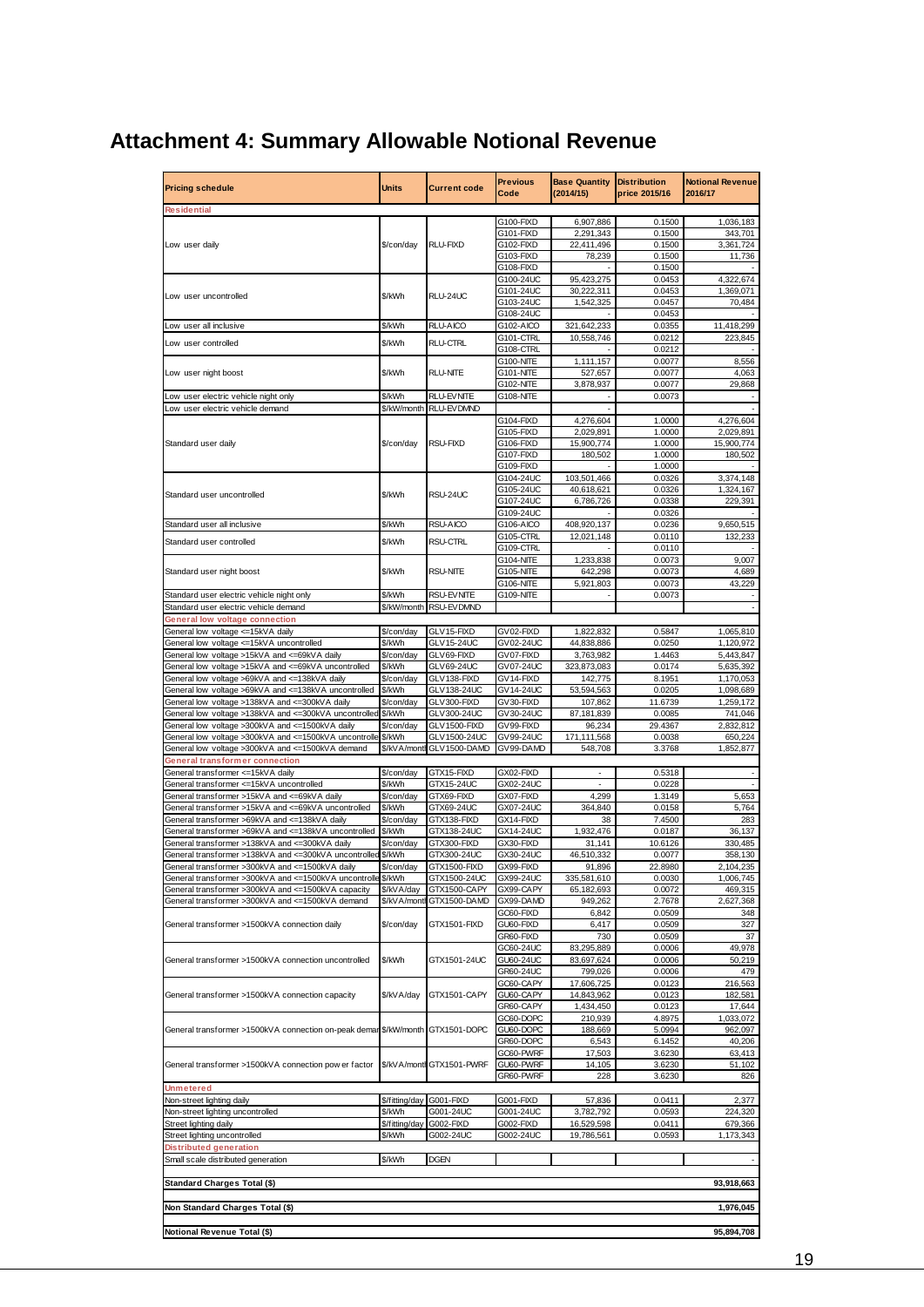## <span id="page-18-0"></span>**Attachment 4: Summary Allowable Notional Revenue**

| <b>Pricing schedule</b>                                           | Units          | <b>Current code</b>      | <b>Previous</b><br>Code | <b>Base Quantity</b><br>(2014/15) | <b>Distribution</b><br>price 2015/16 | <b>Notional Revenue</b><br>2016/17 |
|-------------------------------------------------------------------|----------------|--------------------------|-------------------------|-----------------------------------|--------------------------------------|------------------------------------|
| <b>Residential</b>                                                |                |                          |                         |                                   |                                      |                                    |
|                                                                   |                |                          | G100-FIXD               | 6,907,886                         | 0.1500                               | 1,036,183                          |
|                                                                   |                |                          | G101-FIXD               | 2,291,343                         | 0.1500                               | 343,701                            |
| Low user daily                                                    | \$/con/day     | <b>RLU-FIXD</b>          | G102-FIXD               | 22,411,496                        | 0.1500                               | 3,361,724                          |
|                                                                   |                |                          | G103-FIXD               | 78,239                            | 0.1500                               | 11,736                             |
|                                                                   |                |                          | G108-FIXD               |                                   | 0.1500                               |                                    |
|                                                                   |                |                          | G100-24UC               | 95,423,275                        | 0.0453                               | 4,322,674                          |
| Low user uncontrolled                                             | \$/kWh         | RLU-24UC                 | G101-24UC               | 30,222,311                        | 0.0453                               | 1,369,071                          |
|                                                                   |                |                          | G103-24UC               | 1,542,325                         | 0.0457                               | 70,484                             |
|                                                                   |                |                          | G108-24UC               |                                   | 0.0453                               |                                    |
| Low user all inclusive                                            | \$/kWh         | RLU-AICO                 | G102-AICO               | 321,642,233                       | 0.0355                               | 11,418,299                         |
| Low user controlled                                               | \$/kWh         | <b>RLU-CTRL</b>          | G101-CTRL               | 10,558,746                        | 0.0212                               | 223,845                            |
|                                                                   |                |                          | G108-CTRL               |                                   | 0.0212                               |                                    |
|                                                                   |                |                          | <b>G100-NITE</b>        | 1,111,157                         | 0.0077                               | 8,556                              |
| Low user night boost                                              | \$/kWh         | <b>RLU-NITE</b>          | G101-NITE               | 527,657                           | 0.0077                               | 4,063                              |
|                                                                   |                |                          | G102-NITE               | 3,878,937                         | 0.0077                               | 29,868                             |
| Low user electric vehicle night only                              | \$/kWh         | <b>RLU-EVNITE</b>        | G108-NITE               |                                   | 0.0073                               |                                    |
| Low user electric vehicle demand                                  | \$/kW/month    | RLU-EVDMND               |                         |                                   |                                      |                                    |
|                                                                   |                |                          | G104-FIXD               | 4,276,604                         | 1.0000                               | 4,276,604                          |
|                                                                   |                |                          | G105-FIXD               | 2,029,891                         | 1.0000                               | 2,029,891                          |
| Standard user daily                                               | \$/con/day     | <b>RSU-FIXD</b>          | G106-FIXD               | 15,900,774                        | 1.0000                               | 15,900,774                         |
|                                                                   |                |                          | G107-FIXD               | 180,502                           | 1.0000                               | 180,502                            |
|                                                                   |                |                          | G109-FIXD               |                                   | 1.0000                               |                                    |
|                                                                   |                |                          | G104-24UC               | 103,501,466                       | 0.0326                               | 3,374,148                          |
|                                                                   |                |                          | G105-24UC               | 40,618,621                        | 0.0326                               | 1,324,167                          |
| Standard user uncontrolled                                        | \$/kWh         | RSU-24UC                 | G107-24UC               | 6,786,726                         | 0.0338                               | 229,391                            |
|                                                                   |                |                          | G109-24UC               |                                   | 0.0326                               |                                    |
|                                                                   | \$/kWh         |                          |                         |                                   |                                      |                                    |
| Standard user all inclusive                                       |                | RSU-AICO                 | G106-AICO               | 408,920,137                       | 0.0236                               | 9,650,515                          |
| Standard user controlled                                          | \$/kWh         | <b>RSU-CTRL</b>          | G105-CTRL               | 12,021,148                        | 0.0110                               | 132,233                            |
|                                                                   |                |                          | G109-CTRL               |                                   | 0.0110                               |                                    |
|                                                                   |                |                          | <b>G104-NITE</b>        | 1,233,838                         | 0.0073                               | 9,007                              |
| Standard user night boost                                         | \$/kWh         | <b>RSU-NITE</b>          | <b>G105-NITE</b>        | 642,298                           | 0.0073                               | 4,689                              |
|                                                                   |                |                          | G106-NITE               | 5,921,803                         | 0.0073                               | 43,229                             |
| Standard user electric vehicle night only                         | \$/kWh         | RSU-EVNITE               | <b>G109-NITE</b>        |                                   | 0.0073                               |                                    |
| Standard user electric vehicle demand                             | \$/kW/month    | RSU-EV DMND              |                         |                                   |                                      |                                    |
| <b>General low voltage connection</b>                             |                |                          |                         |                                   |                                      |                                    |
| General low voltage <= 15kVA daily                                | \$/con/day     | GLV15-FIXD               | GV02-FIXD               | 1,822,832                         | 0.5847                               | 1,065,810                          |
| General low voltage <= 15kVA uncontrolled                         | \$/kWh         | GLV15-24UC               | GV02-24UC               | 44,838,886                        | 0.0250                               | 1,120,972                          |
| General low voltage >15kVA and <= 69kVA daily                     | \$/con/day     | GLV69-FIXD               | GV07-FIXD               | 3,763,982                         | 1.4463                               | 5,443,847                          |
| General low voltage >15kVA and <=69kVA uncontrolled               | \$/kWh         | GLV69-24UC               | GV07-24UC               | 323,873,083                       | 0.0174                               | 5,635,392                          |
| General low voltage >69kVA and <=138kVA daily                     | \$/con/day     | GLV138-FIXD              | GV14-FIXD               | 142,775                           | 8.1951                               | 1,170,053                          |
| General low voltage >69kVA and <= 138kVA uncontrolled             | \$/kWh         | GLV138-24UC              | GV14-24UC               | 53,594,563                        | 0.0205                               | 1,098,689                          |
| General low voltage >138kVA and <= 300kVA daily                   | \$/con/day     | GLV300-FIXD              | GV30-FIXD               | 107,862                           | 11.6739                              | 1,259,172                          |
| General low voltage >138kVA and <=300kVA uncontrolled             | \$/kWh         | GLV300-24UC              | GV30-24UC               | 87,181,839                        | 0.0085                               | 741,046                            |
| General low voltage >300kVA and <= 1500kVA daily                  | \$/con/day     | GLV1500-FIXD             | GV99-FIXD               | 96,234                            | 29.4367                              | 2,832,812                          |
| General low voltage >300kVA and <=1500kVA uncontrolle             | \$/kWh         | GLV1500-24UC             | GV99-24UC               | 171,111,568                       | 0.0038                               | 650,224                            |
| General low voltage >300kVA and <=1500kVA demand                  |                | \$/kVA/monthGLV1500-DAMD | GV99-DAMD               | 548,708                           | 3.3768                               | 1,852,877                          |
|                                                                   |                |                          |                         |                                   |                                      |                                    |
| <b>General transformer connection</b>                             |                |                          |                         |                                   |                                      |                                    |
| General transformer <=15kVA daily                                 | \$/con/day     | GTX15-FIXD               | GX02-FIXD               |                                   | 0.5318                               |                                    |
| General transformer <= 15kVA uncontrolled                         | \$/kWh         | GTX15-24UC               | GX02-24UC               |                                   | 0.0228                               |                                    |
| General transformer >15kVA and <=69kVA daily                      | \$/con/day     | GTX69-FIXD               | GX07-FIXD               | 4,299                             | 1.3149                               | 5,653                              |
| General transformer >15kVA and <= 69kVA uncontrolled              | \$/kWh         | GTX69-24UC               | GX07-24UC               | 364,840                           | 0.0158                               | 5,764                              |
| General transformer >69kVA and <=138kVA daily                     | \$/con/day     | GTX138-FIXD              | GX14-FIXD               | 38                                | 7.4500                               | 283                                |
| General transformer >69kVA and <=138kVA uncontrolled              | \$/kWh         | GTX138-24UC              | GX14-24UC               | 1,932,476                         | 0.0187                               | 36,137                             |
| General transformer >138kVA and <=300kVA daily                    | \$/con/day     | GTX300-FIXD              | GX30-FIXD               | 31,141                            | 10.6126                              | 330,485                            |
| General transformer >138kVA and <= 300kVA uncontrolled            | \$/kWh         | GTX300-24UC              | GX30-24UC               | 46,510,332                        | 0.0077                               | 358,130                            |
| General transformer >300kVA and <=1500kVA daily                   | s/con/day      | GIX1500-FIXD             | JYA-LIYN                | 91,890                            | 22.8980                              | 2,104,235                          |
| General transformer >300kVA and <=1500kVA uncontrolle             | \$/kWh         | GTX1500-24UC             | GX99-24UC               | 335,581,610                       | 0.0030                               | 1,006,745                          |
| General transformer >300kVA and <=1500kVA capacity                | \$/kVA/day     | GTX1500-CAPY             | GX99-CAPY               | 65,182,693                        | 0.0072                               | 469,315                            |
| General transformer >300kVA and <=1500kVA demand                  | \$/kVA/month   | GTX1500-DAMD             | GX99-DAMD               | 949,262                           | 2.7678                               | 2,627,368                          |
|                                                                   |                |                          | GC60-FIXD               | 6,842                             | 0.0509                               | 348                                |
| General transformer >1500kVA connection daily                     | \$/con/day     | GTX1501-FIXD             | GU60-FIXD               | 6,417                             | 0.0509                               | 327                                |
|                                                                   |                |                          | GR60-FIXD               | 730                               | 0.0509                               | 37                                 |
|                                                                   |                |                          | GC60-24UC               | 83,295,889                        | 0.0006                               | 49,978                             |
| General transformer >1500kVA connection uncontrolled              | \$/kWh         | GTX1501-24UC             | GU60-24UC               | 83,697,624                        | 0.0006                               | 50,219                             |
|                                                                   |                |                          | GR60-24UC               | 799,026                           | 0.0006                               | 479                                |
|                                                                   |                |                          | GC60-CAPY               | 17,606,725                        | 0.0123                               | 216,563                            |
| General transformer >1500kVA connection capacity                  | \$/kVA/day     | GTX1501-CAPY             | GU60-CAPY               | 14,843,962                        | 0.0123                               | 182,581                            |
|                                                                   |                |                          | GR60-CAPY               | 1,434,450                         | 0.0123                               | 17,644                             |
|                                                                   |                |                          | GC60-DOPC               | 210,939                           | 4.8975                               | 1,033,072                          |
| General transformer >1500kVA connection on-peak demar \$/kW/month |                | GTX1501-DOPC             | GU60-DOPC               | 188,669                           | 5.0994                               | 962,097                            |
|                                                                   |                |                          | GR60-DOPC               |                                   | 6.1452                               | 40,206                             |
|                                                                   |                |                          |                         | 6,543                             |                                      |                                    |
|                                                                   |                |                          | GC60-PWRF               | 17,503                            | 3.6230                               | 63,413                             |
| General transformer >1500kVA connection pow er factor             |                | \$/kVA/monthGTX1501-PWRF | GU60-PWRF               | 14,105                            | 3.6230                               | 51,102                             |
|                                                                   |                |                          | GR60-PWRF               | 228                               | 3.6230                               | 826                                |
| <b>Unmetered</b>                                                  |                |                          |                         |                                   |                                      |                                    |
| Non-street lighting daily                                         | \$/fitting/day | G001-FIXD                | G001-FIXD               | 57,836                            | 0.0411                               | 2,377                              |
| Non-street lighting uncontrolled                                  | \$/kWh         | G001-24UC                | G001-24UC               | 3,782,792                         | 0.0593                               | 224,320                            |
| Street lighting daily                                             | \$/fitting/day | G002-FIXD                | G002-FIXD               | 16,529,598                        | 0.0411                               | 679,366                            |
| Street lighting uncontrolled                                      | \$/kWh         | G002-24UC                | G002-24UC               | 19,786,561                        | 0.0593                               | 1,173,343                          |
| Distributed generation                                            |                |                          |                         |                                   |                                      |                                    |
| Small scale distributed generation                                | \$/kWh         | <b>DGEN</b>              |                         |                                   |                                      |                                    |
|                                                                   |                |                          |                         |                                   |                                      |                                    |
| Standard Charges Total (\$)                                       |                |                          |                         |                                   |                                      | 93,918,663                         |
|                                                                   |                |                          |                         |                                   |                                      |                                    |
|                                                                   |                |                          |                         |                                   |                                      | 1,976,045                          |
| Non Standard Charges Total (\$)                                   |                |                          |                         |                                   |                                      |                                    |
|                                                                   |                |                          |                         |                                   |                                      |                                    |
| Notional Revenue Total (\$)                                       |                |                          |                         |                                   |                                      | 95,894,708                         |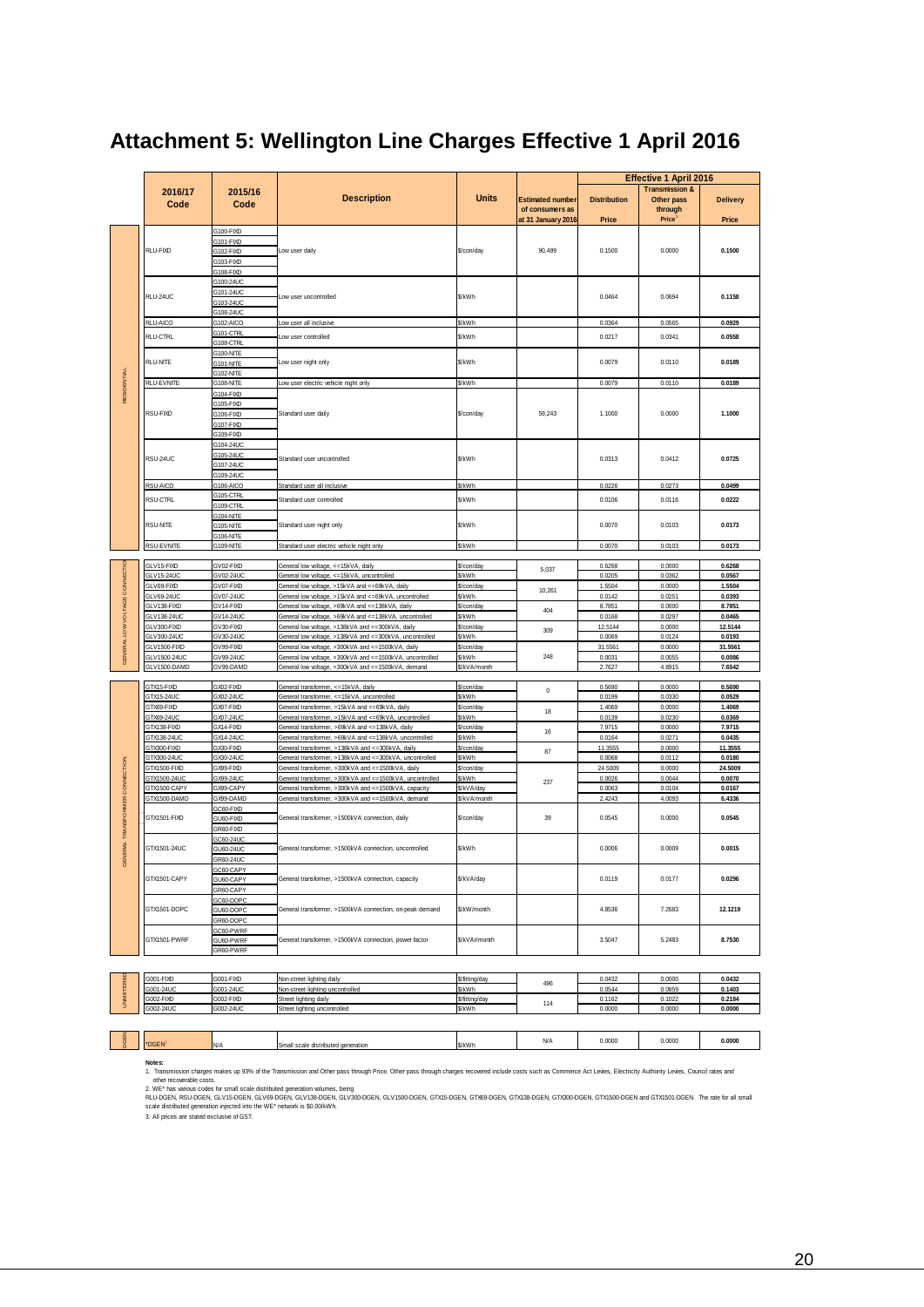| <b>Transmission &amp;</b><br>2016/17<br>2015/16<br><b>Description</b><br><b>Units</b><br><b>Estimated number</b><br><b>Distribution</b><br>Other pass<br><b>Delivery</b><br>Code<br>Code<br>of consumers as<br>through<br><b>Price</b><br>at 31 January 2016<br>Price<br>Price<br>G100-FIXD<br>G101-FIXD<br>RLU-FIXD<br>Low user daily<br>\$/con/day<br>90,499<br>0.1500<br>0.0000<br>0.1500<br>G102-FIXD<br>G103-FIXD<br>G108-FIXD<br>G100-24UC<br>3101-24UC<br>RLU-24UC<br>\$/kWh<br>0.1158<br>0.0464<br>0.0694<br>Low user uncontrolled<br>G103-24UC<br>3108-24UC<br>RLU-AICO<br>G102-AICO<br>Low user all inclusive<br>\$/kWh<br>0.0364<br>0.0565<br>0.0929<br>G101-CTRL<br>RLU-CTRL<br>ow user controlled<br>\$/kWh<br>0.0217<br>0.0341<br>0.0558<br>G108-CTRL<br>G100-NITE<br>RLU-NITE<br>Low user night only<br>\$/kWh<br>0.0079<br>0.0110<br>0.0189<br>G101-NITE<br>RESIDENTIAL<br>G102-NITE<br>RLU-EVNITE<br>\$/kWh<br>0.0110<br>G108-NITE<br>Low user electric vehicle night only<br>0.0079<br>0.0189<br>G104-FIXD<br>G105-FIXD<br>RSU-FIXD<br>G106-FIXD<br>Standard user daily<br>\$/con/day<br>59,243<br>1.1000<br>0.0000<br>1.1000<br>G107-FIXD<br>G109-FIXD<br>G104-24UC<br>G105-24UC<br>RSU-24UC<br>\$/kWh<br>0.0313<br>0.0412<br>0.0725<br>Standard user uncontrolled<br>G107-24UC<br>G109-24UC<br>RSU-AICO<br>G106-AICO<br>Standard user all inclusive<br>\$/kWh<br>0.0226<br>0.0273<br>0.0499<br>G105-CTRL<br><b>RSU-CTRL</b><br>Standard user controlled<br>\$/kWh<br>0.0106<br>0.0116<br>0.0222<br>G109-CTRL<br>G104-NITE<br><b>RSU-NITE</b><br>Standard user night only<br>\$/kWh<br>0.0070<br>0.0103<br>0.0173<br>G105-NITE<br>G106-NITE<br>RSU-EVNITE<br>G109-NITE<br>\$/kWh<br>0.0070<br>0.0103<br>Standard user electric vehicle night only<br>0.0173<br>LOW VOLTAGE CONNECTIC<br>GLV15-FIXD<br>GV02-FIXD<br>General low voltage, <= 15kVA, daily<br>0.0000<br>\$/con/dav<br>0.6268<br>0.6268<br>5,037<br>GLV15-24UC<br>General low voltage, <= 15kVA, uncontrolled<br>\$/kWh<br>0.0567<br>GV02-24UC<br>0.0205<br>0.0362<br>GLV69-FIXD<br>GV07-FIXD<br>0.0000<br>1.5504<br>General low voltage, >15kVA and <= 69kVA, daily<br>\$/con/day<br>1.5504<br>10,261<br>GLV69-24UC<br>GV07-24UC<br>General low voltage, >15kVA and <= 69kVA, uncontrolled<br>\$/kWh<br>0.0142<br>0.0251<br>0.0393<br>GLV138-FIXD<br>GV14-FIXD<br>General low voltage, >69kVA and <= 138kVA, daily<br>\$/con/day<br>8.7851<br>0.0000<br>8.7851<br>404<br>GLV138-24UC<br>GV14-24UC<br>General low voltage, >69kVA and <= 138kVA, uncontrolled<br>\$/kWh<br>0.0168<br>0.0297<br>0.0465<br>GLV300-FIXD<br>GV30-FIXD<br>12.5144<br>0.0000<br>12.5144<br>General low voltage, >138kVA and <= 300kVA, daily<br>\$/con/day<br>309<br>LV300-24UC<br>GV30-24UC<br>General low voltage, >138kVA and <= 300kVA, uncontrolled<br>\$/kWh<br>0.0069<br>0.0124<br>0.0193<br><b>GENERAL</b><br>GLV1500-FIXD<br>GV99-FIXD<br>General low voltage, >300kVA and <= 1500kVA, daily<br>31.5561<br>0.0000<br>31.5561<br>S/con/day<br>248<br>GLV1500-24UC<br>S/kWh<br>GV99-24UC<br>General low voltage, >300kVA and <= 1500kVA, uncontrolled<br>0.0031<br>0.0055<br>0.0086<br>GLV1500-DAMD<br>GV99-DAMD<br>General low voltage, >300kVA and <= 1500kVA, demand<br>\$/kVA/month<br>2.7627<br>4.8915<br>7.6542<br>GTX15-FIXD<br>GX02-FIXD<br>General transformer, <= 15kVA, daily<br>\$/con/day<br>0.5690<br>0.0000<br>0.5690<br>$\pmb{0}$<br>GTX15-24UC<br>General transformer, <= 15kVA, uncontrolled<br>\$/kWh<br>0.0199<br>0.0330<br>0.0529<br>GX02-24UC<br>GTX69-FIXD<br>GX07-FIXD<br>1.4069<br>0.0000<br>1.4069<br>General transformer, >15kVA and <= 69kVA, daily<br>\$/con/day<br>18<br>GTX69-24UC<br>GX07-24UC<br>General transformer, >15kVA and <=69kVA, uncontrolled<br>\$/kWh<br>0.0139<br>0.0230<br>0.0369<br>GTX138-FIXD<br>GX14-FIXD<br>General transformer, >69kVA and <= 138kVA, daily<br>\$/con/day<br>7.9715<br>0.0000<br>7.9715<br>16<br>GTX138-24UC<br>GX14-24UC<br>General transformer, >69kVA and <= 138kVA, uncontrolled<br>\$/kWh<br>0.0164<br>0.0271<br>0.0435<br>GTX300-FIXD<br>GX30-FIXD<br>General transformer, >138kVA and <= 300kVA, daily<br>11.3555<br>0.0000<br>11.3555<br>\$/con/dav<br>87<br>TX300-24UC<br>GX30-24UC<br>General transformer, >138kVA and <= 300kVA, uncontrolled<br>\$/kWh<br>0.0068<br>0.0112<br>0.0180<br>CONNECTION<br>STX1500-FIXD<br>GX99-FIXD<br>General transformer, >300kVA and <=1500kVA, daily<br>24.5009<br>24.5009<br>S/con/day<br>0.0000<br>\$/kWh<br>GTX1500-24UC<br>GX99-24UC<br>General transformer, >300kVA and <= 1500kVA, uncontrolled<br>0.0026<br>0.0044<br>0.0070<br>237<br>GTX1500-CAPY<br>GX99-CAPY<br>General transformer, >300kVA and <= 1500kVA, capacity<br>\$/kVA/day<br>0.0063<br>0.0104<br>0.0167<br><b>TRANSFORMER</b><br>GTX1500-DAMD<br>GX99-DAMD<br>General transformer, >300kVA and <= 1500kVA, demand<br>\$/kVA/month<br>2.4243<br>4.0093<br>6.4336<br>GC60-FIXD<br>GTX1501-FIXD<br>0.0000<br>0.0545<br>General transformer, >1500kVA connection, daily<br>\$/con/day<br>39<br>0.0545<br>GU60-FIXD<br>GR60-FIXD<br>GC60-24UC<br><b>NERAL</b><br>GTX1501-24UC<br>\$/kWh<br>0.0009<br>General transformer, >1500kVA connection, uncontrolled<br>0.0006<br>0.0015<br>GU60-24UC<br>GR60-24LIC<br>ő<br>GC60-CAPY<br>GTX1501-CAPY<br>0.0119<br>0.0296<br>GU60-CAPY<br>General transformer, >1500kVA connection, capacity<br>\$/kVA/day<br>0.0177<br>GR60-CAPY<br>GC60-DOPC<br>\$/kW/month<br>12.1219<br>GTX1501-DOPC<br>GU60-DOPC<br>General transformer, >1500kVA connection, on-peak demand<br>4.8536<br>7.2683<br>GR60-DOPC<br>GC60-PWRF<br>GTX1501-PWRF<br>GU60-PWRF<br>General transformer, >1500kVA connection, power factor<br>\$/kVAr/month<br>3.5047<br>5.2483<br>8.7530<br>GR60-PWRF<br>UNMETERED<br>6001-FIXD<br>G001-FIXD<br>Non-street lighting daily<br>\$/fitting/day<br>0.0432<br>0.0000<br>0.0432<br>496<br>G001-24UC<br>G001-24UC<br>Non-street lighting uncontrolled<br>\$/kWh<br>0.0544<br>0.0859<br>0.1403<br>G002-FIXD<br>G002-FIXD<br>0.1162<br>0.1022<br>\$/fitting/day<br>0.2184<br>Street lighting daily<br>114<br>G002-24UC<br>G002-24UC<br>0.0000<br>Street lighting uncontrolled<br>\$/kWh<br>0.0000<br>0.0000 |  |  |  | <b>Effective 1 April 2016</b> |  |
|--------------------------------------------------------------------------------------------------------------------------------------------------------------------------------------------------------------------------------------------------------------------------------------------------------------------------------------------------------------------------------------------------------------------------------------------------------------------------------------------------------------------------------------------------------------------------------------------------------------------------------------------------------------------------------------------------------------------------------------------------------------------------------------------------------------------------------------------------------------------------------------------------------------------------------------------------------------------------------------------------------------------------------------------------------------------------------------------------------------------------------------------------------------------------------------------------------------------------------------------------------------------------------------------------------------------------------------------------------------------------------------------------------------------------------------------------------------------------------------------------------------------------------------------------------------------------------------------------------------------------------------------------------------------------------------------------------------------------------------------------------------------------------------------------------------------------------------------------------------------------------------------------------------------------------------------------------------------------------------------------------------------------------------------------------------------------------------------------------------------------------------------------------------------------------------------------------------------------------------------------------------------------------------------------------------------------------------------------------------------------------------------------------------------------------------------------------------------------------------------------------------------------------------------------------------------------------------------------------------------------------------------------------------------------------------------------------------------------------------------------------------------------------------------------------------------------------------------------------------------------------------------------------------------------------------------------------------------------------------------------------------------------------------------------------------------------------------------------------------------------------------------------------------------------------------------------------------------------------------------------------------------------------------------------------------------------------------------------------------------------------------------------------------------------------------------------------------------------------------------------------------------------------------------------------------------------------------------------------------------------------------------------------------------------------------------------------------------------------------------------------------------------------------------------------------------------------------------------------------------------------------------------------------------------------------------------------------------------------------------------------------------------------------------------------------------------------------------------------------------------------------------------------------------------------------------------------------------------------------------------------------------------------------------------------------------------------------------------------------------------------------------------------------------------------------------------------------------------------------------------------------------------------------------------------------------------------------------------------------------------------------------------------------------------------------------------------------------------------------------------------------------------------------------------------------------------------------------------------------------------------------------------------------------------------------------------------------------------------------------------------------------------------------------------------------------------------------------------------------------------------------------------------------------------------------------------------------------------------------------------------------------------------------------------------------------------------------------------------------------------------------------------------------------------------------------------------------------------------------------------------------------------------------------------------------------------------------------------------------------------------------------------------------------------------------------------------------------------------------------------------------------------------------------------------------------------------------------------------------------------------------------------------------------------------------------------------------------------------------------------------------------------------------------------------------------------------------------------------------------------------------------------------------------------------------------------------|--|--|--|-------------------------------|--|
|                                                                                                                                                                                                                                                                                                                                                                                                                                                                                                                                                                                                                                                                                                                                                                                                                                                                                                                                                                                                                                                                                                                                                                                                                                                                                                                                                                                                                                                                                                                                                                                                                                                                                                                                                                                                                                                                                                                                                                                                                                                                                                                                                                                                                                                                                                                                                                                                                                                                                                                                                                                                                                                                                                                                                                                                                                                                                                                                                                                                                                                                                                                                                                                                                                                                                                                                                                                                                                                                                                                                                                                                                                                                                                                                                                                                                                                                                                                                                                                                                                                                                                                                                                                                                                                                                                                                                                                                                                                                                                                                                                                                                                                                                                                                                                                                                                                                                                                                                                                                                                                                                                                                                                                                                                                                                                                                                                                                                                                                                                                                                                                                                                                                                                                                                                                                                                                                                                                                                                                                                                                                                                                                                                                                        |  |  |  |                               |  |
|                                                                                                                                                                                                                                                                                                                                                                                                                                                                                                                                                                                                                                                                                                                                                                                                                                                                                                                                                                                                                                                                                                                                                                                                                                                                                                                                                                                                                                                                                                                                                                                                                                                                                                                                                                                                                                                                                                                                                                                                                                                                                                                                                                                                                                                                                                                                                                                                                                                                                                                                                                                                                                                                                                                                                                                                                                                                                                                                                                                                                                                                                                                                                                                                                                                                                                                                                                                                                                                                                                                                                                                                                                                                                                                                                                                                                                                                                                                                                                                                                                                                                                                                                                                                                                                                                                                                                                                                                                                                                                                                                                                                                                                                                                                                                                                                                                                                                                                                                                                                                                                                                                                                                                                                                                                                                                                                                                                                                                                                                                                                                                                                                                                                                                                                                                                                                                                                                                                                                                                                                                                                                                                                                                                                        |  |  |  |                               |  |
|                                                                                                                                                                                                                                                                                                                                                                                                                                                                                                                                                                                                                                                                                                                                                                                                                                                                                                                                                                                                                                                                                                                                                                                                                                                                                                                                                                                                                                                                                                                                                                                                                                                                                                                                                                                                                                                                                                                                                                                                                                                                                                                                                                                                                                                                                                                                                                                                                                                                                                                                                                                                                                                                                                                                                                                                                                                                                                                                                                                                                                                                                                                                                                                                                                                                                                                                                                                                                                                                                                                                                                                                                                                                                                                                                                                                                                                                                                                                                                                                                                                                                                                                                                                                                                                                                                                                                                                                                                                                                                                                                                                                                                                                                                                                                                                                                                                                                                                                                                                                                                                                                                                                                                                                                                                                                                                                                                                                                                                                                                                                                                                                                                                                                                                                                                                                                                                                                                                                                                                                                                                                                                                                                                                                        |  |  |  |                               |  |
|                                                                                                                                                                                                                                                                                                                                                                                                                                                                                                                                                                                                                                                                                                                                                                                                                                                                                                                                                                                                                                                                                                                                                                                                                                                                                                                                                                                                                                                                                                                                                                                                                                                                                                                                                                                                                                                                                                                                                                                                                                                                                                                                                                                                                                                                                                                                                                                                                                                                                                                                                                                                                                                                                                                                                                                                                                                                                                                                                                                                                                                                                                                                                                                                                                                                                                                                                                                                                                                                                                                                                                                                                                                                                                                                                                                                                                                                                                                                                                                                                                                                                                                                                                                                                                                                                                                                                                                                                                                                                                                                                                                                                                                                                                                                                                                                                                                                                                                                                                                                                                                                                                                                                                                                                                                                                                                                                                                                                                                                                                                                                                                                                                                                                                                                                                                                                                                                                                                                                                                                                                                                                                                                                                                                        |  |  |  |                               |  |
|                                                                                                                                                                                                                                                                                                                                                                                                                                                                                                                                                                                                                                                                                                                                                                                                                                                                                                                                                                                                                                                                                                                                                                                                                                                                                                                                                                                                                                                                                                                                                                                                                                                                                                                                                                                                                                                                                                                                                                                                                                                                                                                                                                                                                                                                                                                                                                                                                                                                                                                                                                                                                                                                                                                                                                                                                                                                                                                                                                                                                                                                                                                                                                                                                                                                                                                                                                                                                                                                                                                                                                                                                                                                                                                                                                                                                                                                                                                                                                                                                                                                                                                                                                                                                                                                                                                                                                                                                                                                                                                                                                                                                                                                                                                                                                                                                                                                                                                                                                                                                                                                                                                                                                                                                                                                                                                                                                                                                                                                                                                                                                                                                                                                                                                                                                                                                                                                                                                                                                                                                                                                                                                                                                                                        |  |  |  |                               |  |
|                                                                                                                                                                                                                                                                                                                                                                                                                                                                                                                                                                                                                                                                                                                                                                                                                                                                                                                                                                                                                                                                                                                                                                                                                                                                                                                                                                                                                                                                                                                                                                                                                                                                                                                                                                                                                                                                                                                                                                                                                                                                                                                                                                                                                                                                                                                                                                                                                                                                                                                                                                                                                                                                                                                                                                                                                                                                                                                                                                                                                                                                                                                                                                                                                                                                                                                                                                                                                                                                                                                                                                                                                                                                                                                                                                                                                                                                                                                                                                                                                                                                                                                                                                                                                                                                                                                                                                                                                                                                                                                                                                                                                                                                                                                                                                                                                                                                                                                                                                                                                                                                                                                                                                                                                                                                                                                                                                                                                                                                                                                                                                                                                                                                                                                                                                                                                                                                                                                                                                                                                                                                                                                                                                                                        |  |  |  |                               |  |
|                                                                                                                                                                                                                                                                                                                                                                                                                                                                                                                                                                                                                                                                                                                                                                                                                                                                                                                                                                                                                                                                                                                                                                                                                                                                                                                                                                                                                                                                                                                                                                                                                                                                                                                                                                                                                                                                                                                                                                                                                                                                                                                                                                                                                                                                                                                                                                                                                                                                                                                                                                                                                                                                                                                                                                                                                                                                                                                                                                                                                                                                                                                                                                                                                                                                                                                                                                                                                                                                                                                                                                                                                                                                                                                                                                                                                                                                                                                                                                                                                                                                                                                                                                                                                                                                                                                                                                                                                                                                                                                                                                                                                                                                                                                                                                                                                                                                                                                                                                                                                                                                                                                                                                                                                                                                                                                                                                                                                                                                                                                                                                                                                                                                                                                                                                                                                                                                                                                                                                                                                                                                                                                                                                                                        |  |  |  |                               |  |
|                                                                                                                                                                                                                                                                                                                                                                                                                                                                                                                                                                                                                                                                                                                                                                                                                                                                                                                                                                                                                                                                                                                                                                                                                                                                                                                                                                                                                                                                                                                                                                                                                                                                                                                                                                                                                                                                                                                                                                                                                                                                                                                                                                                                                                                                                                                                                                                                                                                                                                                                                                                                                                                                                                                                                                                                                                                                                                                                                                                                                                                                                                                                                                                                                                                                                                                                                                                                                                                                                                                                                                                                                                                                                                                                                                                                                                                                                                                                                                                                                                                                                                                                                                                                                                                                                                                                                                                                                                                                                                                                                                                                                                                                                                                                                                                                                                                                                                                                                                                                                                                                                                                                                                                                                                                                                                                                                                                                                                                                                                                                                                                                                                                                                                                                                                                                                                                                                                                                                                                                                                                                                                                                                                                                        |  |  |  |                               |  |
|                                                                                                                                                                                                                                                                                                                                                                                                                                                                                                                                                                                                                                                                                                                                                                                                                                                                                                                                                                                                                                                                                                                                                                                                                                                                                                                                                                                                                                                                                                                                                                                                                                                                                                                                                                                                                                                                                                                                                                                                                                                                                                                                                                                                                                                                                                                                                                                                                                                                                                                                                                                                                                                                                                                                                                                                                                                                                                                                                                                                                                                                                                                                                                                                                                                                                                                                                                                                                                                                                                                                                                                                                                                                                                                                                                                                                                                                                                                                                                                                                                                                                                                                                                                                                                                                                                                                                                                                                                                                                                                                                                                                                                                                                                                                                                                                                                                                                                                                                                                                                                                                                                                                                                                                                                                                                                                                                                                                                                                                                                                                                                                                                                                                                                                                                                                                                                                                                                                                                                                                                                                                                                                                                                                                        |  |  |  |                               |  |
|                                                                                                                                                                                                                                                                                                                                                                                                                                                                                                                                                                                                                                                                                                                                                                                                                                                                                                                                                                                                                                                                                                                                                                                                                                                                                                                                                                                                                                                                                                                                                                                                                                                                                                                                                                                                                                                                                                                                                                                                                                                                                                                                                                                                                                                                                                                                                                                                                                                                                                                                                                                                                                                                                                                                                                                                                                                                                                                                                                                                                                                                                                                                                                                                                                                                                                                                                                                                                                                                                                                                                                                                                                                                                                                                                                                                                                                                                                                                                                                                                                                                                                                                                                                                                                                                                                                                                                                                                                                                                                                                                                                                                                                                                                                                                                                                                                                                                                                                                                                                                                                                                                                                                                                                                                                                                                                                                                                                                                                                                                                                                                                                                                                                                                                                                                                                                                                                                                                                                                                                                                                                                                                                                                                                        |  |  |  |                               |  |
|                                                                                                                                                                                                                                                                                                                                                                                                                                                                                                                                                                                                                                                                                                                                                                                                                                                                                                                                                                                                                                                                                                                                                                                                                                                                                                                                                                                                                                                                                                                                                                                                                                                                                                                                                                                                                                                                                                                                                                                                                                                                                                                                                                                                                                                                                                                                                                                                                                                                                                                                                                                                                                                                                                                                                                                                                                                                                                                                                                                                                                                                                                                                                                                                                                                                                                                                                                                                                                                                                                                                                                                                                                                                                                                                                                                                                                                                                                                                                                                                                                                                                                                                                                                                                                                                                                                                                                                                                                                                                                                                                                                                                                                                                                                                                                                                                                                                                                                                                                                                                                                                                                                                                                                                                                                                                                                                                                                                                                                                                                                                                                                                                                                                                                                                                                                                                                                                                                                                                                                                                                                                                                                                                                                                        |  |  |  |                               |  |
|                                                                                                                                                                                                                                                                                                                                                                                                                                                                                                                                                                                                                                                                                                                                                                                                                                                                                                                                                                                                                                                                                                                                                                                                                                                                                                                                                                                                                                                                                                                                                                                                                                                                                                                                                                                                                                                                                                                                                                                                                                                                                                                                                                                                                                                                                                                                                                                                                                                                                                                                                                                                                                                                                                                                                                                                                                                                                                                                                                                                                                                                                                                                                                                                                                                                                                                                                                                                                                                                                                                                                                                                                                                                                                                                                                                                                                                                                                                                                                                                                                                                                                                                                                                                                                                                                                                                                                                                                                                                                                                                                                                                                                                                                                                                                                                                                                                                                                                                                                                                                                                                                                                                                                                                                                                                                                                                                                                                                                                                                                                                                                                                                                                                                                                                                                                                                                                                                                                                                                                                                                                                                                                                                                                                        |  |  |  |                               |  |
|                                                                                                                                                                                                                                                                                                                                                                                                                                                                                                                                                                                                                                                                                                                                                                                                                                                                                                                                                                                                                                                                                                                                                                                                                                                                                                                                                                                                                                                                                                                                                                                                                                                                                                                                                                                                                                                                                                                                                                                                                                                                                                                                                                                                                                                                                                                                                                                                                                                                                                                                                                                                                                                                                                                                                                                                                                                                                                                                                                                                                                                                                                                                                                                                                                                                                                                                                                                                                                                                                                                                                                                                                                                                                                                                                                                                                                                                                                                                                                                                                                                                                                                                                                                                                                                                                                                                                                                                                                                                                                                                                                                                                                                                                                                                                                                                                                                                                                                                                                                                                                                                                                                                                                                                                                                                                                                                                                                                                                                                                                                                                                                                                                                                                                                                                                                                                                                                                                                                                                                                                                                                                                                                                                                                        |  |  |  |                               |  |
|                                                                                                                                                                                                                                                                                                                                                                                                                                                                                                                                                                                                                                                                                                                                                                                                                                                                                                                                                                                                                                                                                                                                                                                                                                                                                                                                                                                                                                                                                                                                                                                                                                                                                                                                                                                                                                                                                                                                                                                                                                                                                                                                                                                                                                                                                                                                                                                                                                                                                                                                                                                                                                                                                                                                                                                                                                                                                                                                                                                                                                                                                                                                                                                                                                                                                                                                                                                                                                                                                                                                                                                                                                                                                                                                                                                                                                                                                                                                                                                                                                                                                                                                                                                                                                                                                                                                                                                                                                                                                                                                                                                                                                                                                                                                                                                                                                                                                                                                                                                                                                                                                                                                                                                                                                                                                                                                                                                                                                                                                                                                                                                                                                                                                                                                                                                                                                                                                                                                                                                                                                                                                                                                                                                                        |  |  |  |                               |  |
|                                                                                                                                                                                                                                                                                                                                                                                                                                                                                                                                                                                                                                                                                                                                                                                                                                                                                                                                                                                                                                                                                                                                                                                                                                                                                                                                                                                                                                                                                                                                                                                                                                                                                                                                                                                                                                                                                                                                                                                                                                                                                                                                                                                                                                                                                                                                                                                                                                                                                                                                                                                                                                                                                                                                                                                                                                                                                                                                                                                                                                                                                                                                                                                                                                                                                                                                                                                                                                                                                                                                                                                                                                                                                                                                                                                                                                                                                                                                                                                                                                                                                                                                                                                                                                                                                                                                                                                                                                                                                                                                                                                                                                                                                                                                                                                                                                                                                                                                                                                                                                                                                                                                                                                                                                                                                                                                                                                                                                                                                                                                                                                                                                                                                                                                                                                                                                                                                                                                                                                                                                                                                                                                                                                                        |  |  |  |                               |  |
|                                                                                                                                                                                                                                                                                                                                                                                                                                                                                                                                                                                                                                                                                                                                                                                                                                                                                                                                                                                                                                                                                                                                                                                                                                                                                                                                                                                                                                                                                                                                                                                                                                                                                                                                                                                                                                                                                                                                                                                                                                                                                                                                                                                                                                                                                                                                                                                                                                                                                                                                                                                                                                                                                                                                                                                                                                                                                                                                                                                                                                                                                                                                                                                                                                                                                                                                                                                                                                                                                                                                                                                                                                                                                                                                                                                                                                                                                                                                                                                                                                                                                                                                                                                                                                                                                                                                                                                                                                                                                                                                                                                                                                                                                                                                                                                                                                                                                                                                                                                                                                                                                                                                                                                                                                                                                                                                                                                                                                                                                                                                                                                                                                                                                                                                                                                                                                                                                                                                                                                                                                                                                                                                                                                                        |  |  |  |                               |  |
|                                                                                                                                                                                                                                                                                                                                                                                                                                                                                                                                                                                                                                                                                                                                                                                                                                                                                                                                                                                                                                                                                                                                                                                                                                                                                                                                                                                                                                                                                                                                                                                                                                                                                                                                                                                                                                                                                                                                                                                                                                                                                                                                                                                                                                                                                                                                                                                                                                                                                                                                                                                                                                                                                                                                                                                                                                                                                                                                                                                                                                                                                                                                                                                                                                                                                                                                                                                                                                                                                                                                                                                                                                                                                                                                                                                                                                                                                                                                                                                                                                                                                                                                                                                                                                                                                                                                                                                                                                                                                                                                                                                                                                                                                                                                                                                                                                                                                                                                                                                                                                                                                                                                                                                                                                                                                                                                                                                                                                                                                                                                                                                                                                                                                                                                                                                                                                                                                                                                                                                                                                                                                                                                                                                                        |  |  |  |                               |  |
|                                                                                                                                                                                                                                                                                                                                                                                                                                                                                                                                                                                                                                                                                                                                                                                                                                                                                                                                                                                                                                                                                                                                                                                                                                                                                                                                                                                                                                                                                                                                                                                                                                                                                                                                                                                                                                                                                                                                                                                                                                                                                                                                                                                                                                                                                                                                                                                                                                                                                                                                                                                                                                                                                                                                                                                                                                                                                                                                                                                                                                                                                                                                                                                                                                                                                                                                                                                                                                                                                                                                                                                                                                                                                                                                                                                                                                                                                                                                                                                                                                                                                                                                                                                                                                                                                                                                                                                                                                                                                                                                                                                                                                                                                                                                                                                                                                                                                                                                                                                                                                                                                                                                                                                                                                                                                                                                                                                                                                                                                                                                                                                                                                                                                                                                                                                                                                                                                                                                                                                                                                                                                                                                                                                                        |  |  |  |                               |  |
|                                                                                                                                                                                                                                                                                                                                                                                                                                                                                                                                                                                                                                                                                                                                                                                                                                                                                                                                                                                                                                                                                                                                                                                                                                                                                                                                                                                                                                                                                                                                                                                                                                                                                                                                                                                                                                                                                                                                                                                                                                                                                                                                                                                                                                                                                                                                                                                                                                                                                                                                                                                                                                                                                                                                                                                                                                                                                                                                                                                                                                                                                                                                                                                                                                                                                                                                                                                                                                                                                                                                                                                                                                                                                                                                                                                                                                                                                                                                                                                                                                                                                                                                                                                                                                                                                                                                                                                                                                                                                                                                                                                                                                                                                                                                                                                                                                                                                                                                                                                                                                                                                                                                                                                                                                                                                                                                                                                                                                                                                                                                                                                                                                                                                                                                                                                                                                                                                                                                                                                                                                                                                                                                                                                                        |  |  |  |                               |  |
|                                                                                                                                                                                                                                                                                                                                                                                                                                                                                                                                                                                                                                                                                                                                                                                                                                                                                                                                                                                                                                                                                                                                                                                                                                                                                                                                                                                                                                                                                                                                                                                                                                                                                                                                                                                                                                                                                                                                                                                                                                                                                                                                                                                                                                                                                                                                                                                                                                                                                                                                                                                                                                                                                                                                                                                                                                                                                                                                                                                                                                                                                                                                                                                                                                                                                                                                                                                                                                                                                                                                                                                                                                                                                                                                                                                                                                                                                                                                                                                                                                                                                                                                                                                                                                                                                                                                                                                                                                                                                                                                                                                                                                                                                                                                                                                                                                                                                                                                                                                                                                                                                                                                                                                                                                                                                                                                                                                                                                                                                                                                                                                                                                                                                                                                                                                                                                                                                                                                                                                                                                                                                                                                                                                                        |  |  |  |                               |  |
|                                                                                                                                                                                                                                                                                                                                                                                                                                                                                                                                                                                                                                                                                                                                                                                                                                                                                                                                                                                                                                                                                                                                                                                                                                                                                                                                                                                                                                                                                                                                                                                                                                                                                                                                                                                                                                                                                                                                                                                                                                                                                                                                                                                                                                                                                                                                                                                                                                                                                                                                                                                                                                                                                                                                                                                                                                                                                                                                                                                                                                                                                                                                                                                                                                                                                                                                                                                                                                                                                                                                                                                                                                                                                                                                                                                                                                                                                                                                                                                                                                                                                                                                                                                                                                                                                                                                                                                                                                                                                                                                                                                                                                                                                                                                                                                                                                                                                                                                                                                                                                                                                                                                                                                                                                                                                                                                                                                                                                                                                                                                                                                                                                                                                                                                                                                                                                                                                                                                                                                                                                                                                                                                                                                                        |  |  |  |                               |  |
|                                                                                                                                                                                                                                                                                                                                                                                                                                                                                                                                                                                                                                                                                                                                                                                                                                                                                                                                                                                                                                                                                                                                                                                                                                                                                                                                                                                                                                                                                                                                                                                                                                                                                                                                                                                                                                                                                                                                                                                                                                                                                                                                                                                                                                                                                                                                                                                                                                                                                                                                                                                                                                                                                                                                                                                                                                                                                                                                                                                                                                                                                                                                                                                                                                                                                                                                                                                                                                                                                                                                                                                                                                                                                                                                                                                                                                                                                                                                                                                                                                                                                                                                                                                                                                                                                                                                                                                                                                                                                                                                                                                                                                                                                                                                                                                                                                                                                                                                                                                                                                                                                                                                                                                                                                                                                                                                                                                                                                                                                                                                                                                                                                                                                                                                                                                                                                                                                                                                                                                                                                                                                                                                                                                                        |  |  |  |                               |  |
|                                                                                                                                                                                                                                                                                                                                                                                                                                                                                                                                                                                                                                                                                                                                                                                                                                                                                                                                                                                                                                                                                                                                                                                                                                                                                                                                                                                                                                                                                                                                                                                                                                                                                                                                                                                                                                                                                                                                                                                                                                                                                                                                                                                                                                                                                                                                                                                                                                                                                                                                                                                                                                                                                                                                                                                                                                                                                                                                                                                                                                                                                                                                                                                                                                                                                                                                                                                                                                                                                                                                                                                                                                                                                                                                                                                                                                                                                                                                                                                                                                                                                                                                                                                                                                                                                                                                                                                                                                                                                                                                                                                                                                                                                                                                                                                                                                                                                                                                                                                                                                                                                                                                                                                                                                                                                                                                                                                                                                                                                                                                                                                                                                                                                                                                                                                                                                                                                                                                                                                                                                                                                                                                                                                                        |  |  |  |                               |  |
|                                                                                                                                                                                                                                                                                                                                                                                                                                                                                                                                                                                                                                                                                                                                                                                                                                                                                                                                                                                                                                                                                                                                                                                                                                                                                                                                                                                                                                                                                                                                                                                                                                                                                                                                                                                                                                                                                                                                                                                                                                                                                                                                                                                                                                                                                                                                                                                                                                                                                                                                                                                                                                                                                                                                                                                                                                                                                                                                                                                                                                                                                                                                                                                                                                                                                                                                                                                                                                                                                                                                                                                                                                                                                                                                                                                                                                                                                                                                                                                                                                                                                                                                                                                                                                                                                                                                                                                                                                                                                                                                                                                                                                                                                                                                                                                                                                                                                                                                                                                                                                                                                                                                                                                                                                                                                                                                                                                                                                                                                                                                                                                                                                                                                                                                                                                                                                                                                                                                                                                                                                                                                                                                                                                                        |  |  |  |                               |  |
|                                                                                                                                                                                                                                                                                                                                                                                                                                                                                                                                                                                                                                                                                                                                                                                                                                                                                                                                                                                                                                                                                                                                                                                                                                                                                                                                                                                                                                                                                                                                                                                                                                                                                                                                                                                                                                                                                                                                                                                                                                                                                                                                                                                                                                                                                                                                                                                                                                                                                                                                                                                                                                                                                                                                                                                                                                                                                                                                                                                                                                                                                                                                                                                                                                                                                                                                                                                                                                                                                                                                                                                                                                                                                                                                                                                                                                                                                                                                                                                                                                                                                                                                                                                                                                                                                                                                                                                                                                                                                                                                                                                                                                                                                                                                                                                                                                                                                                                                                                                                                                                                                                                                                                                                                                                                                                                                                                                                                                                                                                                                                                                                                                                                                                                                                                                                                                                                                                                                                                                                                                                                                                                                                                                                        |  |  |  |                               |  |
|                                                                                                                                                                                                                                                                                                                                                                                                                                                                                                                                                                                                                                                                                                                                                                                                                                                                                                                                                                                                                                                                                                                                                                                                                                                                                                                                                                                                                                                                                                                                                                                                                                                                                                                                                                                                                                                                                                                                                                                                                                                                                                                                                                                                                                                                                                                                                                                                                                                                                                                                                                                                                                                                                                                                                                                                                                                                                                                                                                                                                                                                                                                                                                                                                                                                                                                                                                                                                                                                                                                                                                                                                                                                                                                                                                                                                                                                                                                                                                                                                                                                                                                                                                                                                                                                                                                                                                                                                                                                                                                                                                                                                                                                                                                                                                                                                                                                                                                                                                                                                                                                                                                                                                                                                                                                                                                                                                                                                                                                                                                                                                                                                                                                                                                                                                                                                                                                                                                                                                                                                                                                                                                                                                                                        |  |  |  |                               |  |
|                                                                                                                                                                                                                                                                                                                                                                                                                                                                                                                                                                                                                                                                                                                                                                                                                                                                                                                                                                                                                                                                                                                                                                                                                                                                                                                                                                                                                                                                                                                                                                                                                                                                                                                                                                                                                                                                                                                                                                                                                                                                                                                                                                                                                                                                                                                                                                                                                                                                                                                                                                                                                                                                                                                                                                                                                                                                                                                                                                                                                                                                                                                                                                                                                                                                                                                                                                                                                                                                                                                                                                                                                                                                                                                                                                                                                                                                                                                                                                                                                                                                                                                                                                                                                                                                                                                                                                                                                                                                                                                                                                                                                                                                                                                                                                                                                                                                                                                                                                                                                                                                                                                                                                                                                                                                                                                                                                                                                                                                                                                                                                                                                                                                                                                                                                                                                                                                                                                                                                                                                                                                                                                                                                                                        |  |  |  |                               |  |
|                                                                                                                                                                                                                                                                                                                                                                                                                                                                                                                                                                                                                                                                                                                                                                                                                                                                                                                                                                                                                                                                                                                                                                                                                                                                                                                                                                                                                                                                                                                                                                                                                                                                                                                                                                                                                                                                                                                                                                                                                                                                                                                                                                                                                                                                                                                                                                                                                                                                                                                                                                                                                                                                                                                                                                                                                                                                                                                                                                                                                                                                                                                                                                                                                                                                                                                                                                                                                                                                                                                                                                                                                                                                                                                                                                                                                                                                                                                                                                                                                                                                                                                                                                                                                                                                                                                                                                                                                                                                                                                                                                                                                                                                                                                                                                                                                                                                                                                                                                                                                                                                                                                                                                                                                                                                                                                                                                                                                                                                                                                                                                                                                                                                                                                                                                                                                                                                                                                                                                                                                                                                                                                                                                                                        |  |  |  |                               |  |
|                                                                                                                                                                                                                                                                                                                                                                                                                                                                                                                                                                                                                                                                                                                                                                                                                                                                                                                                                                                                                                                                                                                                                                                                                                                                                                                                                                                                                                                                                                                                                                                                                                                                                                                                                                                                                                                                                                                                                                                                                                                                                                                                                                                                                                                                                                                                                                                                                                                                                                                                                                                                                                                                                                                                                                                                                                                                                                                                                                                                                                                                                                                                                                                                                                                                                                                                                                                                                                                                                                                                                                                                                                                                                                                                                                                                                                                                                                                                                                                                                                                                                                                                                                                                                                                                                                                                                                                                                                                                                                                                                                                                                                                                                                                                                                                                                                                                                                                                                                                                                                                                                                                                                                                                                                                                                                                                                                                                                                                                                                                                                                                                                                                                                                                                                                                                                                                                                                                                                                                                                                                                                                                                                                                                        |  |  |  |                               |  |
|                                                                                                                                                                                                                                                                                                                                                                                                                                                                                                                                                                                                                                                                                                                                                                                                                                                                                                                                                                                                                                                                                                                                                                                                                                                                                                                                                                                                                                                                                                                                                                                                                                                                                                                                                                                                                                                                                                                                                                                                                                                                                                                                                                                                                                                                                                                                                                                                                                                                                                                                                                                                                                                                                                                                                                                                                                                                                                                                                                                                                                                                                                                                                                                                                                                                                                                                                                                                                                                                                                                                                                                                                                                                                                                                                                                                                                                                                                                                                                                                                                                                                                                                                                                                                                                                                                                                                                                                                                                                                                                                                                                                                                                                                                                                                                                                                                                                                                                                                                                                                                                                                                                                                                                                                                                                                                                                                                                                                                                                                                                                                                                                                                                                                                                                                                                                                                                                                                                                                                                                                                                                                                                                                                                                        |  |  |  |                               |  |
|                                                                                                                                                                                                                                                                                                                                                                                                                                                                                                                                                                                                                                                                                                                                                                                                                                                                                                                                                                                                                                                                                                                                                                                                                                                                                                                                                                                                                                                                                                                                                                                                                                                                                                                                                                                                                                                                                                                                                                                                                                                                                                                                                                                                                                                                                                                                                                                                                                                                                                                                                                                                                                                                                                                                                                                                                                                                                                                                                                                                                                                                                                                                                                                                                                                                                                                                                                                                                                                                                                                                                                                                                                                                                                                                                                                                                                                                                                                                                                                                                                                                                                                                                                                                                                                                                                                                                                                                                                                                                                                                                                                                                                                                                                                                                                                                                                                                                                                                                                                                                                                                                                                                                                                                                                                                                                                                                                                                                                                                                                                                                                                                                                                                                                                                                                                                                                                                                                                                                                                                                                                                                                                                                                                                        |  |  |  |                               |  |
|                                                                                                                                                                                                                                                                                                                                                                                                                                                                                                                                                                                                                                                                                                                                                                                                                                                                                                                                                                                                                                                                                                                                                                                                                                                                                                                                                                                                                                                                                                                                                                                                                                                                                                                                                                                                                                                                                                                                                                                                                                                                                                                                                                                                                                                                                                                                                                                                                                                                                                                                                                                                                                                                                                                                                                                                                                                                                                                                                                                                                                                                                                                                                                                                                                                                                                                                                                                                                                                                                                                                                                                                                                                                                                                                                                                                                                                                                                                                                                                                                                                                                                                                                                                                                                                                                                                                                                                                                                                                                                                                                                                                                                                                                                                                                                                                                                                                                                                                                                                                                                                                                                                                                                                                                                                                                                                                                                                                                                                                                                                                                                                                                                                                                                                                                                                                                                                                                                                                                                                                                                                                                                                                                                                                        |  |  |  |                               |  |
|                                                                                                                                                                                                                                                                                                                                                                                                                                                                                                                                                                                                                                                                                                                                                                                                                                                                                                                                                                                                                                                                                                                                                                                                                                                                                                                                                                                                                                                                                                                                                                                                                                                                                                                                                                                                                                                                                                                                                                                                                                                                                                                                                                                                                                                                                                                                                                                                                                                                                                                                                                                                                                                                                                                                                                                                                                                                                                                                                                                                                                                                                                                                                                                                                                                                                                                                                                                                                                                                                                                                                                                                                                                                                                                                                                                                                                                                                                                                                                                                                                                                                                                                                                                                                                                                                                                                                                                                                                                                                                                                                                                                                                                                                                                                                                                                                                                                                                                                                                                                                                                                                                                                                                                                                                                                                                                                                                                                                                                                                                                                                                                                                                                                                                                                                                                                                                                                                                                                                                                                                                                                                                                                                                                                        |  |  |  |                               |  |
|                                                                                                                                                                                                                                                                                                                                                                                                                                                                                                                                                                                                                                                                                                                                                                                                                                                                                                                                                                                                                                                                                                                                                                                                                                                                                                                                                                                                                                                                                                                                                                                                                                                                                                                                                                                                                                                                                                                                                                                                                                                                                                                                                                                                                                                                                                                                                                                                                                                                                                                                                                                                                                                                                                                                                                                                                                                                                                                                                                                                                                                                                                                                                                                                                                                                                                                                                                                                                                                                                                                                                                                                                                                                                                                                                                                                                                                                                                                                                                                                                                                                                                                                                                                                                                                                                                                                                                                                                                                                                                                                                                                                                                                                                                                                                                                                                                                                                                                                                                                                                                                                                                                                                                                                                                                                                                                                                                                                                                                                                                                                                                                                                                                                                                                                                                                                                                                                                                                                                                                                                                                                                                                                                                                                        |  |  |  |                               |  |
|                                                                                                                                                                                                                                                                                                                                                                                                                                                                                                                                                                                                                                                                                                                                                                                                                                                                                                                                                                                                                                                                                                                                                                                                                                                                                                                                                                                                                                                                                                                                                                                                                                                                                                                                                                                                                                                                                                                                                                                                                                                                                                                                                                                                                                                                                                                                                                                                                                                                                                                                                                                                                                                                                                                                                                                                                                                                                                                                                                                                                                                                                                                                                                                                                                                                                                                                                                                                                                                                                                                                                                                                                                                                                                                                                                                                                                                                                                                                                                                                                                                                                                                                                                                                                                                                                                                                                                                                                                                                                                                                                                                                                                                                                                                                                                                                                                                                                                                                                                                                                                                                                                                                                                                                                                                                                                                                                                                                                                                                                                                                                                                                                                                                                                                                                                                                                                                                                                                                                                                                                                                                                                                                                                                                        |  |  |  |                               |  |
|                                                                                                                                                                                                                                                                                                                                                                                                                                                                                                                                                                                                                                                                                                                                                                                                                                                                                                                                                                                                                                                                                                                                                                                                                                                                                                                                                                                                                                                                                                                                                                                                                                                                                                                                                                                                                                                                                                                                                                                                                                                                                                                                                                                                                                                                                                                                                                                                                                                                                                                                                                                                                                                                                                                                                                                                                                                                                                                                                                                                                                                                                                                                                                                                                                                                                                                                                                                                                                                                                                                                                                                                                                                                                                                                                                                                                                                                                                                                                                                                                                                                                                                                                                                                                                                                                                                                                                                                                                                                                                                                                                                                                                                                                                                                                                                                                                                                                                                                                                                                                                                                                                                                                                                                                                                                                                                                                                                                                                                                                                                                                                                                                                                                                                                                                                                                                                                                                                                                                                                                                                                                                                                                                                                                        |  |  |  |                               |  |
|                                                                                                                                                                                                                                                                                                                                                                                                                                                                                                                                                                                                                                                                                                                                                                                                                                                                                                                                                                                                                                                                                                                                                                                                                                                                                                                                                                                                                                                                                                                                                                                                                                                                                                                                                                                                                                                                                                                                                                                                                                                                                                                                                                                                                                                                                                                                                                                                                                                                                                                                                                                                                                                                                                                                                                                                                                                                                                                                                                                                                                                                                                                                                                                                                                                                                                                                                                                                                                                                                                                                                                                                                                                                                                                                                                                                                                                                                                                                                                                                                                                                                                                                                                                                                                                                                                                                                                                                                                                                                                                                                                                                                                                                                                                                                                                                                                                                                                                                                                                                                                                                                                                                                                                                                                                                                                                                                                                                                                                                                                                                                                                                                                                                                                                                                                                                                                                                                                                                                                                                                                                                                                                                                                                                        |  |  |  |                               |  |
|                                                                                                                                                                                                                                                                                                                                                                                                                                                                                                                                                                                                                                                                                                                                                                                                                                                                                                                                                                                                                                                                                                                                                                                                                                                                                                                                                                                                                                                                                                                                                                                                                                                                                                                                                                                                                                                                                                                                                                                                                                                                                                                                                                                                                                                                                                                                                                                                                                                                                                                                                                                                                                                                                                                                                                                                                                                                                                                                                                                                                                                                                                                                                                                                                                                                                                                                                                                                                                                                                                                                                                                                                                                                                                                                                                                                                                                                                                                                                                                                                                                                                                                                                                                                                                                                                                                                                                                                                                                                                                                                                                                                                                                                                                                                                                                                                                                                                                                                                                                                                                                                                                                                                                                                                                                                                                                                                                                                                                                                                                                                                                                                                                                                                                                                                                                                                                                                                                                                                                                                                                                                                                                                                                                                        |  |  |  |                               |  |
|                                                                                                                                                                                                                                                                                                                                                                                                                                                                                                                                                                                                                                                                                                                                                                                                                                                                                                                                                                                                                                                                                                                                                                                                                                                                                                                                                                                                                                                                                                                                                                                                                                                                                                                                                                                                                                                                                                                                                                                                                                                                                                                                                                                                                                                                                                                                                                                                                                                                                                                                                                                                                                                                                                                                                                                                                                                                                                                                                                                                                                                                                                                                                                                                                                                                                                                                                                                                                                                                                                                                                                                                                                                                                                                                                                                                                                                                                                                                                                                                                                                                                                                                                                                                                                                                                                                                                                                                                                                                                                                                                                                                                                                                                                                                                                                                                                                                                                                                                                                                                                                                                                                                                                                                                                                                                                                                                                                                                                                                                                                                                                                                                                                                                                                                                                                                                                                                                                                                                                                                                                                                                                                                                                                                        |  |  |  |                               |  |
|                                                                                                                                                                                                                                                                                                                                                                                                                                                                                                                                                                                                                                                                                                                                                                                                                                                                                                                                                                                                                                                                                                                                                                                                                                                                                                                                                                                                                                                                                                                                                                                                                                                                                                                                                                                                                                                                                                                                                                                                                                                                                                                                                                                                                                                                                                                                                                                                                                                                                                                                                                                                                                                                                                                                                                                                                                                                                                                                                                                                                                                                                                                                                                                                                                                                                                                                                                                                                                                                                                                                                                                                                                                                                                                                                                                                                                                                                                                                                                                                                                                                                                                                                                                                                                                                                                                                                                                                                                                                                                                                                                                                                                                                                                                                                                                                                                                                                                                                                                                                                                                                                                                                                                                                                                                                                                                                                                                                                                                                                                                                                                                                                                                                                                                                                                                                                                                                                                                                                                                                                                                                                                                                                                                                        |  |  |  |                               |  |
|                                                                                                                                                                                                                                                                                                                                                                                                                                                                                                                                                                                                                                                                                                                                                                                                                                                                                                                                                                                                                                                                                                                                                                                                                                                                                                                                                                                                                                                                                                                                                                                                                                                                                                                                                                                                                                                                                                                                                                                                                                                                                                                                                                                                                                                                                                                                                                                                                                                                                                                                                                                                                                                                                                                                                                                                                                                                                                                                                                                                                                                                                                                                                                                                                                                                                                                                                                                                                                                                                                                                                                                                                                                                                                                                                                                                                                                                                                                                                                                                                                                                                                                                                                                                                                                                                                                                                                                                                                                                                                                                                                                                                                                                                                                                                                                                                                                                                                                                                                                                                                                                                                                                                                                                                                                                                                                                                                                                                                                                                                                                                                                                                                                                                                                                                                                                                                                                                                                                                                                                                                                                                                                                                                                                        |  |  |  |                               |  |
|                                                                                                                                                                                                                                                                                                                                                                                                                                                                                                                                                                                                                                                                                                                                                                                                                                                                                                                                                                                                                                                                                                                                                                                                                                                                                                                                                                                                                                                                                                                                                                                                                                                                                                                                                                                                                                                                                                                                                                                                                                                                                                                                                                                                                                                                                                                                                                                                                                                                                                                                                                                                                                                                                                                                                                                                                                                                                                                                                                                                                                                                                                                                                                                                                                                                                                                                                                                                                                                                                                                                                                                                                                                                                                                                                                                                                                                                                                                                                                                                                                                                                                                                                                                                                                                                                                                                                                                                                                                                                                                                                                                                                                                                                                                                                                                                                                                                                                                                                                                                                                                                                                                                                                                                                                                                                                                                                                                                                                                                                                                                                                                                                                                                                                                                                                                                                                                                                                                                                                                                                                                                                                                                                                                                        |  |  |  |                               |  |
|                                                                                                                                                                                                                                                                                                                                                                                                                                                                                                                                                                                                                                                                                                                                                                                                                                                                                                                                                                                                                                                                                                                                                                                                                                                                                                                                                                                                                                                                                                                                                                                                                                                                                                                                                                                                                                                                                                                                                                                                                                                                                                                                                                                                                                                                                                                                                                                                                                                                                                                                                                                                                                                                                                                                                                                                                                                                                                                                                                                                                                                                                                                                                                                                                                                                                                                                                                                                                                                                                                                                                                                                                                                                                                                                                                                                                                                                                                                                                                                                                                                                                                                                                                                                                                                                                                                                                                                                                                                                                                                                                                                                                                                                                                                                                                                                                                                                                                                                                                                                                                                                                                                                                                                                                                                                                                                                                                                                                                                                                                                                                                                                                                                                                                                                                                                                                                                                                                                                                                                                                                                                                                                                                                                                        |  |  |  |                               |  |
|                                                                                                                                                                                                                                                                                                                                                                                                                                                                                                                                                                                                                                                                                                                                                                                                                                                                                                                                                                                                                                                                                                                                                                                                                                                                                                                                                                                                                                                                                                                                                                                                                                                                                                                                                                                                                                                                                                                                                                                                                                                                                                                                                                                                                                                                                                                                                                                                                                                                                                                                                                                                                                                                                                                                                                                                                                                                                                                                                                                                                                                                                                                                                                                                                                                                                                                                                                                                                                                                                                                                                                                                                                                                                                                                                                                                                                                                                                                                                                                                                                                                                                                                                                                                                                                                                                                                                                                                                                                                                                                                                                                                                                                                                                                                                                                                                                                                                                                                                                                                                                                                                                                                                                                                                                                                                                                                                                                                                                                                                                                                                                                                                                                                                                                                                                                                                                                                                                                                                                                                                                                                                                                                                                                                        |  |  |  |                               |  |
|                                                                                                                                                                                                                                                                                                                                                                                                                                                                                                                                                                                                                                                                                                                                                                                                                                                                                                                                                                                                                                                                                                                                                                                                                                                                                                                                                                                                                                                                                                                                                                                                                                                                                                                                                                                                                                                                                                                                                                                                                                                                                                                                                                                                                                                                                                                                                                                                                                                                                                                                                                                                                                                                                                                                                                                                                                                                                                                                                                                                                                                                                                                                                                                                                                                                                                                                                                                                                                                                                                                                                                                                                                                                                                                                                                                                                                                                                                                                                                                                                                                                                                                                                                                                                                                                                                                                                                                                                                                                                                                                                                                                                                                                                                                                                                                                                                                                                                                                                                                                                                                                                                                                                                                                                                                                                                                                                                                                                                                                                                                                                                                                                                                                                                                                                                                                                                                                                                                                                                                                                                                                                                                                                                                                        |  |  |  |                               |  |
|                                                                                                                                                                                                                                                                                                                                                                                                                                                                                                                                                                                                                                                                                                                                                                                                                                                                                                                                                                                                                                                                                                                                                                                                                                                                                                                                                                                                                                                                                                                                                                                                                                                                                                                                                                                                                                                                                                                                                                                                                                                                                                                                                                                                                                                                                                                                                                                                                                                                                                                                                                                                                                                                                                                                                                                                                                                                                                                                                                                                                                                                                                                                                                                                                                                                                                                                                                                                                                                                                                                                                                                                                                                                                                                                                                                                                                                                                                                                                                                                                                                                                                                                                                                                                                                                                                                                                                                                                                                                                                                                                                                                                                                                                                                                                                                                                                                                                                                                                                                                                                                                                                                                                                                                                                                                                                                                                                                                                                                                                                                                                                                                                                                                                                                                                                                                                                                                                                                                                                                                                                                                                                                                                                                                        |  |  |  |                               |  |
|                                                                                                                                                                                                                                                                                                                                                                                                                                                                                                                                                                                                                                                                                                                                                                                                                                                                                                                                                                                                                                                                                                                                                                                                                                                                                                                                                                                                                                                                                                                                                                                                                                                                                                                                                                                                                                                                                                                                                                                                                                                                                                                                                                                                                                                                                                                                                                                                                                                                                                                                                                                                                                                                                                                                                                                                                                                                                                                                                                                                                                                                                                                                                                                                                                                                                                                                                                                                                                                                                                                                                                                                                                                                                                                                                                                                                                                                                                                                                                                                                                                                                                                                                                                                                                                                                                                                                                                                                                                                                                                                                                                                                                                                                                                                                                                                                                                                                                                                                                                                                                                                                                                                                                                                                                                                                                                                                                                                                                                                                                                                                                                                                                                                                                                                                                                                                                                                                                                                                                                                                                                                                                                                                                                                        |  |  |  |                               |  |
|                                                                                                                                                                                                                                                                                                                                                                                                                                                                                                                                                                                                                                                                                                                                                                                                                                                                                                                                                                                                                                                                                                                                                                                                                                                                                                                                                                                                                                                                                                                                                                                                                                                                                                                                                                                                                                                                                                                                                                                                                                                                                                                                                                                                                                                                                                                                                                                                                                                                                                                                                                                                                                                                                                                                                                                                                                                                                                                                                                                                                                                                                                                                                                                                                                                                                                                                                                                                                                                                                                                                                                                                                                                                                                                                                                                                                                                                                                                                                                                                                                                                                                                                                                                                                                                                                                                                                                                                                                                                                                                                                                                                                                                                                                                                                                                                                                                                                                                                                                                                                                                                                                                                                                                                                                                                                                                                                                                                                                                                                                                                                                                                                                                                                                                                                                                                                                                                                                                                                                                                                                                                                                                                                                                                        |  |  |  |                               |  |
|                                                                                                                                                                                                                                                                                                                                                                                                                                                                                                                                                                                                                                                                                                                                                                                                                                                                                                                                                                                                                                                                                                                                                                                                                                                                                                                                                                                                                                                                                                                                                                                                                                                                                                                                                                                                                                                                                                                                                                                                                                                                                                                                                                                                                                                                                                                                                                                                                                                                                                                                                                                                                                                                                                                                                                                                                                                                                                                                                                                                                                                                                                                                                                                                                                                                                                                                                                                                                                                                                                                                                                                                                                                                                                                                                                                                                                                                                                                                                                                                                                                                                                                                                                                                                                                                                                                                                                                                                                                                                                                                                                                                                                                                                                                                                                                                                                                                                                                                                                                                                                                                                                                                                                                                                                                                                                                                                                                                                                                                                                                                                                                                                                                                                                                                                                                                                                                                                                                                                                                                                                                                                                                                                                                                        |  |  |  |                               |  |
|                                                                                                                                                                                                                                                                                                                                                                                                                                                                                                                                                                                                                                                                                                                                                                                                                                                                                                                                                                                                                                                                                                                                                                                                                                                                                                                                                                                                                                                                                                                                                                                                                                                                                                                                                                                                                                                                                                                                                                                                                                                                                                                                                                                                                                                                                                                                                                                                                                                                                                                                                                                                                                                                                                                                                                                                                                                                                                                                                                                                                                                                                                                                                                                                                                                                                                                                                                                                                                                                                                                                                                                                                                                                                                                                                                                                                                                                                                                                                                                                                                                                                                                                                                                                                                                                                                                                                                                                                                                                                                                                                                                                                                                                                                                                                                                                                                                                                                                                                                                                                                                                                                                                                                                                                                                                                                                                                                                                                                                                                                                                                                                                                                                                                                                                                                                                                                                                                                                                                                                                                                                                                                                                                                                                        |  |  |  |                               |  |
|                                                                                                                                                                                                                                                                                                                                                                                                                                                                                                                                                                                                                                                                                                                                                                                                                                                                                                                                                                                                                                                                                                                                                                                                                                                                                                                                                                                                                                                                                                                                                                                                                                                                                                                                                                                                                                                                                                                                                                                                                                                                                                                                                                                                                                                                                                                                                                                                                                                                                                                                                                                                                                                                                                                                                                                                                                                                                                                                                                                                                                                                                                                                                                                                                                                                                                                                                                                                                                                                                                                                                                                                                                                                                                                                                                                                                                                                                                                                                                                                                                                                                                                                                                                                                                                                                                                                                                                                                                                                                                                                                                                                                                                                                                                                                                                                                                                                                                                                                                                                                                                                                                                                                                                                                                                                                                                                                                                                                                                                                                                                                                                                                                                                                                                                                                                                                                                                                                                                                                                                                                                                                                                                                                                                        |  |  |  |                               |  |
|                                                                                                                                                                                                                                                                                                                                                                                                                                                                                                                                                                                                                                                                                                                                                                                                                                                                                                                                                                                                                                                                                                                                                                                                                                                                                                                                                                                                                                                                                                                                                                                                                                                                                                                                                                                                                                                                                                                                                                                                                                                                                                                                                                                                                                                                                                                                                                                                                                                                                                                                                                                                                                                                                                                                                                                                                                                                                                                                                                                                                                                                                                                                                                                                                                                                                                                                                                                                                                                                                                                                                                                                                                                                                                                                                                                                                                                                                                                                                                                                                                                                                                                                                                                                                                                                                                                                                                                                                                                                                                                                                                                                                                                                                                                                                                                                                                                                                                                                                                                                                                                                                                                                                                                                                                                                                                                                                                                                                                                                                                                                                                                                                                                                                                                                                                                                                                                                                                                                                                                                                                                                                                                                                                                                        |  |  |  |                               |  |
|                                                                                                                                                                                                                                                                                                                                                                                                                                                                                                                                                                                                                                                                                                                                                                                                                                                                                                                                                                                                                                                                                                                                                                                                                                                                                                                                                                                                                                                                                                                                                                                                                                                                                                                                                                                                                                                                                                                                                                                                                                                                                                                                                                                                                                                                                                                                                                                                                                                                                                                                                                                                                                                                                                                                                                                                                                                                                                                                                                                                                                                                                                                                                                                                                                                                                                                                                                                                                                                                                                                                                                                                                                                                                                                                                                                                                                                                                                                                                                                                                                                                                                                                                                                                                                                                                                                                                                                                                                                                                                                                                                                                                                                                                                                                                                                                                                                                                                                                                                                                                                                                                                                                                                                                                                                                                                                                                                                                                                                                                                                                                                                                                                                                                                                                                                                                                                                                                                                                                                                                                                                                                                                                                                                                        |  |  |  |                               |  |
|                                                                                                                                                                                                                                                                                                                                                                                                                                                                                                                                                                                                                                                                                                                                                                                                                                                                                                                                                                                                                                                                                                                                                                                                                                                                                                                                                                                                                                                                                                                                                                                                                                                                                                                                                                                                                                                                                                                                                                                                                                                                                                                                                                                                                                                                                                                                                                                                                                                                                                                                                                                                                                                                                                                                                                                                                                                                                                                                                                                                                                                                                                                                                                                                                                                                                                                                                                                                                                                                                                                                                                                                                                                                                                                                                                                                                                                                                                                                                                                                                                                                                                                                                                                                                                                                                                                                                                                                                                                                                                                                                                                                                                                                                                                                                                                                                                                                                                                                                                                                                                                                                                                                                                                                                                                                                                                                                                                                                                                                                                                                                                                                                                                                                                                                                                                                                                                                                                                                                                                                                                                                                                                                                                                                        |  |  |  |                               |  |
|                                                                                                                                                                                                                                                                                                                                                                                                                                                                                                                                                                                                                                                                                                                                                                                                                                                                                                                                                                                                                                                                                                                                                                                                                                                                                                                                                                                                                                                                                                                                                                                                                                                                                                                                                                                                                                                                                                                                                                                                                                                                                                                                                                                                                                                                                                                                                                                                                                                                                                                                                                                                                                                                                                                                                                                                                                                                                                                                                                                                                                                                                                                                                                                                                                                                                                                                                                                                                                                                                                                                                                                                                                                                                                                                                                                                                                                                                                                                                                                                                                                                                                                                                                                                                                                                                                                                                                                                                                                                                                                                                                                                                                                                                                                                                                                                                                                                                                                                                                                                                                                                                                                                                                                                                                                                                                                                                                                                                                                                                                                                                                                                                                                                                                                                                                                                                                                                                                                                                                                                                                                                                                                                                                                                        |  |  |  |                               |  |
|                                                                                                                                                                                                                                                                                                                                                                                                                                                                                                                                                                                                                                                                                                                                                                                                                                                                                                                                                                                                                                                                                                                                                                                                                                                                                                                                                                                                                                                                                                                                                                                                                                                                                                                                                                                                                                                                                                                                                                                                                                                                                                                                                                                                                                                                                                                                                                                                                                                                                                                                                                                                                                                                                                                                                                                                                                                                                                                                                                                                                                                                                                                                                                                                                                                                                                                                                                                                                                                                                                                                                                                                                                                                                                                                                                                                                                                                                                                                                                                                                                                                                                                                                                                                                                                                                                                                                                                                                                                                                                                                                                                                                                                                                                                                                                                                                                                                                                                                                                                                                                                                                                                                                                                                                                                                                                                                                                                                                                                                                                                                                                                                                                                                                                                                                                                                                                                                                                                                                                                                                                                                                                                                                                                                        |  |  |  |                               |  |
|                                                                                                                                                                                                                                                                                                                                                                                                                                                                                                                                                                                                                                                                                                                                                                                                                                                                                                                                                                                                                                                                                                                                                                                                                                                                                                                                                                                                                                                                                                                                                                                                                                                                                                                                                                                                                                                                                                                                                                                                                                                                                                                                                                                                                                                                                                                                                                                                                                                                                                                                                                                                                                                                                                                                                                                                                                                                                                                                                                                                                                                                                                                                                                                                                                                                                                                                                                                                                                                                                                                                                                                                                                                                                                                                                                                                                                                                                                                                                                                                                                                                                                                                                                                                                                                                                                                                                                                                                                                                                                                                                                                                                                                                                                                                                                                                                                                                                                                                                                                                                                                                                                                                                                                                                                                                                                                                                                                                                                                                                                                                                                                                                                                                                                                                                                                                                                                                                                                                                                                                                                                                                                                                                                                                        |  |  |  |                               |  |
|                                                                                                                                                                                                                                                                                                                                                                                                                                                                                                                                                                                                                                                                                                                                                                                                                                                                                                                                                                                                                                                                                                                                                                                                                                                                                                                                                                                                                                                                                                                                                                                                                                                                                                                                                                                                                                                                                                                                                                                                                                                                                                                                                                                                                                                                                                                                                                                                                                                                                                                                                                                                                                                                                                                                                                                                                                                                                                                                                                                                                                                                                                                                                                                                                                                                                                                                                                                                                                                                                                                                                                                                                                                                                                                                                                                                                                                                                                                                                                                                                                                                                                                                                                                                                                                                                                                                                                                                                                                                                                                                                                                                                                                                                                                                                                                                                                                                                                                                                                                                                                                                                                                                                                                                                                                                                                                                                                                                                                                                                                                                                                                                                                                                                                                                                                                                                                                                                                                                                                                                                                                                                                                                                                                                        |  |  |  |                               |  |
|                                                                                                                                                                                                                                                                                                                                                                                                                                                                                                                                                                                                                                                                                                                                                                                                                                                                                                                                                                                                                                                                                                                                                                                                                                                                                                                                                                                                                                                                                                                                                                                                                                                                                                                                                                                                                                                                                                                                                                                                                                                                                                                                                                                                                                                                                                                                                                                                                                                                                                                                                                                                                                                                                                                                                                                                                                                                                                                                                                                                                                                                                                                                                                                                                                                                                                                                                                                                                                                                                                                                                                                                                                                                                                                                                                                                                                                                                                                                                                                                                                                                                                                                                                                                                                                                                                                                                                                                                                                                                                                                                                                                                                                                                                                                                                                                                                                                                                                                                                                                                                                                                                                                                                                                                                                                                                                                                                                                                                                                                                                                                                                                                                                                                                                                                                                                                                                                                                                                                                                                                                                                                                                                                                                                        |  |  |  |                               |  |
|                                                                                                                                                                                                                                                                                                                                                                                                                                                                                                                                                                                                                                                                                                                                                                                                                                                                                                                                                                                                                                                                                                                                                                                                                                                                                                                                                                                                                                                                                                                                                                                                                                                                                                                                                                                                                                                                                                                                                                                                                                                                                                                                                                                                                                                                                                                                                                                                                                                                                                                                                                                                                                                                                                                                                                                                                                                                                                                                                                                                                                                                                                                                                                                                                                                                                                                                                                                                                                                                                                                                                                                                                                                                                                                                                                                                                                                                                                                                                                                                                                                                                                                                                                                                                                                                                                                                                                                                                                                                                                                                                                                                                                                                                                                                                                                                                                                                                                                                                                                                                                                                                                                                                                                                                                                                                                                                                                                                                                                                                                                                                                                                                                                                                                                                                                                                                                                                                                                                                                                                                                                                                                                                                                                                        |  |  |  |                               |  |
|                                                                                                                                                                                                                                                                                                                                                                                                                                                                                                                                                                                                                                                                                                                                                                                                                                                                                                                                                                                                                                                                                                                                                                                                                                                                                                                                                                                                                                                                                                                                                                                                                                                                                                                                                                                                                                                                                                                                                                                                                                                                                                                                                                                                                                                                                                                                                                                                                                                                                                                                                                                                                                                                                                                                                                                                                                                                                                                                                                                                                                                                                                                                                                                                                                                                                                                                                                                                                                                                                                                                                                                                                                                                                                                                                                                                                                                                                                                                                                                                                                                                                                                                                                                                                                                                                                                                                                                                                                                                                                                                                                                                                                                                                                                                                                                                                                                                                                                                                                                                                                                                                                                                                                                                                                                                                                                                                                                                                                                                                                                                                                                                                                                                                                                                                                                                                                                                                                                                                                                                                                                                                                                                                                                                        |  |  |  |                               |  |
|                                                                                                                                                                                                                                                                                                                                                                                                                                                                                                                                                                                                                                                                                                                                                                                                                                                                                                                                                                                                                                                                                                                                                                                                                                                                                                                                                                                                                                                                                                                                                                                                                                                                                                                                                                                                                                                                                                                                                                                                                                                                                                                                                                                                                                                                                                                                                                                                                                                                                                                                                                                                                                                                                                                                                                                                                                                                                                                                                                                                                                                                                                                                                                                                                                                                                                                                                                                                                                                                                                                                                                                                                                                                                                                                                                                                                                                                                                                                                                                                                                                                                                                                                                                                                                                                                                                                                                                                                                                                                                                                                                                                                                                                                                                                                                                                                                                                                                                                                                                                                                                                                                                                                                                                                                                                                                                                                                                                                                                                                                                                                                                                                                                                                                                                                                                                                                                                                                                                                                                                                                                                                                                                                                                                        |  |  |  |                               |  |
|                                                                                                                                                                                                                                                                                                                                                                                                                                                                                                                                                                                                                                                                                                                                                                                                                                                                                                                                                                                                                                                                                                                                                                                                                                                                                                                                                                                                                                                                                                                                                                                                                                                                                                                                                                                                                                                                                                                                                                                                                                                                                                                                                                                                                                                                                                                                                                                                                                                                                                                                                                                                                                                                                                                                                                                                                                                                                                                                                                                                                                                                                                                                                                                                                                                                                                                                                                                                                                                                                                                                                                                                                                                                                                                                                                                                                                                                                                                                                                                                                                                                                                                                                                                                                                                                                                                                                                                                                                                                                                                                                                                                                                                                                                                                                                                                                                                                                                                                                                                                                                                                                                                                                                                                                                                                                                                                                                                                                                                                                                                                                                                                                                                                                                                                                                                                                                                                                                                                                                                                                                                                                                                                                                                                        |  |  |  |                               |  |
|                                                                                                                                                                                                                                                                                                                                                                                                                                                                                                                                                                                                                                                                                                                                                                                                                                                                                                                                                                                                                                                                                                                                                                                                                                                                                                                                                                                                                                                                                                                                                                                                                                                                                                                                                                                                                                                                                                                                                                                                                                                                                                                                                                                                                                                                                                                                                                                                                                                                                                                                                                                                                                                                                                                                                                                                                                                                                                                                                                                                                                                                                                                                                                                                                                                                                                                                                                                                                                                                                                                                                                                                                                                                                                                                                                                                                                                                                                                                                                                                                                                                                                                                                                                                                                                                                                                                                                                                                                                                                                                                                                                                                                                                                                                                                                                                                                                                                                                                                                                                                                                                                                                                                                                                                                                                                                                                                                                                                                                                                                                                                                                                                                                                                                                                                                                                                                                                                                                                                                                                                                                                                                                                                                                                        |  |  |  |                               |  |
|                                                                                                                                                                                                                                                                                                                                                                                                                                                                                                                                                                                                                                                                                                                                                                                                                                                                                                                                                                                                                                                                                                                                                                                                                                                                                                                                                                                                                                                                                                                                                                                                                                                                                                                                                                                                                                                                                                                                                                                                                                                                                                                                                                                                                                                                                                                                                                                                                                                                                                                                                                                                                                                                                                                                                                                                                                                                                                                                                                                                                                                                                                                                                                                                                                                                                                                                                                                                                                                                                                                                                                                                                                                                                                                                                                                                                                                                                                                                                                                                                                                                                                                                                                                                                                                                                                                                                                                                                                                                                                                                                                                                                                                                                                                                                                                                                                                                                                                                                                                                                                                                                                                                                                                                                                                                                                                                                                                                                                                                                                                                                                                                                                                                                                                                                                                                                                                                                                                                                                                                                                                                                                                                                                                                        |  |  |  |                               |  |
|                                                                                                                                                                                                                                                                                                                                                                                                                                                                                                                                                                                                                                                                                                                                                                                                                                                                                                                                                                                                                                                                                                                                                                                                                                                                                                                                                                                                                                                                                                                                                                                                                                                                                                                                                                                                                                                                                                                                                                                                                                                                                                                                                                                                                                                                                                                                                                                                                                                                                                                                                                                                                                                                                                                                                                                                                                                                                                                                                                                                                                                                                                                                                                                                                                                                                                                                                                                                                                                                                                                                                                                                                                                                                                                                                                                                                                                                                                                                                                                                                                                                                                                                                                                                                                                                                                                                                                                                                                                                                                                                                                                                                                                                                                                                                                                                                                                                                                                                                                                                                                                                                                                                                                                                                                                                                                                                                                                                                                                                                                                                                                                                                                                                                                                                                                                                                                                                                                                                                                                                                                                                                                                                                                                                        |  |  |  |                               |  |
|                                                                                                                                                                                                                                                                                                                                                                                                                                                                                                                                                                                                                                                                                                                                                                                                                                                                                                                                                                                                                                                                                                                                                                                                                                                                                                                                                                                                                                                                                                                                                                                                                                                                                                                                                                                                                                                                                                                                                                                                                                                                                                                                                                                                                                                                                                                                                                                                                                                                                                                                                                                                                                                                                                                                                                                                                                                                                                                                                                                                                                                                                                                                                                                                                                                                                                                                                                                                                                                                                                                                                                                                                                                                                                                                                                                                                                                                                                                                                                                                                                                                                                                                                                                                                                                                                                                                                                                                                                                                                                                                                                                                                                                                                                                                                                                                                                                                                                                                                                                                                                                                                                                                                                                                                                                                                                                                                                                                                                                                                                                                                                                                                                                                                                                                                                                                                                                                                                                                                                                                                                                                                                                                                                                                        |  |  |  |                               |  |
|                                                                                                                                                                                                                                                                                                                                                                                                                                                                                                                                                                                                                                                                                                                                                                                                                                                                                                                                                                                                                                                                                                                                                                                                                                                                                                                                                                                                                                                                                                                                                                                                                                                                                                                                                                                                                                                                                                                                                                                                                                                                                                                                                                                                                                                                                                                                                                                                                                                                                                                                                                                                                                                                                                                                                                                                                                                                                                                                                                                                                                                                                                                                                                                                                                                                                                                                                                                                                                                                                                                                                                                                                                                                                                                                                                                                                                                                                                                                                                                                                                                                                                                                                                                                                                                                                                                                                                                                                                                                                                                                                                                                                                                                                                                                                                                                                                                                                                                                                                                                                                                                                                                                                                                                                                                                                                                                                                                                                                                                                                                                                                                                                                                                                                                                                                                                                                                                                                                                                                                                                                                                                                                                                                                                        |  |  |  |                               |  |
|                                                                                                                                                                                                                                                                                                                                                                                                                                                                                                                                                                                                                                                                                                                                                                                                                                                                                                                                                                                                                                                                                                                                                                                                                                                                                                                                                                                                                                                                                                                                                                                                                                                                                                                                                                                                                                                                                                                                                                                                                                                                                                                                                                                                                                                                                                                                                                                                                                                                                                                                                                                                                                                                                                                                                                                                                                                                                                                                                                                                                                                                                                                                                                                                                                                                                                                                                                                                                                                                                                                                                                                                                                                                                                                                                                                                                                                                                                                                                                                                                                                                                                                                                                                                                                                                                                                                                                                                                                                                                                                                                                                                                                                                                                                                                                                                                                                                                                                                                                                                                                                                                                                                                                                                                                                                                                                                                                                                                                                                                                                                                                                                                                                                                                                                                                                                                                                                                                                                                                                                                                                                                                                                                                                                        |  |  |  |                               |  |
|                                                                                                                                                                                                                                                                                                                                                                                                                                                                                                                                                                                                                                                                                                                                                                                                                                                                                                                                                                                                                                                                                                                                                                                                                                                                                                                                                                                                                                                                                                                                                                                                                                                                                                                                                                                                                                                                                                                                                                                                                                                                                                                                                                                                                                                                                                                                                                                                                                                                                                                                                                                                                                                                                                                                                                                                                                                                                                                                                                                                                                                                                                                                                                                                                                                                                                                                                                                                                                                                                                                                                                                                                                                                                                                                                                                                                                                                                                                                                                                                                                                                                                                                                                                                                                                                                                                                                                                                                                                                                                                                                                                                                                                                                                                                                                                                                                                                                                                                                                                                                                                                                                                                                                                                                                                                                                                                                                                                                                                                                                                                                                                                                                                                                                                                                                                                                                                                                                                                                                                                                                                                                                                                                                                                        |  |  |  |                               |  |
|                                                                                                                                                                                                                                                                                                                                                                                                                                                                                                                                                                                                                                                                                                                                                                                                                                                                                                                                                                                                                                                                                                                                                                                                                                                                                                                                                                                                                                                                                                                                                                                                                                                                                                                                                                                                                                                                                                                                                                                                                                                                                                                                                                                                                                                                                                                                                                                                                                                                                                                                                                                                                                                                                                                                                                                                                                                                                                                                                                                                                                                                                                                                                                                                                                                                                                                                                                                                                                                                                                                                                                                                                                                                                                                                                                                                                                                                                                                                                                                                                                                                                                                                                                                                                                                                                                                                                                                                                                                                                                                                                                                                                                                                                                                                                                                                                                                                                                                                                                                                                                                                                                                                                                                                                                                                                                                                                                                                                                                                                                                                                                                                                                                                                                                                                                                                                                                                                                                                                                                                                                                                                                                                                                                                        |  |  |  |                               |  |
|                                                                                                                                                                                                                                                                                                                                                                                                                                                                                                                                                                                                                                                                                                                                                                                                                                                                                                                                                                                                                                                                                                                                                                                                                                                                                                                                                                                                                                                                                                                                                                                                                                                                                                                                                                                                                                                                                                                                                                                                                                                                                                                                                                                                                                                                                                                                                                                                                                                                                                                                                                                                                                                                                                                                                                                                                                                                                                                                                                                                                                                                                                                                                                                                                                                                                                                                                                                                                                                                                                                                                                                                                                                                                                                                                                                                                                                                                                                                                                                                                                                                                                                                                                                                                                                                                                                                                                                                                                                                                                                                                                                                                                                                                                                                                                                                                                                                                                                                                                                                                                                                                                                                                                                                                                                                                                                                                                                                                                                                                                                                                                                                                                                                                                                                                                                                                                                                                                                                                                                                                                                                                                                                                                                                        |  |  |  |                               |  |
|                                                                                                                                                                                                                                                                                                                                                                                                                                                                                                                                                                                                                                                                                                                                                                                                                                                                                                                                                                                                                                                                                                                                                                                                                                                                                                                                                                                                                                                                                                                                                                                                                                                                                                                                                                                                                                                                                                                                                                                                                                                                                                                                                                                                                                                                                                                                                                                                                                                                                                                                                                                                                                                                                                                                                                                                                                                                                                                                                                                                                                                                                                                                                                                                                                                                                                                                                                                                                                                                                                                                                                                                                                                                                                                                                                                                                                                                                                                                                                                                                                                                                                                                                                                                                                                                                                                                                                                                                                                                                                                                                                                                                                                                                                                                                                                                                                                                                                                                                                                                                                                                                                                                                                                                                                                                                                                                                                                                                                                                                                                                                                                                                                                                                                                                                                                                                                                                                                                                                                                                                                                                                                                                                                                                        |  |  |  |                               |  |
|                                                                                                                                                                                                                                                                                                                                                                                                                                                                                                                                                                                                                                                                                                                                                                                                                                                                                                                                                                                                                                                                                                                                                                                                                                                                                                                                                                                                                                                                                                                                                                                                                                                                                                                                                                                                                                                                                                                                                                                                                                                                                                                                                                                                                                                                                                                                                                                                                                                                                                                                                                                                                                                                                                                                                                                                                                                                                                                                                                                                                                                                                                                                                                                                                                                                                                                                                                                                                                                                                                                                                                                                                                                                                                                                                                                                                                                                                                                                                                                                                                                                                                                                                                                                                                                                                                                                                                                                                                                                                                                                                                                                                                                                                                                                                                                                                                                                                                                                                                                                                                                                                                                                                                                                                                                                                                                                                                                                                                                                                                                                                                                                                                                                                                                                                                                                                                                                                                                                                                                                                                                                                                                                                                                                        |  |  |  |                               |  |

## <span id="page-19-0"></span>**Attachment 5: Wellington Line Charges Effective 1 April 2016**

 $\frac{Z}{2}$   $\frac{1}{2}$   $\frac{1}{2}$   $\frac{1}{2}$   $\frac{1}{2}$   $\frac{1}{2}$   $\frac{1}{2}$   $\frac{1}{2}$   $\frac{1}{2}$   $\frac{1}{2}$   $\frac{1}{2}$   $\frac{1}{2}$   $\frac{1}{2}$   $\frac{1}{2}$   $\frac{1}{2}$   $\frac{1}{2}$   $\frac{1}{2}$   $\frac{1}{2}$   $\frac{1}{2}$   $\frac{1}{2}$   $\frac{1}{2}$   $\frac{1}{2}$ 

\*DGEN<sup>2</sup> N/A Small scale distributed generation \$/kWh N/A 0.0000 0.0000 0.0000 **0.0000 Notes:**<br>1. Transmission charges makes up 93% of the Transmission and Other pass through Price. Other pass through charges recovered include costs such as Commerce Act Levies, Electricity Authority Levies, Council rates an

2. WE\* has various codes for small scale distributed generation volumes, being<br>RLU-DGEN, RSU-DGEN, GLV15-DGEN, GLV138-DGEN, GLV300-DGEN, GLV1500-DGEN, GTX15-DGEN, GTX80-DGEN, GTX130-DGTTN, GTX1500-DGEN and GTX1501-DGEN. T

3. All prices are stated exclusive of GST.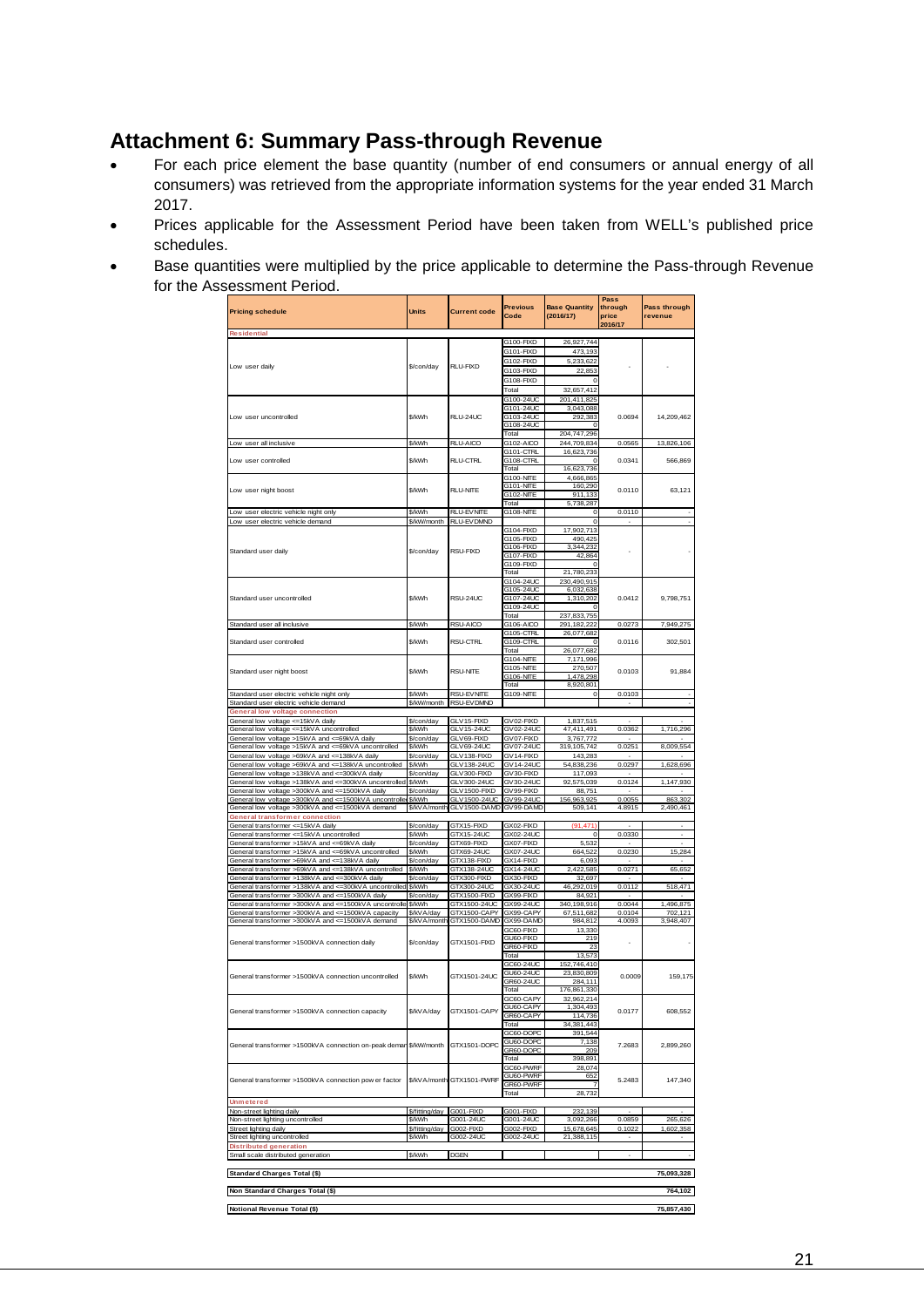## <span id="page-20-0"></span>**Attachment 6: Summary Pass-through Revenue**

- For each price element the base quantity (number of end consumers or annual energy of all consumers) was retrieved from the appropriate information systems for the year ended 31 March 2017.
- Prices applicable for the Assessment Period have been taken from WELL's published price schedules.
- Base quantities were multiplied by the price applicable to determine the Pass-through Revenue for the Assessment Period.

|                                                                                                            |                      |                             | <b>Previous</b>                      | <b>Base Quantity</b>     | Pass<br>through          | Pass through             |
|------------------------------------------------------------------------------------------------------------|----------------------|-----------------------------|--------------------------------------|--------------------------|--------------------------|--------------------------|
| <b>Pricing schedule</b>                                                                                    | Units                | <b>Current code</b>         | Code                                 | (2016/17)                | price                    | revenue                  |
| <b>Residential</b>                                                                                         |                      |                             |                                      |                          | 2016/17                  |                          |
|                                                                                                            |                      |                             | G100-FIXD                            | 26,927,744               |                          |                          |
|                                                                                                            |                      |                             | G101-FIXD                            | 473,193                  |                          |                          |
| Low user daily                                                                                             | \$/con/day           | <b>RLU-FIXD</b>             | G102-FIXD                            | 5,233,622                |                          |                          |
|                                                                                                            |                      |                             | G103-FIXD                            | 22,853                   |                          |                          |
|                                                                                                            |                      |                             | G108-FIXD                            | Ċ                        |                          |                          |
|                                                                                                            |                      |                             | Total                                | 32,657,412               |                          |                          |
|                                                                                                            |                      |                             | G100-24UC<br>G101-24UC               | 201,411,825<br>3,043,088 |                          |                          |
| Low user uncontrolled                                                                                      | \$/kWh               | RLU-24UC                    | G103-24UC                            | 292,383                  | 0.0694                   | 14,209,462               |
|                                                                                                            |                      |                             | G108-24UC                            |                          |                          |                          |
|                                                                                                            |                      |                             | Total                                | 204,747,296              |                          |                          |
| Low user all inclusive                                                                                     | \$/kWh               | <b>RLU-AICO</b>             | G102-AICO                            | 244,709,834              | 0.0565                   | 13,826,106               |
| Low user controlled                                                                                        | \$/kWh               | <b>RLU-CTRL</b>             | G101-CTRL<br>G108-CTRL               | 16,623,736<br>$^{\circ}$ | 0.0341                   | 566,869                  |
|                                                                                                            |                      |                             | Total                                | 16,623,736               |                          |                          |
|                                                                                                            |                      |                             | G100-NITE                            | 4,666,865                |                          |                          |
| Low user night boost                                                                                       | \$/kWh               | <b>RI LENITE</b>            | <b>G101-NITE</b>                     | 160,290                  | 0.0110                   | 63.121                   |
|                                                                                                            |                      |                             | <b>G102-NITE</b><br>Total            | 911,133                  |                          |                          |
| Low user electric vehicle night only                                                                       | \$/kWh               | <b>RLU-EVNITE</b>           | <b>G108-NITE</b>                     | 5,738,287<br>0           | 0.0110                   |                          |
| Low user electric vehicle demand                                                                           | \$/kW/month          | <b>RLU-EV DMND</b>          |                                      | $\circ$                  | ٠                        |                          |
|                                                                                                            |                      |                             | G104-FIXD                            | 17,902,713               |                          |                          |
|                                                                                                            |                      |                             | G105-FIXD                            | 490,425                  |                          |                          |
| Standard user daily                                                                                        | \$/con/dav           | <b>RSU-FIXD</b>             | G106-FIXD                            | 3,344,232                |                          |                          |
|                                                                                                            |                      |                             | G107-FIXD<br>G109-FIXD               | 42,864<br>$\circ$        |                          |                          |
|                                                                                                            |                      |                             | Total                                | 21,780,233               |                          |                          |
|                                                                                                            |                      |                             | G104-24UC                            | 230,490,915              |                          |                          |
|                                                                                                            |                      |                             | G105-24UC                            | 6,032,638                |                          |                          |
| Standard user uncontrolled                                                                                 | \$/kWh               | RSU-24UC                    | G107-24UC                            | 1,310,202                | 0.0412                   | 9,798,751                |
|                                                                                                            |                      |                             | G109-24UC<br>Total                   | $\Omega$<br>237,833,755  |                          |                          |
| Standard user all inclusive                                                                                | \$/kWh               | RSU-AICO                    | G106-AICO                            | 291,182,222              | 0.0273                   | 7,949,275                |
|                                                                                                            |                      |                             | G105-CTRL                            | 26,077,682               |                          |                          |
| Standard user controlled                                                                                   | \$/kWh               | <b>RSU-CTRL</b>             | G109-CTRL                            | $\circ$                  | 0.0116                   | 302.501                  |
|                                                                                                            |                      |                             | Total                                | 26,077,682               |                          |                          |
|                                                                                                            |                      |                             | <b>G104-NITE</b>                     | 7,171,996                |                          |                          |
| Standard user night boost                                                                                  | \$/kWh               | <b>RSU-NITE</b>             | <b>G105-NITE</b><br><b>G106-NITE</b> | 270,507<br>1,478,298     | 0.0103                   | 91.884                   |
|                                                                                                            |                      |                             | Total                                | 8,920,801                |                          |                          |
| Standard user electric vehicle night only                                                                  | \$/kWh               | <b>RSU-EVNITE</b>           | <b>G109-NITE</b>                     | $\circ$                  | 0.0103                   |                          |
| Standard user electric vehicle demand                                                                      | \$/kW/month          | RSU-EVDMND                  |                                      |                          | ٠                        | $\sim$                   |
| <b>General low voltage connection</b>                                                                      |                      |                             |                                      |                          |                          |                          |
| General low voltage <= 15kVA daily<br>General low voltage <= 15kVA uncontrolled                            | \$/con/day<br>\$/kWh | GLV 15-FIXD<br>GLV15-24UC   | GV02-FIXD<br>GV02-24UC               | 1,837,515<br>47,411,491  | 0.0362                   | 1,716,296                |
| General low voltage >15kVA and <= 69kVA dail                                                               | \$/con/day           | GLV69-FIXD                  | GV07-FIXD                            | 3,767,772                |                          |                          |
| General low voltage >15kVA and <= 69kVA uncontrolled                                                       | \$/kWh               | GLV69-24UC                  | GV07-24UC                            | 319, 105, 742            | 0.0251                   | 8,009,554                |
| General low voltage >69kVA and <= 138kVA daily                                                             | \$/con/day           | GLV138-FIXD                 | GV14-FIXD                            | 143,283                  |                          |                          |
| General low voltage >69kVA and <= 138kVA uncontrolled                                                      | \$/kWh               | GLV138-24UC                 | GV14-24UC                            | 54,838,236               | 0.0297                   | 1,628,696                |
| General low voltage >138kVA and <= 300kVA daily                                                            | \$/con/day           | GLV300-FIXD                 | GV30-FIXD<br>GV30-24UC               | 117,093                  |                          |                          |
| General low voltage >138kVA and <= 300kVA uncontrolled<br>General low voltage >300kVA and <= 1500kVA daily | \$/kWh<br>\$/con/day | GLV300-24UC<br>GLV1500-FIXD | GV99-FIXD                            | 92,575,039<br>88.751     | 0.0124                   | 1,147,930                |
| General low voltage >300kVA and <= 1500kVA uncontrolle                                                     | \$/kWh               | GLV1500-24UC                | GV99-24UC                            | 156,963,925              | 0.0055                   | 863,302                  |
| General low voltage >300kVA and <= 1500kVA demand                                                          | \$/kVA/month         | GLV1500-DAMD                | GV99-DAMD                            | 509,141                  | 4.8915                   | 2,490,461                |
| General transformer connection                                                                             |                      |                             |                                      |                          |                          |                          |
| General transformer <= 15kVA daily                                                                         | \$/con/day<br>\$/kWh | GTX15-FIXD                  | GX02-FIXD<br>GX02-24UC               | (91, 471)<br>$\circ$     |                          | $\overline{\phantom{a}}$ |
| General transformer <= 15kVA uncontrolled<br>General transformer >15kVA and <= 69kVA daily                 | \$/con/day           | GTX15-24UC<br>GTX69-FIXD    | GX07-FIXD                            | 5,532                    | 0.0330                   |                          |
| General transformer >15kVA and <= 69kVA uncontrolled                                                       | \$/kWh               | GTX69-24UC                  | GX07-24UC                            | 664,522                  | 0.0230                   | 15,284                   |
| General transformer >69kVA and <= 138kVA daily                                                             | \$/con/day           | GTX138-FIXD                 | GX14-FIXD                            | 6,093                    | ٠                        | ٠                        |
| General transformer >69kVA and <= 138kVA uncontrolled                                                      | \$/kWh               | GTX138-24UC                 | GX14-24UC                            | 2,422,585                | 0.0271                   | 65,652                   |
| General transformer >138kVA and <=300kVA daily                                                             | \$/con/day           | GTX300-FIXD                 | GX30-FIXD                            | 32,697                   |                          |                          |
| General transformer >138kVA and <=300kVA uncontrolled<br>General transformer >300kVA and <= 1500kVA daily  | \$/kWh               | GTX300-24UC<br>GTX1500-FIXD | GX30-24UC<br>GX99-FIXD               | 46,292,019<br>84,921     | 0.0112                   | 518,471                  |
| General transformer >300kVA and <= 1500kVA uncontrolle                                                     | \$/con/day<br>\$/kWh | GTX1500-24UC                | GX99-24UC                            | 340,198,916              | 0.0044                   | 1,496,875                |
| General transformer >300kVA and <= 1500kVA capacity                                                        | \$/kV A/day          | GTX1500-CAPY                | GX99-CAPY                            | 67,511,682               | 0.0104                   | 702,121                  |
| General transformer >300kVA and <= 1500kVA demand                                                          | \$/kVA/month         | GTX1500-DAMD                | GX99-DAMD                            | 984.812                  | 4.0093                   | 3,948,407                |
|                                                                                                            |                      |                             | GC60-FIXD                            | 13,330                   |                          |                          |
| General transformer >1500kVA connection daily                                                              | \$/con/day           | GTX1501-FIXD                | GU60-FIXD                            | 219<br>23                | ٠                        |                          |
|                                                                                                            |                      |                             | GR60-FIXD<br>Total                   | 13,573                   |                          |                          |
|                                                                                                            |                      |                             | GC60-24UC                            | 152,746,410              |                          |                          |
| General transformer >1500kVA connection uncontrolled                                                       | \$/kWh               | GTX1501-24UC                | GU60-24UC                            | 23,830,809               | 0.0009                   | 159,175                  |
|                                                                                                            |                      |                             | GR60-24UC                            | 284.111                  |                          |                          |
|                                                                                                            |                      |                             | Total                                | 176,861,330              |                          |                          |
|                                                                                                            |                      |                             | GC60-CAPY<br>GU60-CAPY               | 32,962,214<br>1,304,493  |                          |                          |
| General transformer >1500kVA connection capacity                                                           | \$/kVA/day           | GTX1501-CAPY                | GR60-CAPY                            | 114,736                  | 0.0177                   | 608,552                  |
|                                                                                                            |                      |                             | Total                                | 34,381,443               |                          |                          |
|                                                                                                            |                      |                             | GC60-DOPC                            | 391,544                  |                          |                          |
| General transformer >1500kVA connection on-peak demar                                                      | \$/kW/month          | GTX1501-DOPC                | GU60-DOPC<br>GR60-DOPC               | 7,138<br>209             | 7.2683                   | 2,899,260                |
|                                                                                                            |                      |                             | Total                                | 398,891                  |                          |                          |
|                                                                                                            |                      |                             | GC60-PWRF                            | 28,074                   |                          |                          |
| General transformer >1500kVA connection pow er factor                                                      |                      | \$/kVA/month GTX1501-PWRF   | GU60-PWRF                            | 652                      | 5.2483                   | 147,340                  |
|                                                                                                            |                      |                             | GR60-PWRF                            | 7<br>28.732              |                          |                          |
| <b>Unmetered</b>                                                                                           |                      |                             | Total                                |                          |                          |                          |
| Non-street lighting daily                                                                                  | \$/fitting/day       | G001-FIXD                   | G001-FIXD                            | 232,139                  |                          |                          |
| Non-street lighting uncontrolled                                                                           | \$/kWh               | G001-24UC                   | G001-24UC                            | 3,092,266                | 0.0859                   | 265,626                  |
| Street lighting daily                                                                                      | \$/fitting/day       | G002-FIXD                   | G002-FIXD                            | 15,678,645               | 0.1022                   | 1,602,358                |
| Street lighting uncontrolled                                                                               | \$/kWh               | G002-24UC                   | G002-24UC                            | 21,388,115               |                          |                          |
| <b>Distributed generation</b><br>Small scale distributed generation                                        | \$/kWh               | <b>DGEN</b>                 |                                      |                          | $\overline{\phantom{a}}$ | $\cdot$                  |
|                                                                                                            |                      |                             |                                      |                          |                          |                          |
| Standard Charges Total (\$)                                                                                |                      |                             |                                      |                          |                          | 75,093,328               |
|                                                                                                            |                      |                             |                                      |                          |                          |                          |
| Non Standard Charges Total (\$)                                                                            |                      |                             |                                      |                          |                          | 764,102                  |
|                                                                                                            |                      |                             |                                      |                          |                          |                          |
| Notional Revenue Total (\$)                                                                                |                      |                             |                                      |                          |                          | 75,857,430               |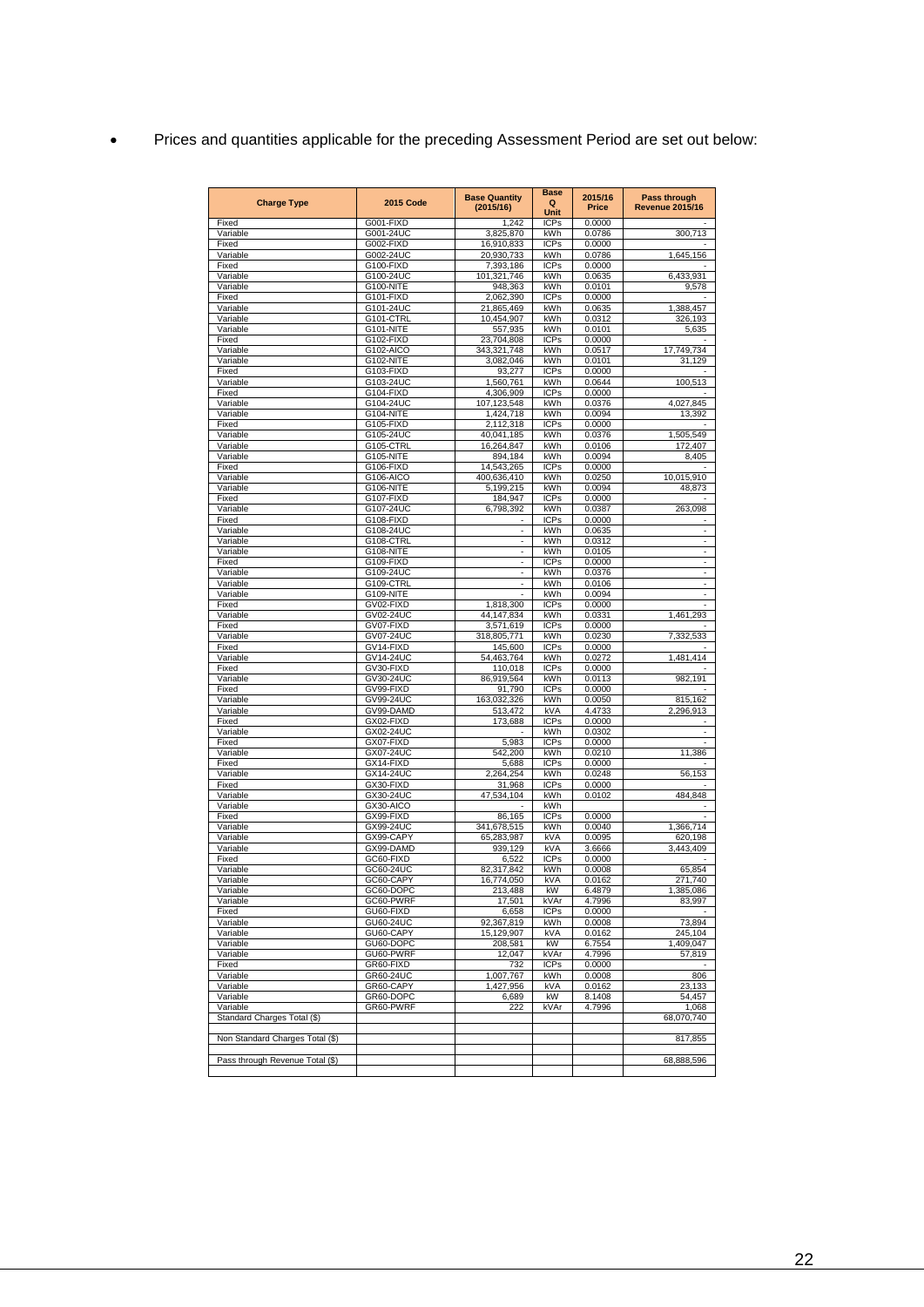|  |  |  |  | Prices and quantities applicable for the preceding Assessment Period are set out below: |
|--|--|--|--|-----------------------------------------------------------------------------------------|
|--|--|--|--|-----------------------------------------------------------------------------------------|

| <b>2015 Code</b><br><b>Charge Type</b> |                        | <b>Base Quantity</b>     | <b>Base</b>        | 2015/16                | Pass through                          |
|----------------------------------------|------------------------|--------------------------|--------------------|------------------------|---------------------------------------|
|                                        | (2015/16)              | Q<br>Unit                | Price              | <b>Revenue 2015/16</b> |                                       |
| Fixed                                  | G001-FIXD              | 1,242                    | <b>ICPs</b>        | 0.0000                 |                                       |
| Variable                               | G001-24UC              | 3,825,870                | kWh                | 0.0786                 | 300,713                               |
| Fixed<br>Variable                      | G002-FIXD<br>G002-24UC | 16,910,833<br>20,930,733 | <b>ICPs</b><br>kWh | 0.0000<br>0.0786       | 1,645,156                             |
| Fixed                                  | G100-FIXD              | 7,393,186                | <b>ICPs</b>        | 0.0000                 |                                       |
| Variable                               | G100-24UC              | 101,321,746              | kWh                | 0.0635                 | 6,433,931                             |
| Variable                               | G100-NITE              | 948,363                  | kWh                | 0.0101                 | 9,578                                 |
| Fixed                                  | G101-FIXD              | 2,062,390                | <b>ICPs</b>        | 0.0000                 |                                       |
| Variable<br>Variable                   | G101-24UC<br>G101-CTRL | 21,865,469<br>10,454,907 | kWh<br>kWh         | 0.0635<br>0.0312       | 1,388,457<br>326,193                  |
| Variable                               | G101-NITE              | 557,935                  | kWh                | 0.0101                 | 5,635                                 |
| Fixed                                  | G102-FIXD              | 23,704,808               | <b>ICPs</b>        | 0.0000                 |                                       |
| Variable                               | G102-AICO              | 343,321,748              | kWh                | 0.0517                 | 17,749,734                            |
| Variable                               | G102-NITE              | 3,082,046                | kWh                | 0.0101                 | 31,129                                |
| Fixed<br>Variable                      | G103-FIXD<br>G103-24UC | 93,277<br>1,560,761      | <b>ICPs</b><br>kWh | 0.0000<br>0.0644       | 100,513                               |
| Fixed                                  | G104-FIXD              | 4,306,909                | <b>ICPs</b>        | 0.0000                 |                                       |
| Variable                               | G104-24UC              | 107,123,548              | kWh                | 0.0376                 | 4,027,845                             |
| Variable                               | G104-NITE              | 1,424,718                | kWh                | 0.0094                 | 13,392                                |
| Fixed                                  | G105-FIXD              | 2,112,318                | <b>ICPs</b>        | 0.0000                 |                                       |
| Variable<br>Variable                   | G105-24UC<br>G105-CTRL | 40,041,185<br>16,264,847 | kWh<br>kWh         | 0.0376<br>0.0106       | 1,505,549<br>172,407                  |
| Variable                               | G105-NITE              | 894,184                  | kWh                | 0.0094                 | 8,405                                 |
| Fixed                                  | G106-FIXD              | 14,543,265               | <b>ICPs</b>        | 0.0000                 |                                       |
| Variable                               | G106-AICO              | 400,636,410              | kWh                | 0.0250                 | 10,015,910                            |
| Variable                               | G106-NITE              | 5,199,215                | kWh                | 0.0094                 | 48,873                                |
| Fixed<br>Variable                      | G107-FIXD<br>G107-24UC | 184,947<br>6,798,392     | <b>ICPs</b><br>kWh | 0.0000<br>0.0387       | 263,098                               |
| Fixed                                  | G108-FIXD              |                          | <b>ICPs</b>        | 0.0000                 |                                       |
| Variable                               | G108-24UC              | $\overline{\phantom{a}}$ | kWh                | 0.0635                 | $\sim$                                |
| Variable                               | G108-CTRL              | ä,                       | kWh                | 0.0312                 | ÷                                     |
| Variable                               | G108-NITE              | ä,                       | kWh                | 0.0105                 | $\blacksquare$                        |
| Fixed<br>Variable                      | G109-FIXD<br>G109-24UC | ٠<br>÷                   | <b>ICPs</b><br>kWh | 0.0000<br>0.0376       | $\overline{\phantom{a}}$<br>$\bar{z}$ |
| Variable                               | G109-CTRL              |                          | kWh                | 0.0106                 | ×,                                    |
| Variable                               | G109-NITE              |                          | kWh                | 0.0094                 |                                       |
| Fixed                                  | GV02-FIXD              | 1,818,300                | <b>ICPs</b>        | 0.0000                 | ×,                                    |
| Variable                               | GV02-24UC              | 44,147,834               | kWh                | 0.0331                 | 1,461,293                             |
| Fixed<br>Variable                      | GV07-FIXD<br>GV07-24UC | 3,571,619<br>318,805,771 | <b>ICPs</b><br>kWh | 0.0000<br>0.0230       | 7,332,533                             |
| Fixed                                  | GV14-FIXD              | 145,600                  | <b>ICPs</b>        | 0.0000                 |                                       |
| Variable                               | GV14-24UC              | 54,463,764               | kWh                | 0.0272                 | 1,481,414                             |
| Fixed                                  | GV30-FIXD              | 110,018                  | <b>ICPs</b>        | 0.0000                 |                                       |
| Variable                               | GV30-24UC              | 86,919,564               | kWh                | 0.0113                 | 982,191                               |
| Fixed<br>Variable                      | GV99-FIXD<br>GV99-24UC | 91,790<br>163,032,326    | <b>ICPs</b><br>kWh | 0.0000<br>0.0050       | 815,162                               |
| Variable                               | GV99-DAMD              | 513,472                  | kVA                | 4.4733                 | 2,296,913                             |
| Fixed                                  | GX02-FIXD              | 173,688                  | <b>ICPs</b>        | 0.0000                 |                                       |
| Variable                               | GX02-24UC              |                          | kWh                | 0.0302                 |                                       |
| Fixed                                  | GX07-FIXD              | 5,983                    | <b>ICPs</b><br>kWh | 0.0000                 |                                       |
| Variable<br>Fixed                      | GX07-24UC<br>GX14-FIXD | 542,200<br>5,688         | <b>ICPs</b>        | 0.0210<br>0.0000       | 11,386                                |
| Variable                               | GX14-24UC              | 2,264,254                | kWh                | 0.0248                 | 56,153                                |
| Fixed                                  | GX30-FIXD              | 31,968                   | <b>ICPs</b>        | 0.0000                 |                                       |
| Variable                               | GX30-24UC              | 47,534,104               | kWh                | 0.0102                 | 484,848                               |
| Variable<br>Fixed                      | GX30-AICO<br>GX99-FIXD | 86,165                   | kWh<br><b>ICPs</b> | 0.0000                 |                                       |
| Variable                               | GX99-24UC              | 341,678,515              | kWh                | 0.0040                 | 1,366,714                             |
| Variable                               | GX99-CAPY              | 65,283,987               | kVA                | 0.0095                 | 620,198                               |
| Variable                               | GX99-DAMD              | 939,129                  | kVA                | 3.6666                 | 3,443,409                             |
| Fixed                                  | GC60-FIXD              | 6,522                    | <b>ICPs</b>        | 0.0000                 |                                       |
| Variable<br>Variable                   | GC60-24UC<br>GC60-CAPY | 82,317,842<br>16.774.050 | kWh<br>kVA         | 0.0008<br>0.0162       | 65,854<br>740<br>271                  |
| Variable                               | GC60-DOPC              | 213,488                  | kW                 | 6.4879                 | 1,385,086                             |
| Variable                               | GC60-PWRF              | 17,501                   | kVAr               | 4.7996                 | 83,997                                |
| Fixed                                  | GU60-FIXD              | 6,658                    | <b>ICPs</b>        | 0.0000                 |                                       |
| Variable                               | GU60-24UC              | 92,367,819               | kWh                | 0.0008                 | 73,894                                |
| Variable<br>Variable                   | GU60-CAPY<br>GU60-DOPC | 15,129,907<br>208,581    | <b>kVA</b><br>kW   | 0.0162<br>6.7554       | 245,104<br>1,409,047                  |
| Variable                               | GU60-PWRF              | 12,047                   | kVAr               | 4.7996                 | 57,819                                |
| Fixed                                  | GR60-FIXD              | 732                      | <b>ICPs</b>        | 0.0000                 |                                       |
| Variable                               | GR60-24UC              | 1,007,767                | kWh                | 0.0008                 | 806                                   |
| Variable                               | GR60-CAPY              | 1,427,956                | kVA                | 0.0162                 | 23,133                                |
| Variable<br>Variable                   | GR60-DOPC<br>GR60-PWRF | 6,689<br>222             | kW<br>kVAr         | 8.1408<br>4.7996       | 54,457<br>1,068                       |
| Standard Charges Total (\$)            |                        |                          |                    |                        | 68,070,740                            |
|                                        |                        |                          |                    |                        |                                       |
| Non Standard Charges Total (\$)        |                        |                          |                    |                        | 817,855                               |
|                                        |                        |                          |                    |                        |                                       |
| Pass through Revenue Total (\$)        |                        |                          |                    |                        | 68,888,596                            |
|                                        |                        |                          |                    |                        |                                       |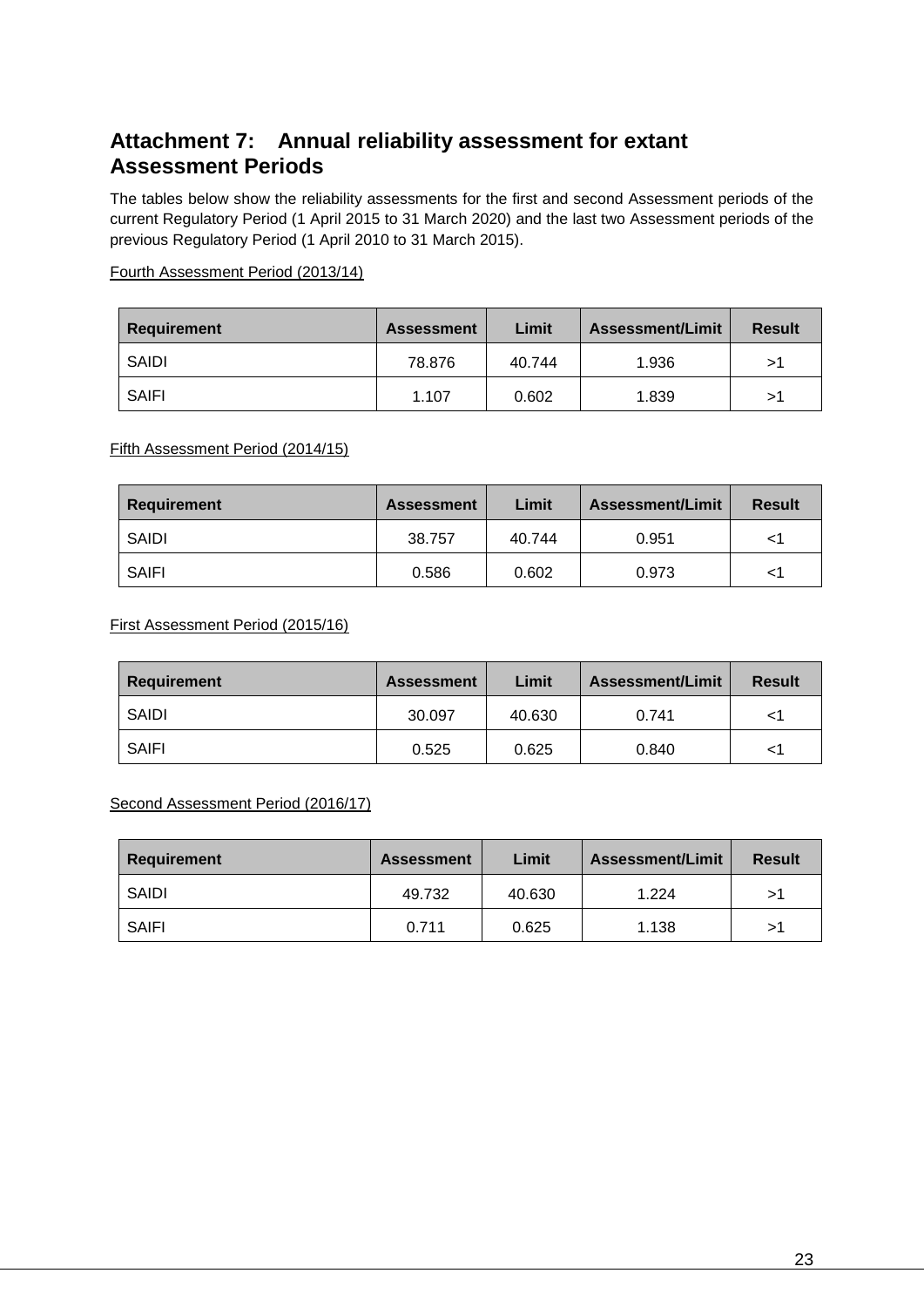## <span id="page-22-0"></span>**Attachment 7: Annual reliability assessment for extant Assessment Periods**

The tables below show the reliability assessments for the first and second Assessment periods of the current Regulatory Period (1 April 2015 to 31 March 2020) and the last two Assessment periods of the previous Regulatory Period (1 April 2010 to 31 March 2015).

#### Fourth Assessment Period (2013/14)

| Requirement | <b>Assessment</b> | Limit  | <b>Assessment/Limit</b> | <b>Result</b> |
|-------------|-------------------|--------|-------------------------|---------------|
| SAIDI       | 78.876            | 40.744 | 1.936                   | >1            |
| SAIFI       | 1.107             | 0.602  | 1.839                   | >1            |

Fifth Assessment Period (2014/15)

| <b>Requirement</b> | <b>Assessment</b> | Limit  | <b>Assessment/Limit</b> | <b>Result</b> |
|--------------------|-------------------|--------|-------------------------|---------------|
| SAIDI              | 38.757            | 40.744 | 0.951                   |               |
| <b>SAIFI</b>       | 0.586             | 0.602  | 0.973                   | <1            |

First Assessment Period (2015/16)

| <b>Requirement</b> | <b>Assessment</b> | Limit  | <b>Assessment/Limit</b> | <b>Result</b> |
|--------------------|-------------------|--------|-------------------------|---------------|
| SAIDI              | 30.097            | 40.630 | 0.741                   |               |
| SAIFI              | 0.525             | 0.625  | 0.840                   |               |

Second Assessment Period (2016/17)

| Requirement  | <b>Assessment</b> | Limit  | <b>Assessment/Limit</b> | <b>Result</b> |
|--------------|-------------------|--------|-------------------------|---------------|
| SAIDI        | 49.732            | 40.630 | 1.224                   | >1            |
| <b>SAIFI</b> | 0.711             | 0.625  | 1.138                   | >1            |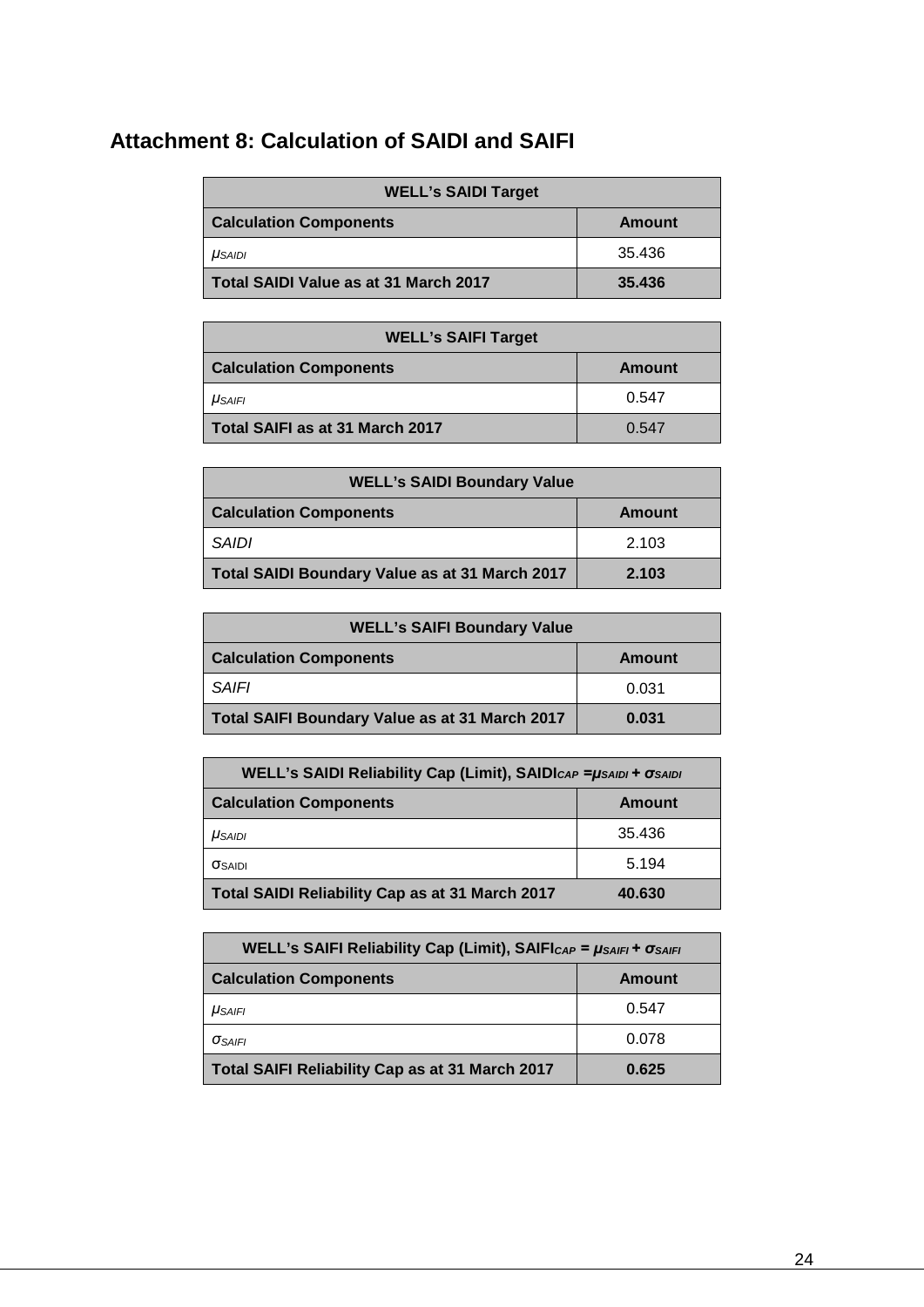## <span id="page-23-0"></span>**Attachment 8: Calculation of SAIDI and SAIFI**

| <b>WELL's SAIDI Target</b>            |        |  |
|---------------------------------------|--------|--|
| <b>Calculation Components</b>         | Amount |  |
| $\mu_{SAIDI}$                         | 35.436 |  |
| Total SAIDI Value as at 31 March 2017 | 35.436 |  |

| <b>WELL's SAIFI Target</b>      |        |  |  |
|---------------------------------|--------|--|--|
| <b>Calculation Components</b>   | Amount |  |  |
| <b>USAIFI</b>                   | 0.547  |  |  |
| Total SAIFI as at 31 March 2017 | 0.547  |  |  |

| <b>WELL's SAIDI Boundary Value</b>             |        |  |  |
|------------------------------------------------|--------|--|--|
| <b>Calculation Components</b>                  | Amount |  |  |
| <b>SAIDI</b>                                   | 2.103  |  |  |
| Total SAIDI Boundary Value as at 31 March 2017 | 2.103  |  |  |

| <b>WELL's SAIFI Boundary Value</b>             |        |  |  |
|------------------------------------------------|--------|--|--|
| <b>Calculation Components</b>                  | Amount |  |  |
| SAIFI                                          | 0.031  |  |  |
| Total SAIFI Boundary Value as at 31 March 2017 | 0.031  |  |  |

| <b>WELL's SAIDI Reliability Cap (Limit), SAIDICAP = <math>\mu</math>SAIDI + <math>\sigma</math>SAIDI</b> |        |  |
|----------------------------------------------------------------------------------------------------------|--------|--|
| <b>Calculation Components</b>                                                                            | Amount |  |
| $\mu_{SAIDI}$                                                                                            | 35.436 |  |
| <b>OSAIDI</b>                                                                                            | 5.194  |  |
| Total SAIDI Reliability Cap as at 31 March 2017                                                          | 40.630 |  |

| <b>WELL's SAIFI Reliability Cap (Limit), SAIFICAP = <math>\mu_{SAIFI}</math> + <math>\sigma_{SAIFI}</math></b> |        |  |
|----------------------------------------------------------------------------------------------------------------|--------|--|
| <b>Calculation Components</b>                                                                                  | Amount |  |
| <b>USAIFI</b>                                                                                                  | 0.547  |  |
| $\sigma_{SAIFI}$                                                                                               | 0.078  |  |
| Total SAIFI Reliability Cap as at 31 March 2017                                                                | 0.625  |  |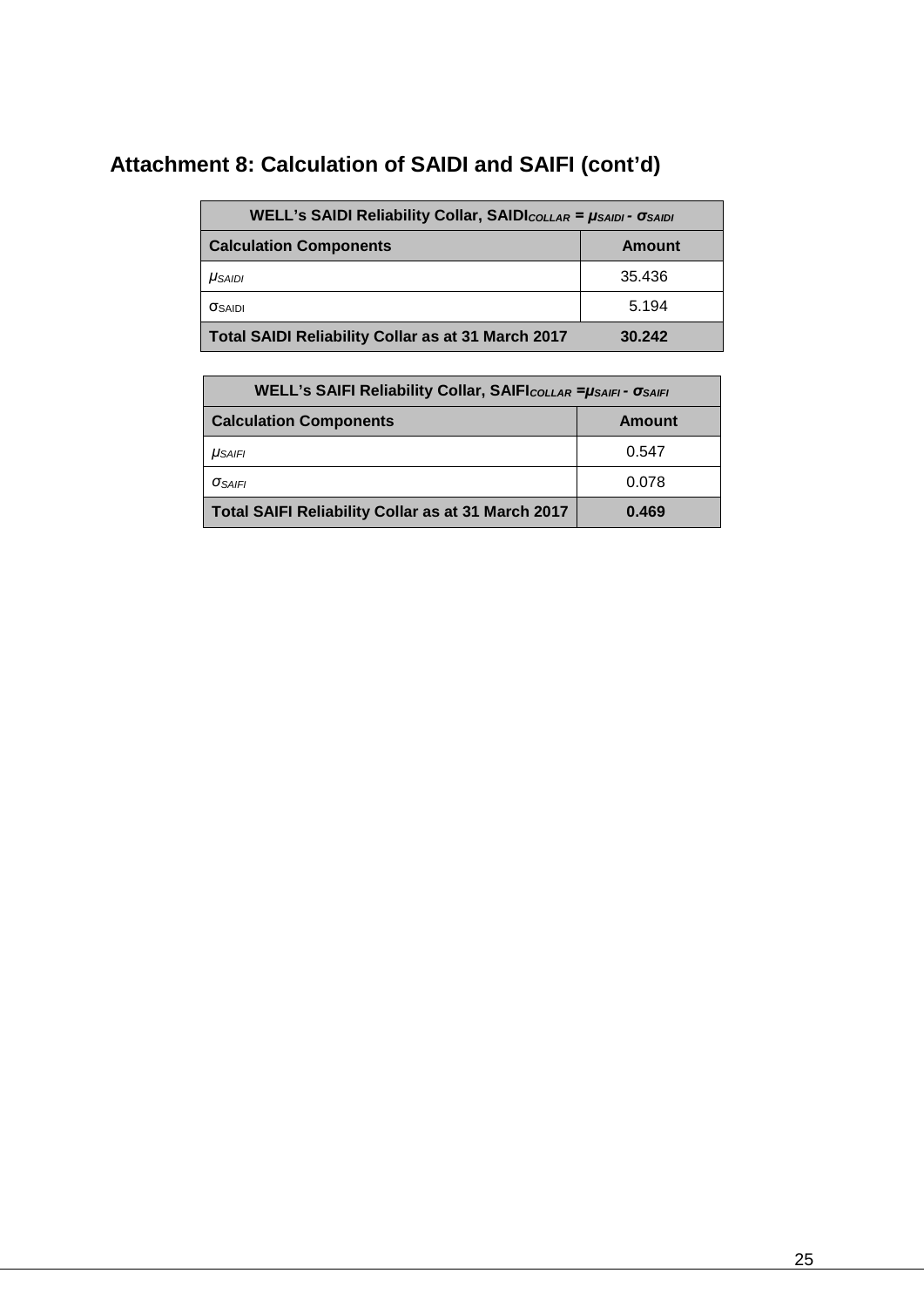## **Attachment 8: Calculation of SAIDI and SAIFI (cont'd)**

| <b>WELL's SAIDI Reliability Collar, SAIDICOLLAR = USAIDI - OSAIDI</b> |        |  |  |
|-----------------------------------------------------------------------|--------|--|--|
| <b>Calculation Components</b>                                         | Amount |  |  |
| $\mu_{SAIDI}$                                                         | 35.436 |  |  |
| <b>OSAIDI</b>                                                         | 5.194  |  |  |
| Total SAIDI Reliability Collar as at 31 March 2017                    | 30.242 |  |  |

| <b>WELL's SAIFI Reliability Collar, SAIFICOLLAR = USAIFI - OSAIFI</b> |               |  |  |
|-----------------------------------------------------------------------|---------------|--|--|
| <b>Calculation Components</b>                                         | <b>Amount</b> |  |  |
| $\mu_{SAIFI}$                                                         | 0.547         |  |  |
| <b>OSAIFI</b>                                                         | 0.078         |  |  |
| Total SAIFI Reliability Collar as at 31 March 2017                    | 0.469         |  |  |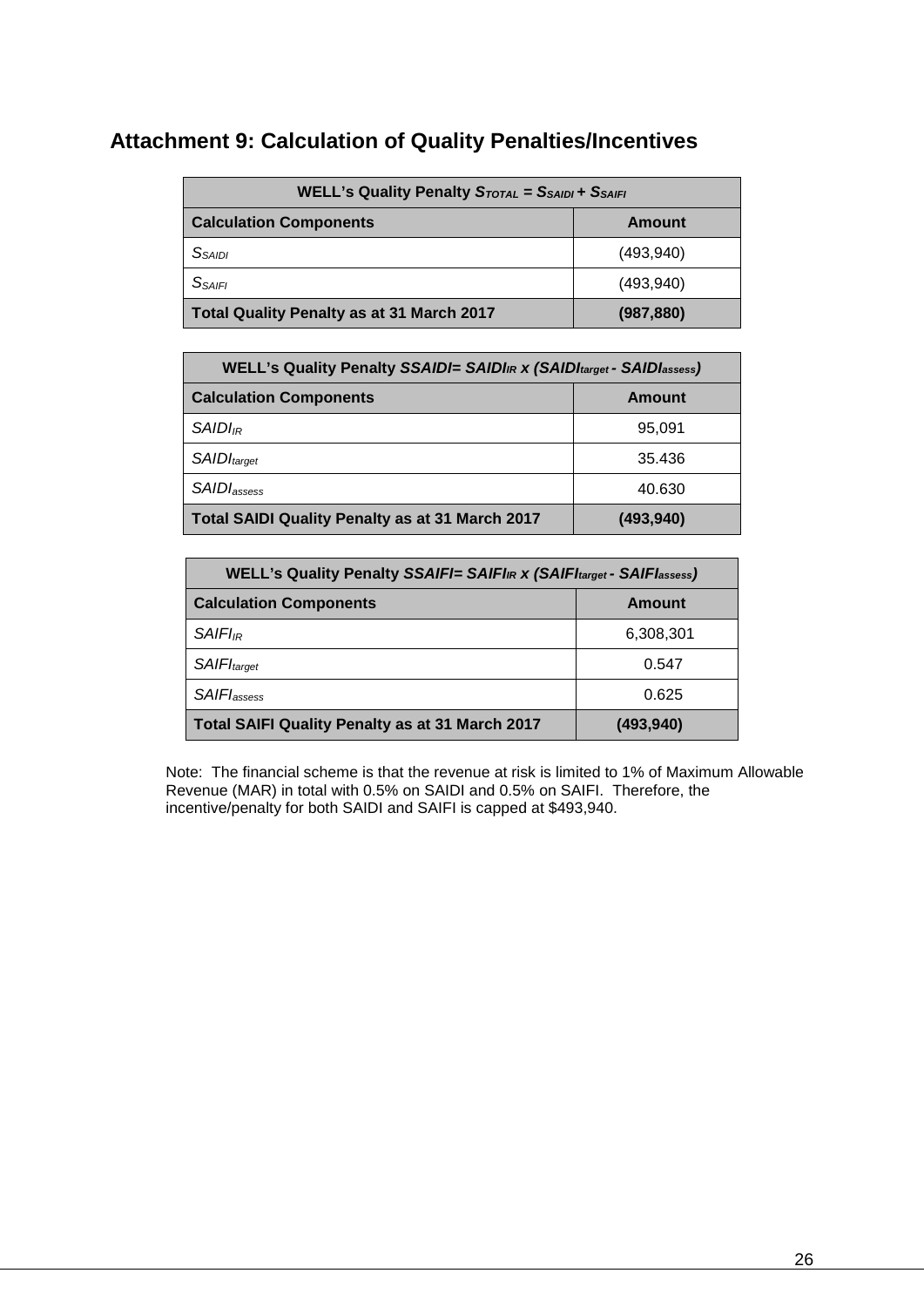## <span id="page-25-0"></span>**Attachment 9: Calculation of Quality Penalties/Incentives**

| <b>WELL's Quality Penalty STOTAL = SSAIDI + SSAIFI</b> |            |  |  |
|--------------------------------------------------------|------------|--|--|
| <b>Calculation Components</b>                          | Amount     |  |  |
| <i>S<sub>SAIDI</sub></i>                               | (493, 940) |  |  |
| <b>SSAIFI</b>                                          | (493, 940) |  |  |
| Total Quality Penalty as at 31 March 2017              | (987, 880) |  |  |

| WELL's Quality Penalty SSAIDI= SAIDI <sub>IR</sub> x (SAIDI <sub>target</sub> - SAIDI <sub>assess</sub> ) |            |  |
|-----------------------------------------------------------------------------------------------------------|------------|--|
| <b>Calculation Components</b>                                                                             | Amount     |  |
| $SAIDI_{IR}$                                                                                              | 95,091     |  |
| <b>SAIDI</b> target                                                                                       | 35.436     |  |
| SAIDI <sub>assess</sub>                                                                                   | 40.630     |  |
| Total SAIDI Quality Penalty as at 31 March 2017                                                           | (493, 940) |  |

| WELL's Quality Penalty SSAIFI= SAIFI <sub>IR</sub> x (SAIFI <sub>target</sub> - SAIFI <sub>assess</sub> ) |            |  |
|-----------------------------------------------------------------------------------------------------------|------------|--|
| <b>Calculation Components</b>                                                                             | Amount     |  |
| $SAlFI_{IR}$                                                                                              | 6,308,301  |  |
| <b>SAIFI</b> target                                                                                       | 0.547      |  |
| SAIFI <sub>assess</sub>                                                                                   | 0.625      |  |
| Total SAIFI Quality Penalty as at 31 March 2017                                                           | (493, 940) |  |

Note: The financial scheme is that the revenue at risk is limited to 1% of Maximum Allowable Revenue (MAR) in total with 0.5% on SAIDI and 0.5% on SAIFI. Therefore, the incentive/penalty for both SAIDI and SAIFI is capped at \$493,940.